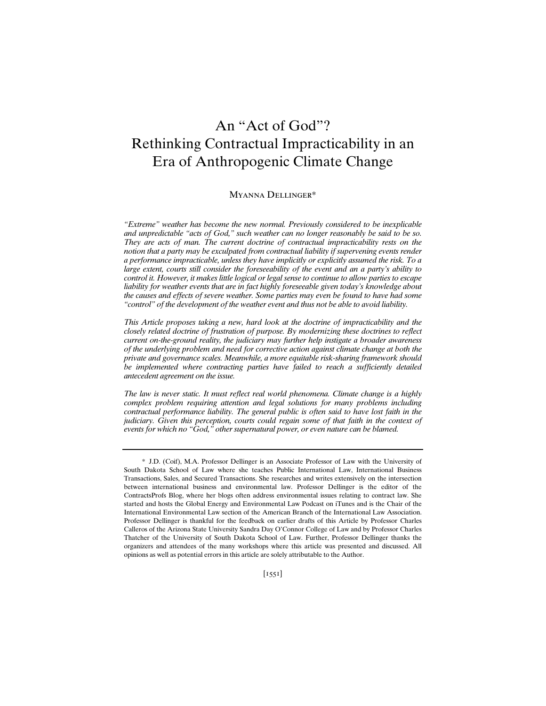# An "Act of God"? Rethinking Contractual Impracticability in an Era of Anthropogenic Climate Change

#### Myanna Dellinger\*

*"Extreme" weather has become the new normal. Previously considered to be inexplicable and unpredictable "acts of God," such weather can no longer reasonably be said to be so. They are acts of man. The current doctrine of contractual impracticability rests on the notion that a party may be exculpated from contractual liability if supervening events render a performance impracticable, unless they have implicitly or explicitly assumed the risk. To a large extent, courts still consider the foreseeability of the event and an a party's ability to control it. However, it makes little logical or legal sense to continue to allow parties to escape*  liability for weather events that are in fact highly foreseeable given today's knowledge about *the causes and effects of severe weather. Some parties may even be found to have had some "control" of the development of the weather event and thus not be able to avoid liability.* 

*This Article proposes taking a new, hard look at the doctrine of impracticability and the closely related doctrine of frustration of purpose. By modernizing these doctrines to reflect current on-the-ground reality, the judiciary may further help instigate a broader awareness of the underlying problem and need for corrective action against climate change at both the private and governance scales. Meanwhile, a more equitable risk-sharing framework should*  be implemented where contracting parties have failed to reach a sufficiently detailed *antecedent agreement on the issue.*

*The law is never static. It must reflect real world phenomena. Climate change is a highly complex problem requiring attention and legal solutions for many problems including contractual performance liability. The general public is often said to have lost faith in the judiciary. Given this perception, courts could regain some of that faith in the context of events for which no "God," other supernatural power, or even nature can be blamed.*

<sup>\*</sup> J.D. (Coif), M.A. Professor Dellinger is an Associate Professor of Law with the University of South Dakota School of Law where she teaches Public International Law, International Business Transactions, Sales, and Secured Transactions. She researches and writes extensively on the intersection between international business and environmental law. Professor Dellinger is the editor of the ContractsProfs Blog, where her blogs often address environmental issues relating to contract law. She started and hosts the Global Energy and Environmental Law Podcast on iTunes and is the Chair of the International Environmental Law section of the American Branch of the International Law Association. Professor Dellinger is thankful for the feedback on earlier drafts of this Article by Professor Charles Calleros of the Arizona State University Sandra Day O'Connor College of Law and by Professor Charles Thatcher of the University of South Dakota School of Law. Further, Professor Dellinger thanks the organizers and attendees of the many workshops where this article was presented and discussed. All opinions as well as potential errors in this article are solely attributable to the Author.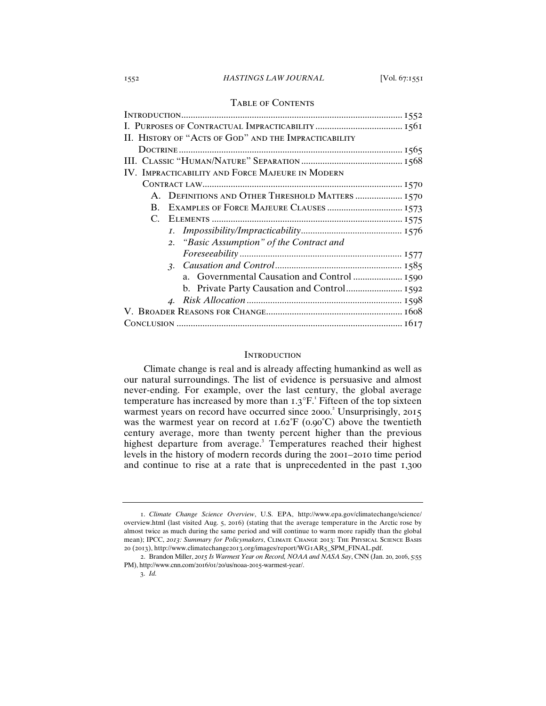## 1552 *HASTINGS LAW JOURNAL* [Vol. 67:1551

# Table of Contents

| II. HISTORY OF "ACTS OF GOD" AND THE IMPRACTICABILITY     |  |  |  |
|-----------------------------------------------------------|--|--|--|
|                                                           |  |  |  |
|                                                           |  |  |  |
| IV. IMPRACTICABILITY AND FORCE MAJEURE IN MODERN          |  |  |  |
|                                                           |  |  |  |
| A. DEFINITIONS AND OTHER THRESHOLD MATTERS  1570          |  |  |  |
| EXAMPLES OF FORCE MAJEURE CLAUSES  1573<br>$\mathbf{B}$ . |  |  |  |
|                                                           |  |  |  |
|                                                           |  |  |  |
| 2. "Basic Assumption" of the Contract and                 |  |  |  |
|                                                           |  |  |  |
|                                                           |  |  |  |
|                                                           |  |  |  |
|                                                           |  |  |  |
|                                                           |  |  |  |
|                                                           |  |  |  |
|                                                           |  |  |  |

#### **INTRODUCTION**

Climate change is real and is already affecting humankind as well as our natural surroundings. The list of evidence is persuasive and almost never-ending. For example, over the last century, the global average temperature has increased by more than  $1.3^{\circ}$ F.<sup>1</sup> Fifteen of the top sixteen warmest years on record have occurred since 2000.<sup>2</sup> Unsurprisingly, 2015 was the warmest year on record at  $1.62 \text{°F}$  (0.90°C) above the twentieth century average, more than twenty percent higher than the previous highest departure from average.<sup>3</sup> Temperatures reached their highest levels in the history of modern records during the 2001–2010 time period and continue to rise at a rate that is unprecedented in the past 1,300

<sup>1</sup>. *Climate Change Science Overview*, U.S. EPA, http://www.epa.gov/climatechange/science/ overview.html (last visited Aug. 5, 2016) (stating that the average temperature in the Arctic rose by almost twice as much during the same period and will continue to warm more rapidly than the global mean); IPCC, *2013: Summary for Policymakers*, Climate Change 2013: The Physical Science Basis 20 (2013), http://www.climatechange2013.org/images/report/WG1AR5\_SPM\_FINAL.pdf.

<sup>2</sup>. Brandon Miller, *2015 Is Warmest Year on Record, NOAA and NASA Say*, CNN (Jan. 20, 2016, 5:55 PM), http://www.cnn.com/2016/01/20/us/noaa-2015-warmest-year/.

<sup>3</sup>. *Id.*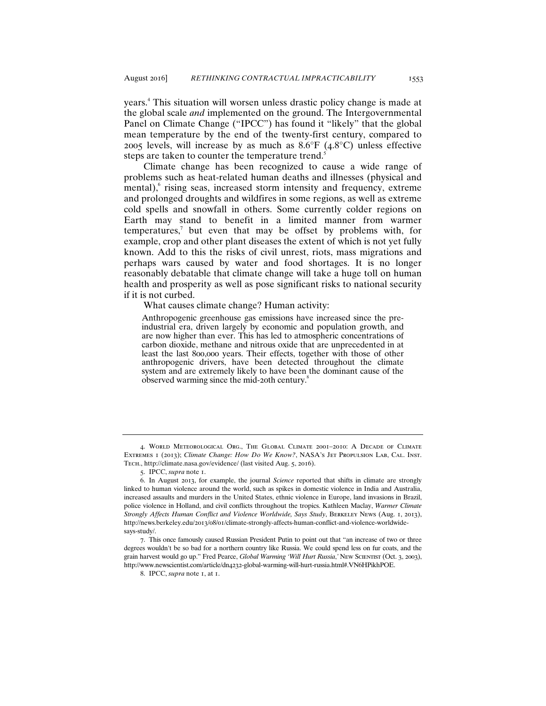years.<sup>4</sup> This situation will worsen unless drastic policy change is made at the global scale *and* implemented on the ground. The Intergovernmental Panel on Climate Change ("IPCC") has found it "likely" that the global mean temperature by the end of the twenty-first century, compared to 2005 levels, will increase by as much as  $8.6^{\circ}F$  (4.8 $^{\circ}C$ ) unless effective steps are taken to counter the temperature trend.<sup>5</sup>

Climate change has been recognized to cause a wide range of problems such as heat-related human deaths and illnesses (physical and mental), rising seas, increased storm intensity and frequency, extreme and prolonged droughts and wildfires in some regions, as well as extreme cold spells and snowfall in others. Some currently colder regions on Earth may stand to benefit in a limited manner from warmer  $temperatures$ , but even that may be offset by problems with, for example, crop and other plant diseases the extent of which is not yet fully known. Add to this the risks of civil unrest, riots, mass migrations and perhaps wars caused by water and food shortages. It is no longer reasonably debatable that climate change will take a huge toll on human health and prosperity as well as pose significant risks to national security if it is not curbed.

#### What causes climate change? Human activity:

Anthropogenic greenhouse gas emissions have increased since the preindustrial era, driven largely by economic and population growth, and are now higher than ever. This has led to atmospheric concentrations of carbon dioxide, methane and nitrous oxide that are unprecedented in at least the last 800,000 years. Their effects, together with those of other anthropogenic drivers, have been detected throughout the climate system and are extremely likely to have been the dominant cause of the observed warming since the mid-20th century.<sup>8</sup>

<sup>4</sup>. World Meteorological Org., The Global Climate 2001–2010: A Decade of Climate Extremes 1 (2013); *Climate Change: How Do We Know?*, NASA's Jet Propulsion Lab, Cal. Inst. Tech., http://climate.nasa.gov/evidence/ (last visited Aug. 5, 2016).

<sup>5</sup>. IPCC, *supra* note 1.

<sup>6</sup>. In August 2013, for example, the journal *Science* reported that shifts in climate are strongly linked to human violence around the world, such as spikes in domestic violence in India and Australia, increased assaults and murders in the United States, ethnic violence in Europe, land invasions in Brazil, police violence in Holland, and civil conflicts throughout the tropics. Kathleen Maclay, *Warmer Climate Strongly Affects Human Conflict and Violence Worldwide, Says Study*, Berkeley News (Aug. 1, 2013), http://news.berkeley.edu/2013/08/01/climate-strongly-affects-human-conflict-and-violence-worldwidesays-study/.

<sup>7</sup>. This once famously caused Russian President Putin to point out that "an increase of two or three degrees wouldn't be so bad for a northern country like Russia. We could spend less on fur coats, and the grain harvest would go up." Fred Pearce, *Global Warming 'Will Hurt Russia*,*'* New Scientist (Oct. 3, 2003), http://www.newscientist.com/article/dn4232-global-warming-will-hurt-russia.html#.VN6HPikhPOE.

<sup>8</sup>. IPCC, *supra* note 1, at 1.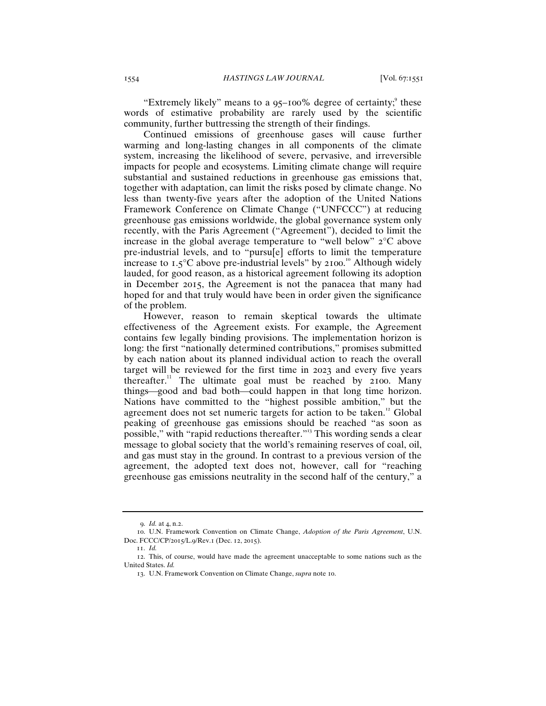"Extremely likely" means to a 95-100% degree of certainty;<sup>9</sup> these words of estimative probability are rarely used by the scientific community, further buttressing the strength of their findings.

Continued emissions of greenhouse gases will cause further warming and long-lasting changes in all components of the climate system, increasing the likelihood of severe, pervasive, and irreversible impacts for people and ecosystems. Limiting climate change will require substantial and sustained reductions in greenhouse gas emissions that, together with adaptation, can limit the risks posed by climate change. No less than twenty-five years after the adoption of the United Nations Framework Conference on Climate Change ("UNFCCC") at reducing greenhouse gas emissions worldwide, the global governance system only recently, with the Paris Agreement ("Agreement"), decided to limit the increase in the global average temperature to "well below" 2°C above pre-industrial levels, and to "pursu[e] efforts to limit the temperature increase to  $1.5^{\circ}$ C above pre-industrial levels" by 2100.<sup>10</sup> Although widely lauded, for good reason, as a historical agreement following its adoption in December 2015, the Agreement is not the panacea that many had hoped for and that truly would have been in order given the significance of the problem.

However, reason to remain skeptical towards the ultimate effectiveness of the Agreement exists. For example, the Agreement contains few legally binding provisions. The implementation horizon is long: the first "nationally determined contributions," promises submitted by each nation about its planned individual action to reach the overall target will be reviewed for the first time in 2023 and every five years thereafter.<sup>11</sup> The ultimate goal must be reached by  $2100$ . Many things—good and bad both—could happen in that long time horizon. Nations have committed to the "highest possible ambition," but the agreement does not set numeric targets for action to be taken.<sup>12</sup> Global peaking of greenhouse gas emissions should be reached "as soon as possible," with "rapid reductions thereafter."<sup>13</sup> This wording sends a clear message to global society that the world's remaining reserves of coal, oil, and gas must stay in the ground. In contrast to a previous version of the agreement, the adopted text does not, however, call for "reaching greenhouse gas emissions neutrality in the second half of the century," a

<sup>9</sup>. *Id.* at 4, n.2.

<sup>10</sup>. U.N. Framework Convention on Climate Change, *Adoption of the Paris Agreement*, U.N. Doc. FCCC/CP/2015/L.9/Rev.1 (Dec. 12, 2015).

<sup>11</sup>. *Id.*

<sup>12</sup>. This, of course, would have made the agreement unacceptable to some nations such as the United States. *Id.*

<sup>13</sup>. U.N. Framework Convention on Climate Change, *supra* note 10.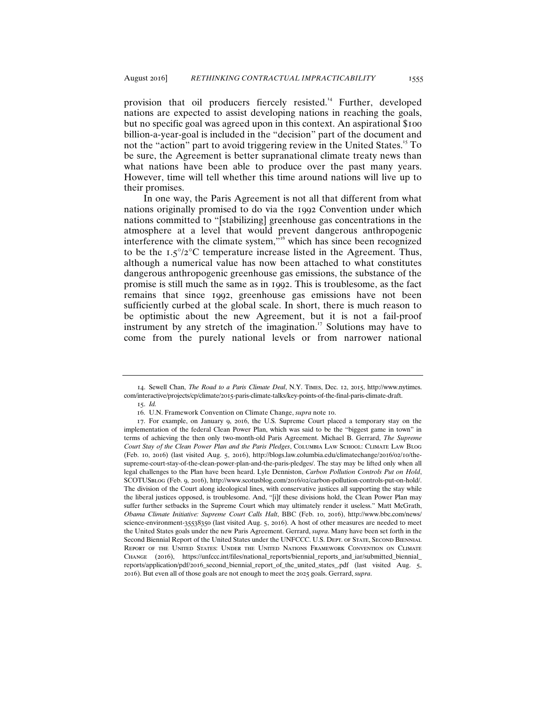provision that oil producers fiercely resisted.<sup>14</sup> Further, developed nations are expected to assist developing nations in reaching the goals, but no specific goal was agreed upon in this context. An aspirational \$100 billion-a-year-goal is included in the "decision" part of the document and not the "action" part to avoid triggering review in the United States.<sup>15</sup> To be sure, the Agreement is better supranational climate treaty news than what nations have been able to produce over the past many years. However, time will tell whether this time around nations will live up to their promises.

In one way, the Paris Agreement is not all that different from what nations originally promised to do via the 1992 Convention under which nations committed to "[stabilizing] greenhouse gas concentrations in the atmosphere at a level that would prevent dangerous anthropogenic interference with the climate system,<sup> $\hat{m}$ </sup> which has since been recognized to be the  $1.5^{\circ}/2^{\circ}$ C temperature increase listed in the Agreement. Thus, although a numerical value has now been attached to what constitutes dangerous anthropogenic greenhouse gas emissions, the substance of the promise is still much the same as in 1992. This is troublesome, as the fact remains that since 1992, greenhouse gas emissions have not been sufficiently curbed at the global scale. In short, there is much reason to be optimistic about the new Agreement, but it is not a fail-proof instrument by any stretch of the imagination.<sup>17</sup> Solutions may have to come from the purely national levels or from narrower national

<sup>14</sup>. Sewell Chan, *The Road to a Paris Climate Deal*, N.Y. Times, Dec. 12, 2015, http://www.nytimes. com/interactive/projects/cp/climate/2015-paris-climate-talks/key-points-of-the-final-paris-climate-draft.

<sup>15</sup>. *Id.*

<sup>16</sup>. U.N. Framework Convention on Climate Change, *supra* note 10.

<sup>17</sup>. For example, on January 9, 2016, the U.S. Supreme Court placed a temporary stay on the implementation of the federal Clean Power Plan, which was said to be the "biggest game in town" in terms of achieving the then only two-month-old Paris Agreement. Michael B. Gerrard, *The Supreme Court Stay of the Clean Power Plan and the Paris Pledges*, Columbia Law School: Climate Law Blog (Feb. 10, 2016) (last visited Aug. 5, 2016), http://blogs.law.columbia.edu/climatechange/2016/02/10/thesupreme-court-stay-of-the-clean-power-plan-and-the-paris-pledges/. The stay may be lifted only when all legal challenges to the Plan have been heard. Lyle Denniston, *Carbon Pollution Controls Put on Hold*, SCOTUSblog (Feb. 9, 2016), http://www.scotusblog.com/2016/02/carbon-pollution-controls-put-on-hold/. The division of the Court along ideological lines, with conservative justices all supporting the stay while the liberal justices opposed, is troublesome. And, "[i]f these divisions hold, the Clean Power Plan may suffer further setbacks in the Supreme Court which may ultimately render it useless." Matt McGrath, *Obama Climate Initiative: Supreme Court Calls Halt*, BBC (Feb. 10, 2016), http://www.bbc.com/news/ science-environment-35538350 (last visited Aug. 5, 2016). A host of other measures are needed to meet the United States goals under the new Paris Agreement. Gerrard, *supra*. Many have been set forth in the Second Biennial Report of the United States under the UNFCCC. U.S. DEPT. OF STATE, SECOND BIENNIAL Report of the United States: Under the United Nations Framework Convention on Climate Change (2016), https://unfccc.int/files/national\_reports/biennial\_reports\_and\_iar/submitted\_biennial\_ reports/application/pdf/2016\_second\_biennial\_report\_of\_the\_united\_states\_.pdf (last visited Aug. 5, 2016). But even all of those goals are not enough to meet the 2025 goals. Gerrard, *supra*.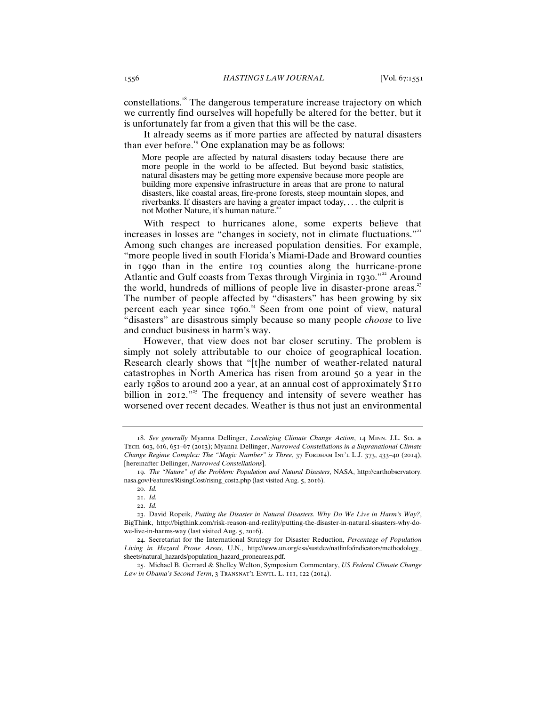constellations.<sup>18</sup> The dangerous temperature increase trajectory on which we currently find ourselves will hopefully be altered for the better, but it is unfortunately far from a given that this will be the case.

It already seems as if more parties are affected by natural disasters than ever before.<sup>19</sup> One explanation may be as follows:

More people are affected by natural disasters today because there are more people in the world to be affected. But beyond basic statistics, natural disasters may be getting more expensive because more people are building more expensive infrastructure in areas that are prone to natural disasters, like coastal areas, fire-prone forests, steep mountain slopes, and riverbanks. If disasters are having a greater impact today, . . . the culprit is not Mother Nature, it's human nature.<sup>2</sup>

With respect to hurricanes alone, some experts believe that increases in losses are "changes in society, not in climate fluctuations."<sup>21</sup> Among such changes are increased population densities. For example, "more people lived in south Florida's Miami-Dade and Broward counties in 1990 than in the entire 103 counties along the hurricane-prone Atlantic and Gulf coasts from Texas through Virginia in 1930."<sup>22</sup> Around the world, hundreds of millions of people live in disaster-prone areas.<sup>23</sup> The number of people affected by "disasters" has been growing by six percent each year since 1960. <sup>24</sup> Seen from one point of view, natural "disasters" are disastrous simply because so many people *choose* to live and conduct business in harm's way.

However, that view does not bar closer scrutiny. The problem is simply not solely attributable to our choice of geographical location. Research clearly shows that "[t]he number of weather-related natural catastrophes in North America has risen from around 50 a year in the early 1980s to around 200 a year, at an annual cost of approximately \$110 billion in 2012."<sup>25</sup> The frequency and intensity of severe weather has worsened over recent decades. Weather is thus not just an environmental

<sup>18</sup>. *See generally* Myanna Dellinger, *Localizing Climate Change Action*, 14 Minn. J.L. Sci. & Tech. 603, 616, 651–67 (2013); Myanna Dellinger, *Narrowed Constellations in a Supranational Climate Change Regime Complex: The "Magic Number" is Three*, 37 FORDHAM INT'L L.J. 373, 433-40 (2014), [hereinafter Dellinger, *Narrowed Constellations*].

<sup>19</sup>. *The "Nature" of the Problem: Population and Natural Disasters*, NASA, http://earthobservatory. nasa.gov/Features/RisingCost/rising\_cost2.php (last visited Aug. 5, 2016).

<sup>20</sup>. *Id.*

<sup>21</sup>. *Id.*

<sup>22</sup>. *Id.*

<sup>23</sup>. David Ropeik, *Putting the Disaster in Natural Disasters. Why Do We Live in Harm's Way?*, BigThink, http://bigthink.com/risk-reason-and-reality/putting-the-disaster-in-natural-sisasters-why-dowe-live-in-harms-way (last visited Aug. 5, 2016).

<sup>24</sup>. Secretariat for the International Strategy for Disaster Reduction, *Percentage of Population Living in Hazard Prone Areas*, U.N., http://www.un.org/esa/sustdev/natlinfo/indicators/methodology\_ sheets/natural\_hazards/population\_hazard\_proneareas.pdf.

<sup>25</sup>. Michael B. Gerrard & Shelley Welton, Symposium Commentary, *US Federal Climate Change*  Law in Obama's Second Term, 3 TRANSNAT'L ENVTL. L. 111, 122 (2014).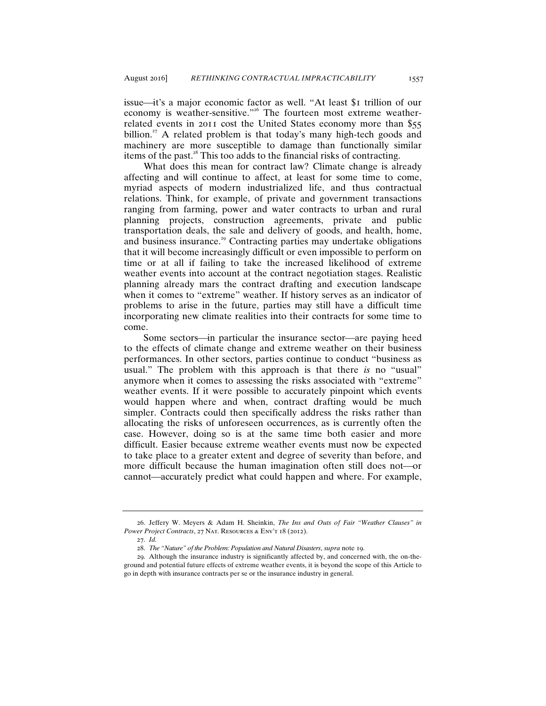issue—it's a major economic factor as well. "At least \$1 trillion of our economy is weather-sensitive."<sup>26</sup> The fourteen most extreme weatherrelated events in 2011 cost the United States economy more than \$55 billion.<sup>27</sup> A related problem is that today's many high-tech goods and machinery are more susceptible to damage than functionally similar items of the past. $28$  This too adds to the financial risks of contracting.

What does this mean for contract law? Climate change is already affecting and will continue to affect, at least for some time to come, myriad aspects of modern industrialized life, and thus contractual relations. Think, for example, of private and government transactions ranging from farming, power and water contracts to urban and rural planning projects, construction agreements, private and public transportation deals, the sale and delivery of goods, and health, home, and business insurance.<sup>29</sup> Contracting parties may undertake obligations that it will become increasingly difficult or even impossible to perform on time or at all if failing to take the increased likelihood of extreme weather events into account at the contract negotiation stages. Realistic planning already mars the contract drafting and execution landscape when it comes to "extreme" weather. If history serves as an indicator of problems to arise in the future, parties may still have a difficult time incorporating new climate realities into their contracts for some time to come.

Some sectors—in particular the insurance sector—are paying heed to the effects of climate change and extreme weather on their business performances. In other sectors, parties continue to conduct "business as usual." The problem with this approach is that there *is* no "usual" anymore when it comes to assessing the risks associated with "extreme" weather events. If it were possible to accurately pinpoint which events would happen where and when, contract drafting would be much simpler. Contracts could then specifically address the risks rather than allocating the risks of unforeseen occurrences, as is currently often the case. However, doing so is at the same time both easier and more difficult. Easier because extreme weather events must now be expected to take place to a greater extent and degree of severity than before, and more difficult because the human imagination often still does not-or cannot—accurately predict what could happen and where. For example,

<sup>26</sup>. Jeffery W. Meyers & Adam H. Sheinkin, *The Ins and Outs of Fair "Weather Clauses" in Power Project Contracts*, 27 NAT. RESOURCES & ENV'T 18 (2012).

<sup>27</sup>. *Id.*

<sup>28</sup>. *The "Nature" of the Problem: Population and Natural Disasters*, *supra* note 19.

<sup>29</sup>. Although the insurance industry is significantly affected by, and concerned with, the on-theground and potential future effects of extreme weather events, it is beyond the scope of this Article to go in depth with insurance contracts per se or the insurance industry in general.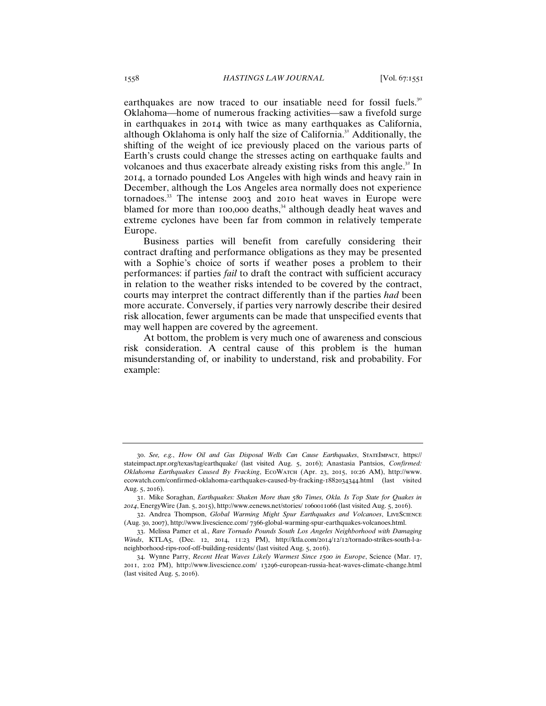earthquakes are now traced to our insatiable need for fossil fuels.<sup>30</sup> Oklahoma—home of numerous fracking activities—saw a fivefold surge in earthquakes in 2014 with twice as many earthquakes as California, although Oklahoma is only half the size of California.<sup>31</sup> Additionally, the shifting of the weight of ice previously placed on the various parts of Earth's crusts could change the stresses acting on earthquake faults and volcanoes and thus exacerbate already existing risks from this angle.<sup>32</sup> In 2014, a tornado pounded Los Angeles with high winds and heavy rain in December, although the Los Angeles area normally does not experience tornadoes.<sup>33</sup> The intense 2003 and 2010 heat waves in Europe were blamed for more than 100,000 deaths,<sup>34</sup> although deadly heat waves and extreme cyclones have been far from common in relatively temperate Europe.

Business parties will benefit from carefully considering their contract drafting and performance obligations as they may be presented with a Sophie's choice of sorts if weather poses a problem to their performances: if parties *fail* to draft the contract with sufficient accuracy in relation to the weather risks intended to be covered by the contract, courts may interpret the contract differently than if the parties *had* been more accurate. Conversely, if parties very narrowly describe their desired risk allocation, fewer arguments can be made that unspecified events that may well happen are covered by the agreement.

At bottom, the problem is very much one of awareness and conscious risk consideration. A central cause of this problem is the human misunderstanding of, or inability to understand, risk and probability. For example:

<sup>30</sup>. *See, e.g.*, *How Oil and Gas Disposal Wells Can Cause Earthquakes*, StateImpact, https:// stateimpact.npr.org/texas/tag/earthquake/ (last visited Aug. 5, 2016); Anastasia Pantsios, *Confirmed: Oklahoma Earthquakes Caused By Fracking*, EcoWatch (Apr. 23, 2015, 10:26 AM), http://www. ecowatch.com/confirmed-oklahoma-earthquakes-caused-by-fracking-1882034344.html (last visited Aug. 5, 2016).

<sup>31</sup>. Mike Soraghan, *Earthquakes: Shaken More than 580 Times, Okla. Is Top State for Quakes in 2014*, EnergyWire (Jan. 5, 2015), http://www.eenews.net/stories/ 1060011066 (last visited Aug. 5, 2016).

<sup>32</sup>. Andrea Thompson, *Global Warming Might Spur Earthquakes and Volcanoes*, LiveScience (Aug. 30, 2007), http://www.livescience.com/ 7366-global-warming-spur-earthquakes-volcanoes.html.

<sup>33</sup>. Melissa Pamer et al*.*, *Rare Tornado Pounds South Los Angeles Neighborhood with Damaging Winds*, KTLA5, (Dec. 12, 2014, 11:23 PM), http://ktla.com/2014/12/12/tornado-strikes-south-l-aneighborhood-rips-roof-off-building-residents/ (last visited Aug. 5, 2016).

<sup>34</sup>. Wynne Parry, *Recent Heat Waves Likely Warmest Since 1500 in Europe*, Science (Mar. 17, 2011, 2:02 PM), http://www.livescience.com/ 13296-european-russia-heat-waves-climate-change.html (last visited Aug. 5, 2016).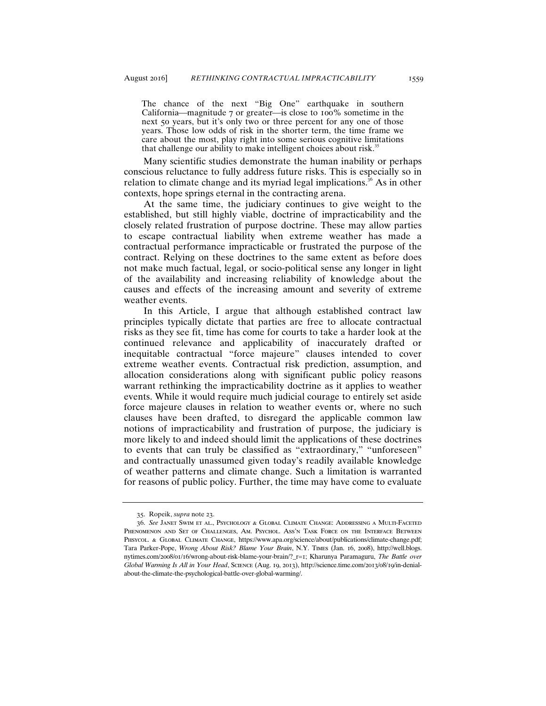The chance of the next "Big One" earthquake in southern California—magnitude  $7$  or greater—is close to 100% sometime in the next 50 years, but it's only two or three percent for any one of those years. Those low odds of risk in the shorter term, the time frame we care about the most, play right into some serious cognitive limitations that challenge our ability to make intelligent choices about risk.<sup>35</sup>

Many scientific studies demonstrate the human inability or perhaps conscious reluctance to fully address future risks. This is especially so in relation to climate change and its myriad legal implications.<sup>36</sup> As in other contexts, hope springs eternal in the contracting arena.

At the same time, the judiciary continues to give weight to the established, but still highly viable, doctrine of impracticability and the closely related frustration of purpose doctrine. These may allow parties to escape contractual liability when extreme weather has made a contractual performance impracticable or frustrated the purpose of the contract. Relying on these doctrines to the same extent as before does not make much factual, legal, or socio-political sense any longer in light of the availability and increasing reliability of knowledge about the causes and effects of the increasing amount and severity of extreme weather events.

In this Article, I argue that although established contract law principles typically dictate that parties are free to allocate contractual risks as they see fit, time has come for courts to take a harder look at the continued relevance and applicability of inaccurately drafted or inequitable contractual "force majeure" clauses intended to cover extreme weather events. Contractual risk prediction, assumption, and allocation considerations along with significant public policy reasons warrant rethinking the impracticability doctrine as it applies to weather events. While it would require much judicial courage to entirely set aside force majeure clauses in relation to weather events or, where no such clauses have been drafted, to disregard the applicable common law notions of impracticability and frustration of purpose, the judiciary is more likely to and indeed should limit the applications of these doctrines to events that can truly be classified as "extraordinary," "unforeseen" and contractually unassumed given today's readily available knowledge of weather patterns and climate change. Such a limitation is warranted for reasons of public policy. Further, the time may have come to evaluate

<sup>35</sup>. Ropeik, *supra* note 23.

<sup>36</sup>. *See* Janet Swim et al., Psychology & Global Climate Change: Addressing a Multi-Faceted Phenomenon and Set of Challenges, Am. Psychol. Ass'n Task Force on the Interface Between PHSYCOL. & GLOBAL CLIMATE CHANGE, https://www.apa.org/science/about/publications/climate-change.pdf; Tara Parker-Pope, *Wrong About Risk? Blame Your Brain*, N.Y. Times (Jan. 16, 2008), http://well.blogs. nytimes.com/2008/01/16/wrong-about-risk-blame-your-brain/?\_r=1; Kharunya Paramaguru, *The Battle over Global Warming Is All in Your Head*, Science (Aug. 19, 2013), http://science.time.com/2013/08/19/in-denialabout-the-climate-the-psychological-battle-over-global-warming/.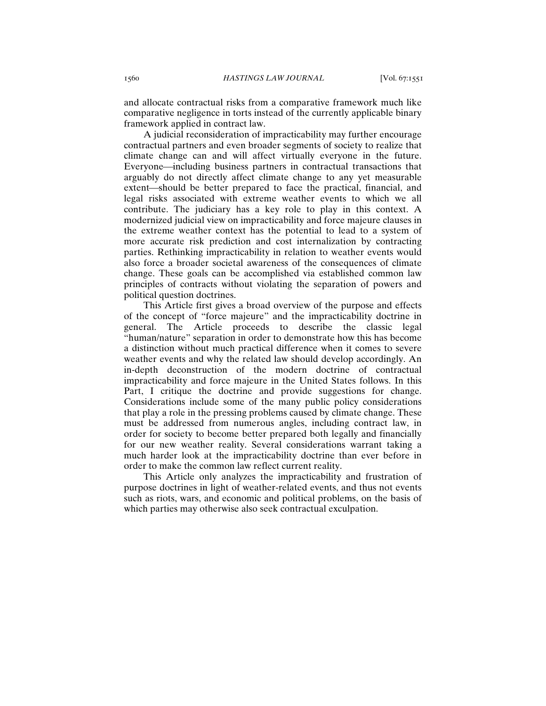and allocate contractual risks from a comparative framework much like comparative negligence in torts instead of the currently applicable binary framework applied in contract law.

A judicial reconsideration of impracticability may further encourage contractual partners and even broader segments of society to realize that climate change can and will affect virtually everyone in the future. Everyone—including business partners in contractual transactions that arguably do not directly affect climate change to any yet measurable extent—should be better prepared to face the practical, financial, and legal risks associated with extreme weather events to which we all contribute. The judiciary has a key role to play in this context. A modernized judicial view on impracticability and force majeure clauses in the extreme weather context has the potential to lead to a system of more accurate risk prediction and cost internalization by contracting parties. Rethinking impracticability in relation to weather events would also force a broader societal awareness of the consequences of climate change. These goals can be accomplished via established common law principles of contracts without violating the separation of powers and political question doctrines.

This Article first gives a broad overview of the purpose and effects of the concept of "force majeure" and the impracticability doctrine in general. The Article proceeds to describe the classic legal "human/nature" separation in order to demonstrate how this has become a distinction without much practical difference when it comes to severe weather events and why the related law should develop accordingly. An in-depth deconstruction of the modern doctrine of contractual impracticability and force majeure in the United States follows. In this Part, I critique the doctrine and provide suggestions for change. Considerations include some of the many public policy considerations that play a role in the pressing problems caused by climate change. These must be addressed from numerous angles, including contract law, in order for society to become better prepared both legally and financially for our new weather reality. Several considerations warrant taking a much harder look at the impracticability doctrine than ever before in order to make the common law reflect current reality.

This Article only analyzes the impracticability and frustration of purpose doctrines in light of weather-related events, and thus not events such as riots, wars, and economic and political problems, on the basis of which parties may otherwise also seek contractual exculpation.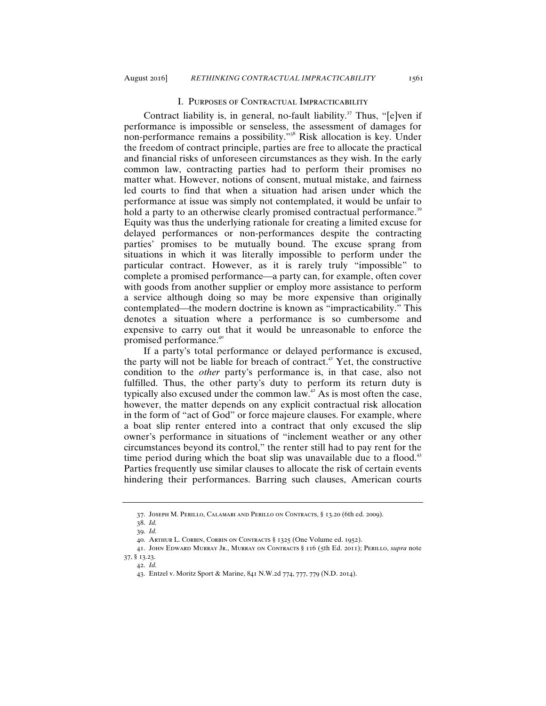## I. Purposes of Contractual Impracticability

Contract liability is, in general, no-fault liability.<sup>37</sup> Thus, "[e]ven if performance is impossible or senseless, the assessment of damages for non-performance remains a possibility."<sup>38</sup> Risk allocation is key. Under the freedom of contract principle, parties are free to allocate the practical and financial risks of unforeseen circumstances as they wish. In the early common law, contracting parties had to perform their promises no matter what. However, notions of consent, mutual mistake, and fairness led courts to find that when a situation had arisen under which the performance at issue was simply not contemplated, it would be unfair to hold a party to an otherwise clearly promised contractual performance.<sup>39</sup> Equity was thus the underlying rationale for creating a limited excuse for delayed performances or non-performances despite the contracting parties' promises to be mutually bound. The excuse sprang from situations in which it was literally impossible to perform under the particular contract. However, as it is rarely truly "impossible" to complete a promised performance—a party can, for example, often cover with goods from another supplier or employ more assistance to perform a service although doing so may be more expensive than originally contemplated—the modern doctrine is known as "impracticability." This denotes a situation where a performance is so cumbersome and expensive to carry out that it would be unreasonable to enforce the promised performance.<sup>40</sup>

If a party's total performance or delayed performance is excused, the party will not be liable for breach of contract.<sup>41</sup> Yet, the constructive condition to the *other* party's performance is, in that case, also not fulfilled. Thus, the other party's duty to perform its return duty is typically also excused under the common law.<sup> $42}$ </sup> As is most often the case, however, the matter depends on any explicit contractual risk allocation in the form of "act of God" or force majeure clauses. For example, where a boat slip renter entered into a contract that only excused the slip owner's performance in situations of "inclement weather or any other circumstances beyond its control," the renter still had to pay rent for the time period during which the boat slip was unavailable due to a flood.<sup> $43$ </sup> Parties frequently use similar clauses to allocate the risk of certain events hindering their performances. Barring such clauses, American courts

<sup>37</sup>. Joseph M. Perillo, Calamari and Perillo on Contracts, § 13.20 (6th ed. 2009).

<sup>38</sup>. *Id.*

<sup>39</sup>. *Id.*

<sup>40</sup>. Arthur L. Corbin, Corbin on Contracts § 1325 (One Volume ed. 1952).

<sup>41</sup>. John Edward Murray Jr., Murray on Contracts § 116 (5th Ed. 2011); Perillo, *supra* note 37, § 13.23.

<sup>42</sup>. *Id.*

<sup>43</sup>. Entzel v. Moritz Sport & Marine, 841 N.W.2d 774, 777, 779 (N.D. 2014).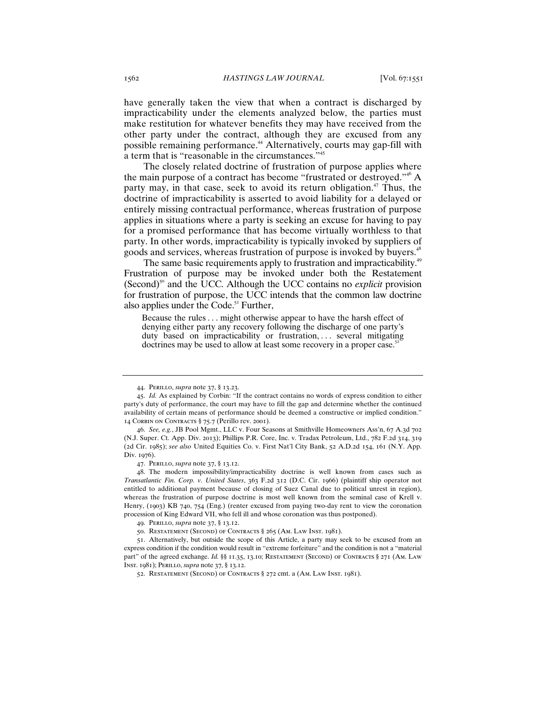have generally taken the view that when a contract is discharged by impracticability under the elements analyzed below, the parties must make restitution for whatever benefits they may have received from the other party under the contract, although they are excused from any possible remaining performance.<sup>44</sup> Alternatively, courts may gap-fill with a term that is "reasonable in the circumstances."<sup>45</sup>

The closely related doctrine of frustration of purpose applies where the main purpose of a contract has become "frustrated or destroyed."<sup>46</sup> A party may, in that case, seek to avoid its return obligation.<sup>47</sup> Thus, the doctrine of impracticability is asserted to avoid liability for a delayed or entirely missing contractual performance, whereas frustration of purpose applies in situations where a party is seeking an excuse for having to pay for a promised performance that has become virtually worthless to that party. In other words, impracticability is typically invoked by suppliers of goods and services, whereas frustration of purpose is invoked by buyers.<sup>48</sup>

The same basic requirements apply to frustration and impracticability.<sup>49</sup> Frustration of purpose may be invoked under both the Restatement (Second)<sup>50</sup> and the UCC. Although the UCC contains no *explicit* provision for frustration of purpose, the UCC intends that the common law doctrine also applies under the Code.<sup>51</sup> Further,

Because the rules . . . might otherwise appear to have the harsh effect of denying either party any recovery following the discharge of one party's duty based on impracticability or frustration, ... several mitigating doctrines may be used to allow at least some recovery in a proper case.<sup>52</sup>

<sup>44</sup>. Perillo, *supra* note 37, § 13.23.

<sup>45</sup>. *Id.* As explained by Corbin: "If the contract contains no words of express condition to either party's duty of performance, the court may have to fill the gap and determine whether the continued availability of certain means of performance should be deemed a constructive or implied condition." 14 Corbin on Contracts § 75.7 (Perillo rev. 2001).

<sup>46</sup>. *See, e.g.*, JB Pool Mgmt., LLC v. Four Seasons at Smithville Homeowners Ass'n, 67 A.3d 702 (N.J. Super. Ct. App. Div. 2013); Phillips P.R. Core, Inc. v. Tradax Petroleum, Ltd., 782 F.2d 314, 319 (2d Cir. 1985); *see also* United Equities Co. v. First Nat'l City Bank, 52 A.D.2d 154, 161 (N.Y. App. Div. 1976).

<sup>47</sup>. Perillo, *supra* note 37, § 13.12.

<sup>48</sup>. The modern impossibility/impracticability doctrine is well known from cases such as *Transatlantic Fin. Corp. v. United States*, 363 F.2d 312 (D.C. Cir. 1966) (plaintiff ship operator not entitled to additional payment because of closing of Suez Canal due to political unrest in region), whereas the frustration of purpose doctrine is most well known from the seminal case of Krell v. Henry, (1903) KB 740, 754 (Eng.) (renter excused from paying two-day rent to view the coronation procession of King Edward VII, who fell ill and whose coronation was thus postponed).

<sup>49</sup>. Perillo, *supra* note 37, § 13.12.

<sup>50</sup>. Restatement (Second) of Contracts § 265 (Am. Law Inst. 1981).

<sup>51</sup>. Alternatively, but outside the scope of this Article, a party may seek to be excused from an express condition if the condition would result in "extreme forfeiture" and the condition is not a "material part" of the agreed exchange. *Id.* §§ 11.35, 13.10; RESTATEMENT (SECOND) OF CONTRACTS § 271 (AM. LAW Inst. 1981); Perillo, *supra* note 37, § 13.12.

<sup>52.</sup> RESTATEMENT (SECOND) OF CONTRACTS § 272 cmt. a (AM. LAW INST. 1981).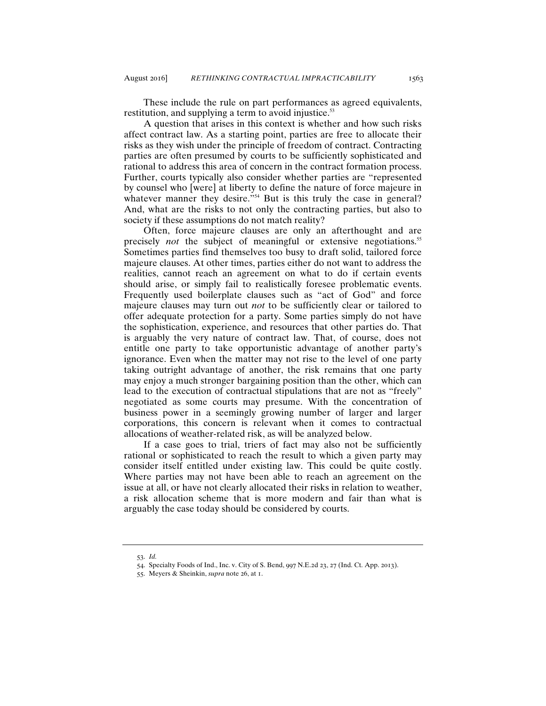These include the rule on part performances as agreed equivalents, restitution, and supplying a term to avoid injustice.<sup>53</sup>

A question that arises in this context is whether and how such risks affect contract law. As a starting point, parties are free to allocate their risks as they wish under the principle of freedom of contract. Contracting parties are often presumed by courts to be sufficiently sophisticated and rational to address this area of concern in the contract formation process. Further, courts typically also consider whether parties are "represented by counsel who [were] at liberty to define the nature of force majeure in whatever manner they desire."<sup>54</sup> But is this truly the case in general? And, what are the risks to not only the contracting parties, but also to society if these assumptions do not match reality?

Often, force majeure clauses are only an afterthought and are precisely *not* the subject of meaningful or extensive negotiations.<sup>55</sup> Sometimes parties find themselves too busy to draft solid, tailored force majeure clauses. At other times, parties either do not want to address the realities, cannot reach an agreement on what to do if certain events should arise, or simply fail to realistically foresee problematic events. Frequently used boilerplate clauses such as "act of God" and force majeure clauses may turn out *not* to be sufficiently clear or tailored to offer adequate protection for a party. Some parties simply do not have the sophistication, experience, and resources that other parties do. That is arguably the very nature of contract law. That, of course, does not entitle one party to take opportunistic advantage of another party's ignorance. Even when the matter may not rise to the level of one party taking outright advantage of another, the risk remains that one party may enjoy a much stronger bargaining position than the other, which can lead to the execution of contractual stipulations that are not as "freely" negotiated as some courts may presume. With the concentration of business power in a seemingly growing number of larger and larger corporations, this concern is relevant when it comes to contractual allocations of weather-related risk, as will be analyzed below.

If a case goes to trial, triers of fact may also not be sufficiently rational or sophisticated to reach the result to which a given party may consider itself entitled under existing law. This could be quite costly. Where parties may not have been able to reach an agreement on the issue at all, or have not clearly allocated their risks in relation to weather, a risk allocation scheme that is more modern and fair than what is arguably the case today should be considered by courts.

<sup>53</sup>. *Id.*

<sup>54</sup>. Specialty Foods of Ind., Inc. v. City of S. Bend, 997 N.E.2d 23, 27 (Ind. Ct. App. 2013).

<sup>55</sup>. Meyers & Sheinkin, *supra* note 26, at 1.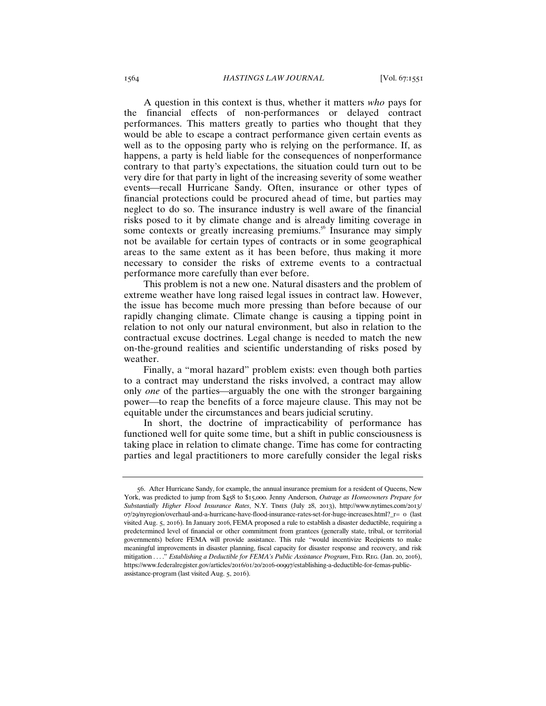A question in this context is thus, whether it matters *who* pays for the financial effects of non-performances or delayed contract performances. This matters greatly to parties who thought that they would be able to escape a contract performance given certain events as well as to the opposing party who is relying on the performance. If, as happens, a party is held liable for the consequences of nonperformance contrary to that party's expectations, the situation could turn out to be very dire for that party in light of the increasing severity of some weather events—recall Hurricane Sandy. Often, insurance or other types of financial protections could be procured ahead of time, but parties may neglect to do so. The insurance industry is well aware of the financial risks posed to it by climate change and is already limiting coverage in some contexts or greatly increasing premiums.<sup>56</sup> Insurance may simply not be available for certain types of contracts or in some geographical areas to the same extent as it has been before, thus making it more necessary to consider the risks of extreme events to a contractual performance more carefully than ever before.

This problem is not a new one. Natural disasters and the problem of extreme weather have long raised legal issues in contract law. However, the issue has become much more pressing than before because of our rapidly changing climate. Climate change is causing a tipping point in relation to not only our natural environment, but also in relation to the contractual excuse doctrines. Legal change is needed to match the new on-the-ground realities and scientific understanding of risks posed by weather.

Finally, a "moral hazard" problem exists: even though both parties to a contract may understand the risks involved, a contract may allow only *one* of the parties—arguably the one with the stronger bargaining power—to reap the benefits of a force majeure clause. This may not be equitable under the circumstances and bears judicial scrutiny.

In short, the doctrine of impracticability of performance has functioned well for quite some time, but a shift in public consciousness is taking place in relation to climate change. Time has come for contracting parties and legal practitioners to more carefully consider the legal risks

<sup>56</sup>. After Hurricane Sandy, for example, the annual insurance premium for a resident of Queens, New York, was predicted to jump from \$458 to \$15,000. Jenny Anderson, *Outrage as Homeowners Prepare for Substantially Higher Flood Insurance Rates*, N.Y. Times (July 28, 2013), http://www.nytimes.com/2013/ 07/29/nyregion/overhaul-and-a-hurricane-have-flood-insurance-rates-set-for-huge-increases.html?\_r= 0 (last visited Aug. 5, 2016). In January 2016, FEMA proposed a rule to establish a disaster deductible, requiring a predetermined level of financial or other commitment from grantees (generally state, tribal, or territorial governments) before FEMA will provide assistance. This rule "would incentivize Recipients to make meaningful improvements in disaster planning, fiscal capacity for disaster response and recovery, and risk mitigation . . . . " *Establishing a Deductible for FEMA's Public Assistance Program*, FED. REG. (Jan. 20, 2016), https://www.federalregister.gov/articles/2016/01/20/2016-00997/establishing-a-deductible-for-femas-publicassistance-program (last visited Aug. 5, 2016).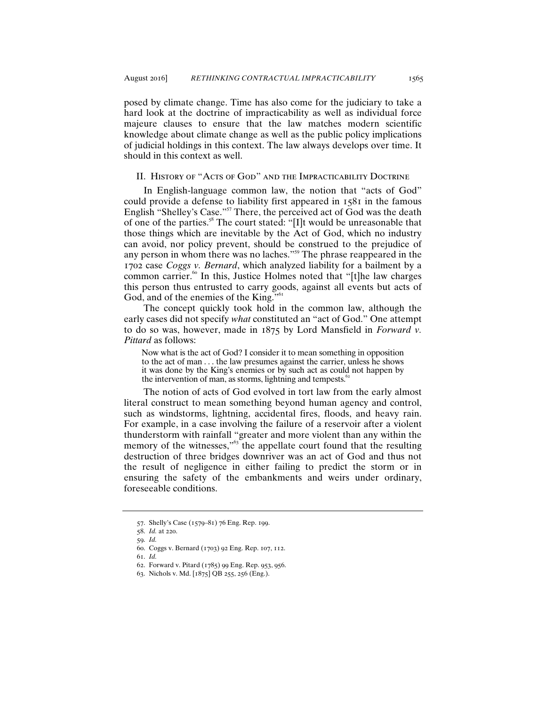posed by climate change. Time has also come for the judiciary to take a hard look at the doctrine of impracticability as well as individual force majeure clauses to ensure that the law matches modern scientific knowledge about climate change as well as the public policy implications of judicial holdings in this context. The law always develops over time. It should in this context as well.

## II. History of "Acts of God" and the Impracticability Doctrine

In English-language common law, the notion that "acts of God" could provide a defense to liability first appeared in 1581 in the famous English "Shelley's Case."<sup>57</sup> There, the perceived act of God was the death of one of the parties.<sup>58</sup> The court stated: "[I]t would be unreasonable that those things which are inevitable by the Act of God, which no industry can avoid, nor policy prevent, should be construed to the prejudice of any person in whom there was no laches."<sup>59</sup> The phrase reappeared in the 1702 case *Coggs v. Bernard*, which analyzed liability for a bailment by a common carrier. $60$  In this, Justice Holmes noted that "[t]he law charges this person thus entrusted to carry goods, against all events but acts of God, and of the enemies of the King."<sup>61</sup>

The concept quickly took hold in the common law, although the early cases did not specify *what* constituted an "act of God." One attempt to do so was, however, made in 1875 by Lord Mansfield in *Forward v. Pittard* as follows:

Now what is the act of God? I consider it to mean something in opposition to the act of man . . . the law presumes against the carrier, unless he shows it was done by the King's enemies or by such act as could not happen by the intervention of man, as storms, lightning and tempests. $\degree$ 

The notion of acts of God evolved in tort law from the early almost literal construct to mean something beyond human agency and control, such as windstorms, lightning, accidental fires, floods, and heavy rain. For example, in a case involving the failure of a reservoir after a violent thunderstorm with rainfall "greater and more violent than any within the memory of the witnesses," $63$  the appellate court found that the resulting destruction of three bridges downriver was an act of God and thus not the result of negligence in either failing to predict the storm or in ensuring the safety of the embankments and weirs under ordinary, foreseeable conditions.

<sup>57</sup>. Shelly's Case (1579–81) 76 Eng. Rep. 199.

<sup>58</sup>. *Id.* at 220.

<sup>59</sup>. *Id.*

<sup>60</sup>. Coggs v. Bernard (1703) 92 Eng. Rep. 107, 112.

<sup>61</sup>. *Id.*

<sup>62</sup>. Forward v. Pitard (1785) 99 Eng. Rep. 953, 956.

<sup>63</sup>. Nichols v. Md. [1875] QB 255, 256 (Eng.).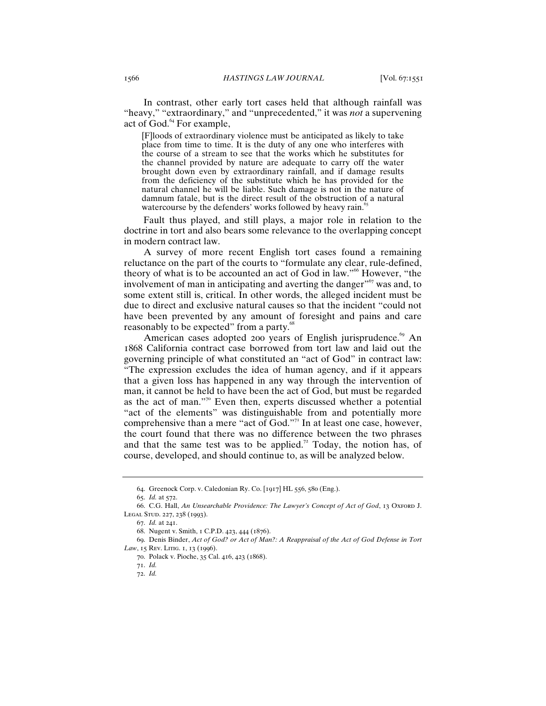In contrast, other early tort cases held that although rainfall was "heavy," "extraordinary," and "unprecedented," it was *not* a supervening act of God.<sup>64</sup> For example,

[F]loods of extraordinary violence must be anticipated as likely to take place from time to time. It is the duty of any one who interferes with the course of a stream to see that the works which he substitutes for the channel provided by nature are adequate to carry off the water brought down even by extraordinary rainfall, and if damage results from the deficiency of the substitute which he has provided for the natural channel he will be liable. Such damage is not in the nature of damnum fatale, but is the direct result of the obstruction of a natural watercourse by the defenders' works followed by heavy rain.<sup>65</sup>

Fault thus played, and still plays, a major role in relation to the doctrine in tort and also bears some relevance to the overlapping concept in modern contract law.

A survey of more recent English tort cases found a remaining reluctance on the part of the courts to "formulate any clear, rule-defined, theory of what is to be accounted an act of God in law."<sup>66</sup> However, "the involvement of man in anticipating and averting the danger $\frac{1}{6}$  was and, to some extent still is, critical. In other words, the alleged incident must be due to direct and exclusive natural causes so that the incident "could not have been prevented by any amount of foresight and pains and care reasonably to be expected" from a party.<sup>88</sup>

American cases adopted 200 years of English jurisprudence.<sup>69</sup> An 1868 California contract case borrowed from tort law and laid out the governing principle of what constituted an "act of God" in contract law: "The expression excludes the idea of human agency, and if it appears that a given loss has happened in any way through the intervention of man, it cannot be held to have been the act of God, but must be regarded as the act of man."<sup>70</sup> Even then, experts discussed whether a potential "act of the elements" was distinguishable from and potentially more comprehensive than a mere "act of God."<sup>71</sup> In at least one case, however, the court found that there was no difference between the two phrases and that the same test was to be applied.<sup>72</sup> Today, the notion has, of course, developed, and should continue to, as will be analyzed below.

<sup>64</sup>. Greenock Corp. v. Caledonian Ry. Co. [1917] HL 556, 580 (Eng.).

<sup>65</sup>. *Id.* at 572.

<sup>66</sup>. C.G. Hall, *An Unsearchable Providence: The Lawyer's Concept of Act of God*, 13 Oxford J. LEGAL STUD. 227, 238 (1993).

<sup>67</sup>. *Id.* at 241.

<sup>68</sup>. Nugent v. Smith, 1 C.P.D. 423, 444 (1876).

<sup>69</sup>. Denis Binder, *Act of God? or Act of Man?: A Reappraisal of the Act of God Defense in Tort*  Law, 15 REV. LITIG. 1, 13 (1996).

<sup>70</sup>. Polack v. Pioche, 35 Cal. 416, 423 (1868).

<sup>71</sup>. *Id.*

<sup>72</sup>. *Id.*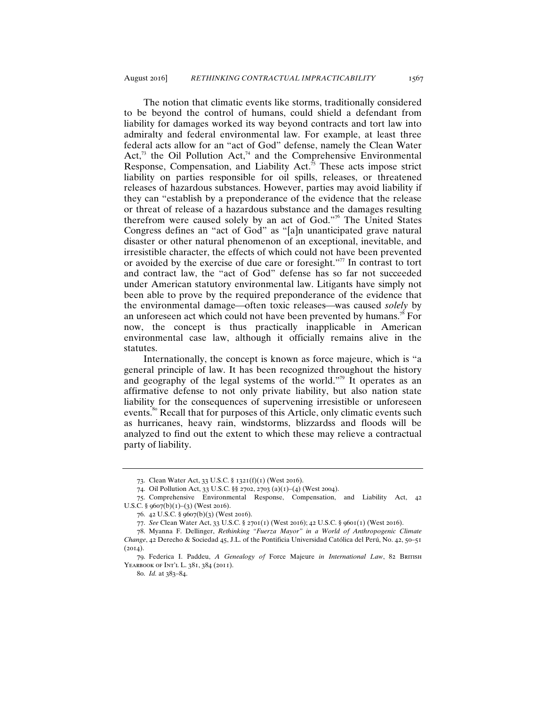The notion that climatic events like storms, traditionally considered to be beyond the control of humans, could shield a defendant from liability for damages worked its way beyond contracts and tort law into admiralty and federal environmental law. For example, at least three federal acts allow for an "act of God" defense, namely the Clean Water Act, $73$  the Oil Pollution Act, $74$  and the Comprehensive Environmental Response, Compensation, and Liability Act. $\bar{7}$ <sup>5</sup> These acts impose strict liability on parties responsible for oil spills, releases, or threatened releases of hazardous substances. However, parties may avoid liability if they can "establish by a preponderance of the evidence that the release or threat of release of a hazardous substance and the damages resulting therefrom were caused solely by an act of God."<sup>76</sup> The United States Congress defines an "act of God" as "[a]n unanticipated grave natural disaster or other natural phenomenon of an exceptional, inevitable, and irresistible character, the effects of which could not have been prevented or avoided by the exercise of due care or foresight."<sup>77</sup> In contrast to tort and contract law, the "act of God" defense has so far not succeeded under American statutory environmental law. Litigants have simply not been able to prove by the required preponderance of the evidence that the environmental damage—often toxic releases—was caused *solely* by an unforeseen act which could not have been prevented by humans.<sup>78</sup> For now, the concept is thus practically inapplicable in American environmental case law, although it officially remains alive in the statutes.

Internationally, the concept is known as force majeure, which is "a general principle of law. It has been recognized throughout the history and geography of the legal systems of the world."<sup>79</sup> It operates as an affirmative defense to not only private liability, but also nation state liability for the consequences of supervening irresistible or unforeseen events.<sup>80</sup> Recall that for purposes of this Article, only climatic events such as hurricanes, heavy rain, windstorms, blizzardss and floods will be analyzed to find out the extent to which these may relieve a contractual party of liability.

<sup>73</sup>. Clean Water Act, 33 U.S.C. § 1321(f)(1) (West 2016).

<sup>74</sup>. Oil Pollution Act, 33 U.S.C. §§ 2702, 2703 (a)(1)–(4) (West 2004).

<sup>75</sup>. Comprehensive Environmental Response, Compensation, and Liability Act, 42 U.S.C. § 9607(b)(1)-(3) (West 2016).

<sup>76</sup>. 42 U.S.C. § 9607(b)(3) (West 2016).

<sup>77</sup>. *See* Clean Water Act, 33 U.S.C. § 2701(1) (West 2016); 42 U.S.C. § 9601(1) (West 2016).

<sup>78</sup>. Myanna F. Dellinger, *Rethinking "Fuerza Mayor" in a World of Anthropogenic Climate Change*, 42 Derecho & Sociedad 45, J.L. of the Pontificia Universidad Católica del Perú, No. 42, 50–51  $(2014)$ .

<sup>79</sup>. Federica I. Paddeu, *A Genealogy of* Force Majeure *in International Law*, 82 British YEARBOOK OF INT'L L. 381, 384 (2011).

<sup>80</sup>. *Id.* at 383–84.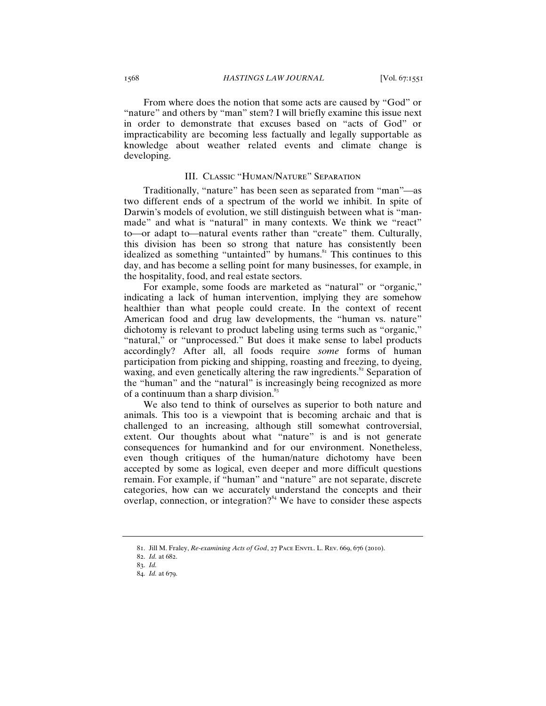From where does the notion that some acts are caused by "God" or "nature" and others by "man" stem? I will briefly examine this issue next in order to demonstrate that excuses based on "acts of God" or impracticability are becoming less factually and legally supportable as knowledge about weather related events and climate change is developing.

## III. Classic "Human/Nature" Separation

Traditionally, "nature" has been seen as separated from "man"—as two different ends of a spectrum of the world we inhibit. In spite of Darwin's models of evolution, we still distinguish between what is "manmade" and what is "natural" in many contexts. We think we "react" to—or adapt to—natural events rather than "create" them. Culturally, this division has been so strong that nature has consistently been idealized as something "untainted" by humans.<sup>81</sup> This continues to this day, and has become a selling point for many businesses, for example, in the hospitality, food, and real estate sectors.

For example, some foods are marketed as "natural" or "organic," indicating a lack of human intervention, implying they are somehow healthier than what people could create. In the context of recent American food and drug law developments, the "human vs. nature" dichotomy is relevant to product labeling using terms such as "organic," "natural," or "unprocessed." But does it make sense to label products accordingly? After all, all foods require *some* forms of human participation from picking and shipping, roasting and freezing, to dyeing, waxing, and even genetically altering the raw ingredients.<sup>82</sup> Separation of the "human" and the "natural" is increasingly being recognized as more of a continuum than a sharp division. $83$ 

We also tend to think of ourselves as superior to both nature and animals. This too is a viewpoint that is becoming archaic and that is challenged to an increasing, although still somewhat controversial, extent. Our thoughts about what "nature" is and is not generate consequences for humankind and for our environment. Nonetheless, even though critiques of the human/nature dichotomy have been accepted by some as logical, even deeper and more difficult questions remain. For example, if "human" and "nature" are not separate, discrete categories, how can we accurately understand the concepts and their overlap, connection, or integration?<sup>84</sup> We have to consider these aspects

<sup>81</sup>. Jill M. Fraley, *Re-examining Acts of God*, 27 Pace Envtl. L. Rev. 669, 676 (2010).

<sup>82</sup>. *Id.* at 682.

<sup>83</sup>. *Id.*

<sup>84</sup>. *Id.* at 679.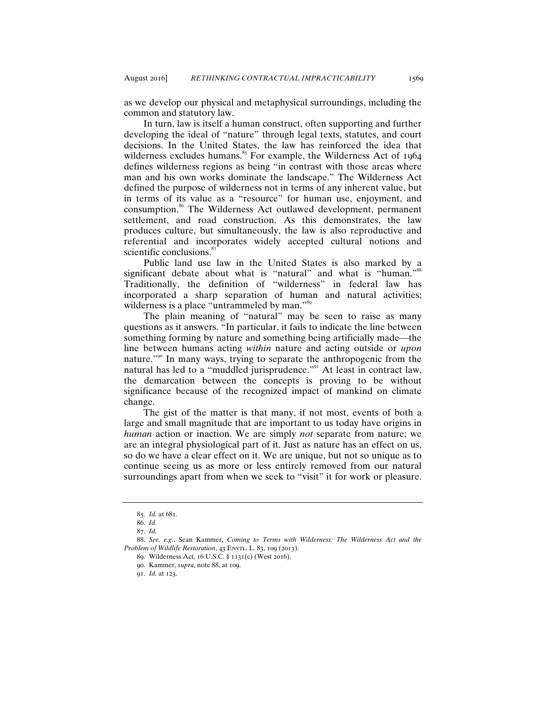as we develop our physical and metaphysical surroundings, including the common and statutory law.

In turn, law is itself a human construct, often supporting and further developing the ideal of "nature" through legal texts, statutes, and court decisions. In the United States, the law has reinforced the idea that wilderness excludes humans. $85$  For example, the Wilderness Act of 1964 defines wilderness regions as being "in contrast with those areas where man and his own works dominate the landscape." The Wilderness Act defined the purpose of wilderness not in terms of any inherent value, but in terms of its value as a "resource" for human use, enjoyment, and consumption.<sup>86</sup> The Wilderness Act outlawed development, permanent settlement, and road construction. As this demonstrates, the law produces culture, but simultaneously, the law is also reproductive and referential and incorporates widely accepted cultural notions and scientific conclusions.<sup>8</sup>

Public land use law in the United States is also marked by a significant debate about what is "natural" and what is "human."<sup>88</sup> Traditionally, the definition of "wilderness" in federal law has incorporated a sharp separation of human and natural activities; wilderness is a place "untrammeled by man."<sup>89</sup>

The plain meaning of "natural" may be seen to raise as many questions as it answers. "In particular, it fails to indicate the line between something forming by nature and something being artificially made—the line between humans acting *within* nature and acting outside or *upon* nature."<sup>90</sup> In many ways, trying to separate the anthropogenic from the natural has led to a "muddled jurisprudence."<sup>91</sup> At least in contract law, the demarcation between the concepts is proving to be without significance because of the recognized impact of mankind on climate change.

The gist of the matter is that many, if not most, events of both a large and small magnitude that are important to us today have origins in *human* action or inaction. We are simply *not* separate from nature; we are an integral physiological part of it. Just as nature has an effect on us, so do we have a clear effect on it. We are unique, but not so unique as to continue seeing us as more or less entirely removed from our natural surroundings apart from when we seek to "visit" it for work or pleasure.

<sup>85</sup>. *Id.* at 681.

<sup>86</sup>. *Id.*

<sup>87</sup>. *Id.*

<sup>88</sup>. *See, e.g.*, Sean Kammer, *Coming to Terms with Wilderness: The Wilderness Act and the Problem of Wildlife Restoration*, 43 ENVTL. L. 83, 109 (2013).

<sup>89</sup>. Wilderness Act, 16 U.S.C. § 1131(c) (West 2016).

<sup>90</sup>. Kammer, *supra*, note 88, at 109.

<sup>91</sup>. *Id.* at 123.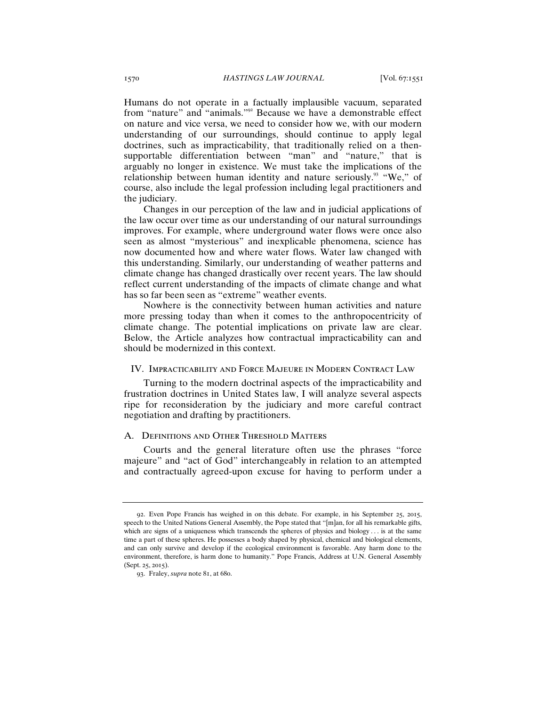Humans do not operate in a factually implausible vacuum, separated from "nature" and "animals."<sup>92</sup> Because we have a demonstrable effect on nature and vice versa, we need to consider how we, with our modern understanding of our surroundings, should continue to apply legal doctrines, such as impracticability, that traditionally relied on a thensupportable differentiation between "man" and "nature," that is arguably no longer in existence. We must take the implications of the relationship between human identity and nature seriously.<sup>93</sup> "We," of course, also include the legal profession including legal practitioners and the judiciary.

Changes in our perception of the law and in judicial applications of the law occur over time as our understanding of our natural surroundings improves. For example, where underground water flows were once also seen as almost "mysterious" and inexplicable phenomena, science has now documented how and where water flows. Water law changed with this understanding. Similarly, our understanding of weather patterns and climate change has changed drastically over recent years. The law should reflect current understanding of the impacts of climate change and what has so far been seen as "extreme" weather events.

Nowhere is the connectivity between human activities and nature more pressing today than when it comes to the anthropocentricity of climate change. The potential implications on private law are clear. Below, the Article analyzes how contractual impracticability can and should be modernized in this context.

## IV. Impracticability and Force Majeure in Modern Contract Law

Turning to the modern doctrinal aspects of the impracticability and frustration doctrines in United States law, I will analyze several aspects ripe for reconsideration by the judiciary and more careful contract negotiation and drafting by practitioners.

## A. Definitions and Other Threshold Matters

Courts and the general literature often use the phrases "force majeure" and "act of God" interchangeably in relation to an attempted and contractually agreed-upon excuse for having to perform under a

<sup>92</sup>. Even Pope Francis has weighed in on this debate. For example, in his September 25, 2015, speech to the United Nations General Assembly, the Pope stated that "[m]an, for all his remarkable gifts, which are signs of a uniqueness which transcends the spheres of physics and biology . . . is at the same time a part of these spheres. He possesses a body shaped by physical, chemical and biological elements, and can only survive and develop if the ecological environment is favorable. Any harm done to the environment, therefore, is harm done to humanity." Pope Francis, Address at U.N. General Assembly (Sept. 25, 2015).

<sup>93</sup>. Fraley, *supra* note 81, at 680.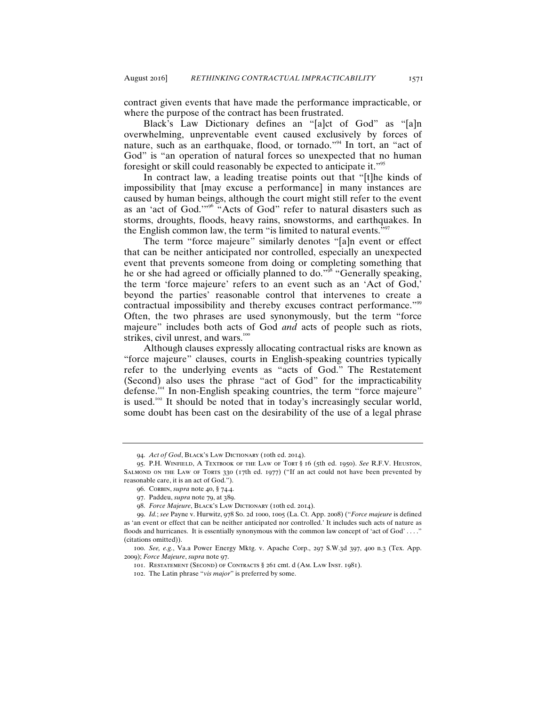contract given events that have made the performance impracticable, or where the purpose of the contract has been frustrated.

Black's Law Dictionary defines an "[a]ct of God" as "[a]n overwhelming, unpreventable event caused exclusively by forces of nature, such as an earthquake, flood, or tornado."<sup>94</sup> In tort, an "act of God" is "an operation of natural forces so unexpected that no human foresight or skill could reasonably be expected to anticipate it."<sup>95</sup>

In contract law, a leading treatise points out that "[t]he kinds of impossibility that [may excuse a performance] in many instances are caused by human beings, although the court might still refer to the event as an 'act of God.'"<sup>96</sup> "Acts of God" refer to natural disasters such as storms, droughts, floods, heavy rains, snowstorms, and earthquakes. In the English common law, the term "is limited to natural events."<sup>97</sup>

The term "force majeure" similarly denotes "[a]n event or effect that can be neither anticipated nor controlled, especially an unexpected event that prevents someone from doing or completing something that he or she had agreed or officially planned to do."<sup>98</sup> "Generally speaking, the term 'force majeure' refers to an event such as an 'Act of God,' beyond the parties' reasonable control that intervenes to create a contractual impossibility and thereby excuses contract performance."<sup>99</sup> Often, the two phrases are used synonymously, but the term "force majeure" includes both acts of God *and* acts of people such as riots, strikes, civil unrest, and wars.<sup>100</sup>

Although clauses expressly allocating contractual risks are known as "force majeure" clauses, courts in English-speaking countries typically refer to the underlying events as "acts of God." The Restatement (Second) also uses the phrase "act of God" for the impracticability defense.<sup>101</sup> In non-English speaking countries, the term "force majeure" is used.<sup>102</sup> It should be noted that in today's increasingly secular world, some doubt has been cast on the desirability of the use of a legal phrase

<sup>94.</sup> *Act of God*, BLACK's LAW DICTIONARY (10th ed. 2014).

<sup>95</sup>. P.H. Winfield, A Textbook of the Law of Tort § 16 (5th ed. 1950). *See* R.F.V. Heuston, SALMOND ON THE LAW OF TORTS  $330$  (17th ed. 1977) ("If an act could not have been prevented by reasonable care, it is an act of God.").

<sup>96</sup>. Corbin, *supra* note 40, § 74.4.

<sup>97</sup>. Paddeu, *supra* note 79, at 389.

<sup>98.</sup> Force Majeure, BLACK's LAW DICTIONARY (10th ed. 2014).

<sup>99</sup>. *Id.*; *see* Payne v. Hurwitz, 978 So. 2d 1000, 1005 (La. Ct. App. 2008) ("*Force majeure* is defined as 'an event or effect that can be neither anticipated nor controlled.' It includes such acts of nature as floods and hurricanes. It is essentially synonymous with the common law concept of 'act of God'....' (citations omitted)).

<sup>100</sup>. *See, e.g.*, Va.a Power Energy Mktg. v. Apache Corp., 297 S.W.3d 397, 400 n.3 (Tex. App. 2009); *Force Majeure*, *supra* note 97.

<sup>101.</sup> RESTATEMENT (SECOND) OF CONTRACTS § 261 cmt. d (AM. LAW INST. 1981).

<sup>102</sup>. The Latin phrase "*vis major*" is preferred by some.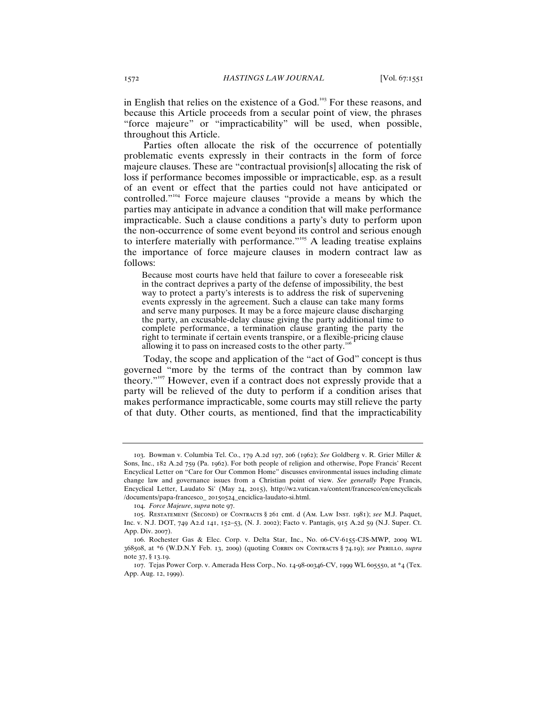in English that relies on the existence of a God.<sup>103</sup> For these reasons, and because this Article proceeds from a secular point of view, the phrases "force majeure" or "impracticability" will be used, when possible, throughout this Article.

Parties often allocate the risk of the occurrence of potentially problematic events expressly in their contracts in the form of force majeure clauses. These are "contractual provision[s] allocating the risk of loss if performance becomes impossible or impracticable, esp. as a result of an event or effect that the parties could not have anticipated or controlled."<sup>104</sup> Force majeure clauses "provide a means by which the parties may anticipate in advance a condition that will make performance impracticable. Such a clause conditions a party's duty to perform upon the non-occurrence of some event beyond its control and serious enough to interfere materially with performance."<sup>105</sup> A leading treatise explains the importance of force majeure clauses in modern contract law as follows:

Because most courts have held that failure to cover a foreseeable risk in the contract deprives a party of the defense of impossibility, the best way to protect a party's interests is to address the risk of supervening events expressly in the agreement. Such a clause can take many forms and serve many purposes. It may be a force majeure clause discharging the party, an excusable-delay clause giving the party additional time to complete performance, a termination clause granting the party the right to terminate if certain events transpire, or a flexible-pricing clause allowing it to pass on increased costs to the other party.<sup>10</sup>

Today, the scope and application of the "act of God" concept is thus governed "more by the terms of the contract than by common law theory."<sup>107</sup> However, even if a contract does not expressly provide that a party will be relieved of the duty to perform if a condition arises that makes performance impracticable, some courts may still relieve the party of that duty. Other courts, as mentioned, find that the impracticability

<sup>103</sup>. Bowman v. Columbia Tel. Co., 179 A.2d 197, 206 (1962); *See* Goldberg v. R. Grier Miller & Sons, Inc., 182 A.2d 759 (Pa. 1962). For both people of religion and otherwise, Pope Francis' Recent Encyclical Letter on "Care for Our Common Home" discusses environmental issues including climate change law and governance issues from a Christian point of view. *See generally* Pope Francis, Encyclical Letter, Laudato Si' (May 24, 2015), http://w2.vatican.va/content/francesco/en/encyclicals /documents/papa-francesco\_ 20150524\_enciclica-laudato-si.html.

<sup>104</sup>. *Force Majeure*, *supra* note 97.

<sup>105</sup>. Restatement (Second) of Contracts § 261 cmt. d (Am. Law Inst. 1981); *see* M.J. Paquet, Inc. v. N.J. DOT, 749 A2.d 141, 152–53, (N. J. 2002); Facto v. Pantagis, 915 A.2d 59 (N.J. Super. Ct. App. Div. 2007).

<sup>106</sup>. Rochester Gas & Elec. Corp. v. Delta Star, Inc., No. 06-CV-6155-CJS-MWP, 2009 WL 368508, at \*6 (W.D.N.Y Feb. 13, 2009) (quoting Corbin on Contracts § 74.19); *see* Perillo, *supra* note 37, § 13.19.

<sup>107</sup>. Tejas Power Corp. v. Amerada Hess Corp., No. 14-98-00346-CV, 1999 WL 605550, at \*4 (Tex. App. Aug. 12, 1999).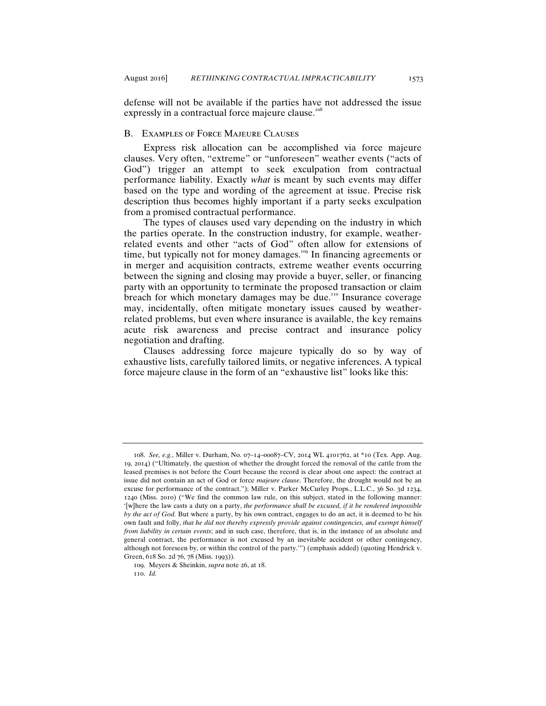defense will not be available if the parties have not addressed the issue expressly in a contractual force majeure clause.<sup>10</sup>

#### B. Examples of Force Majeure Clauses

Express risk allocation can be accomplished via force majeure clauses. Very often, "extreme" or "unforeseen" weather events ("acts of God") trigger an attempt to seek exculpation from contractual performance liability. Exactly *what* is meant by such events may differ based on the type and wording of the agreement at issue. Precise risk description thus becomes highly important if a party seeks exculpation from a promised contractual performance.

The types of clauses used vary depending on the industry in which the parties operate. In the construction industry, for example, weatherrelated events and other "acts of God" often allow for extensions of time, but typically not for money damages.<sup>109</sup> In financing agreements or in merger and acquisition contracts, extreme weather events occurring between the signing and closing may provide a buyer, seller, or financing party with an opportunity to terminate the proposed transaction or claim breach for which monetary damages may be due.<sup>110</sup> Insurance coverage may, incidentally, often mitigate monetary issues caused by weatherrelated problems, but even where insurance is available, the key remains acute risk awareness and precise contract and insurance policy negotiation and drafting.

Clauses addressing force majeure typically do so by way of exhaustive lists, carefully tailored limits, or negative inferences. A typical force majeure clause in the form of an "exhaustive list" looks like this:

<sup>108</sup>. *See, e.g.*, Miller v. Durham, No. 07–14–00087–CV, 2014 WL 4101762, at \*10 (Tex. App. Aug. 19, 2014) ("Ultimately, the question of whether the drought forced the removal of the cattle from the leased premises is not before the Court because the record is clear about one aspect: the contract at issue did not contain an act of God or force *majeure clause*. Therefore, the drought would not be an excuse for performance of the contract."); Miller v. Parker McCurley Props., L.L.C., 36 So. 3d 1234, 1240 (Miss. 2010) ("We find the common law rule, on this subject, stated in the following manner: '[w]here the law casts a duty on a party, *the performance shall be excused, if it be rendered impossible by the act of God.* But where a party, by his own contract, engages to do an act, it is deemed to be his own fault and folly, *that he did not thereby expressly provide against contingencies, and exempt himself from liability in certain events*; and in such case, therefore, that is, in the instance of an absolute and general contract, the performance is not excused by an inevitable accident or other contingency, although not foreseen by, or within the control of the party.'") (emphasis added) (quoting Hendrick v. Green, 618 So. 2d 76, 78 (Miss. 1993)).

<sup>109</sup>. Meyers & Sheinkin, *supra* note 26, at 18.

<sup>110</sup>. *Id.*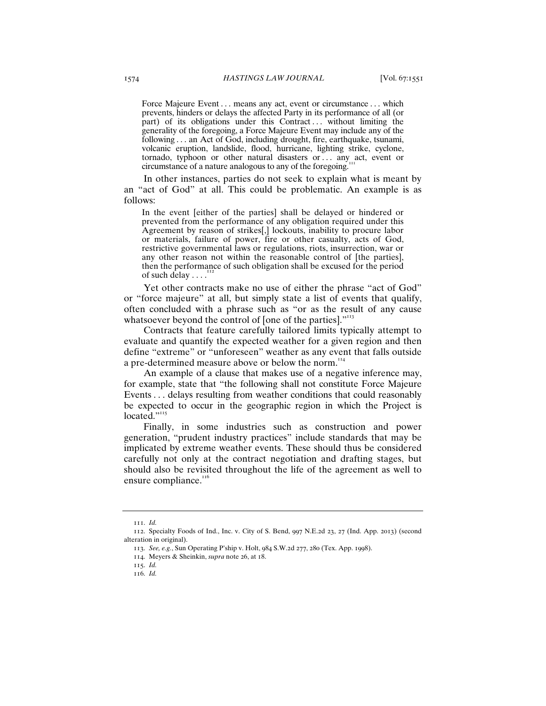Force Majeure Event . . . means any act, event or circumstance . . . which prevents, hinders or delays the affected Party in its performance of all (or part) of its obligations under this Contract ... without limiting the generality of the foregoing, a Force Majeure Event may include any of the following . . . an Act of God, including drought, fire, earthquake, tsunami, volcanic eruption, landslide, flood, hurricane, lighting strike, cyclone, tornado, typhoon or other natural disasters or . . . any act, event or circumstance of a nature analogous to any of the foregoing.

In other instances, parties do not seek to explain what is meant by an "act of God" at all. This could be problematic. An example is as follows:

In the event [either of the parties] shall be delayed or hindered or prevented from the performance of any obligation required under this Agreement by reason of strikes[,] lockouts, inability to procure labor or materials, failure of power, fire or other casualty, acts of God, restrictive governmental laws or regulations, riots, insurrection, war or any other reason not within the reasonable control of [the parties], then the performance of such obligation shall be excused for the period of such delay  $\dots$ <sup>1</sup>

Yet other contracts make no use of either the phrase "act of God" or "force majeure" at all, but simply state a list of events that qualify, often concluded with a phrase such as "or as the result of any cause whatsoever beyond the control of [one of the parties]."<sup>113</sup>

Contracts that feature carefully tailored limits typically attempt to evaluate and quantify the expected weather for a given region and then define "extreme" or "unforeseen" weather as any event that falls outside a pre-determined measure above or below the norm.<sup>114</sup>

An example of a clause that makes use of a negative inference may, for example, state that "the following shall not constitute Force Majeure Events . . . delays resulting from weather conditions that could reasonably be expected to occur in the geographic region in which the Project is located."<sup>115</sup>

Finally, in some industries such as construction and power generation, "prudent industry practices" include standards that may be implicated by extreme weather events. These should thus be considered carefully not only at the contract negotiation and drafting stages, but should also be revisited throughout the life of the agreement as well to ensure compliance.<sup>116</sup>

<sup>111</sup>. *Id.*

<sup>112</sup>. Specialty Foods of Ind., Inc. v. City of S. Bend, 997 N.E.2d 23, 27 (Ind. App. 2013) (second alteration in original).

<sup>113</sup>. *See, e.g.*, Sun Operating P'ship v. Holt, 984 S.W.2d 277, 280 (Tex. App. 1998).

<sup>114</sup>. Meyers & Sheinkin, *supra* note 26, at 18.

<sup>115</sup>. *Id.*

<sup>116</sup>. *Id.*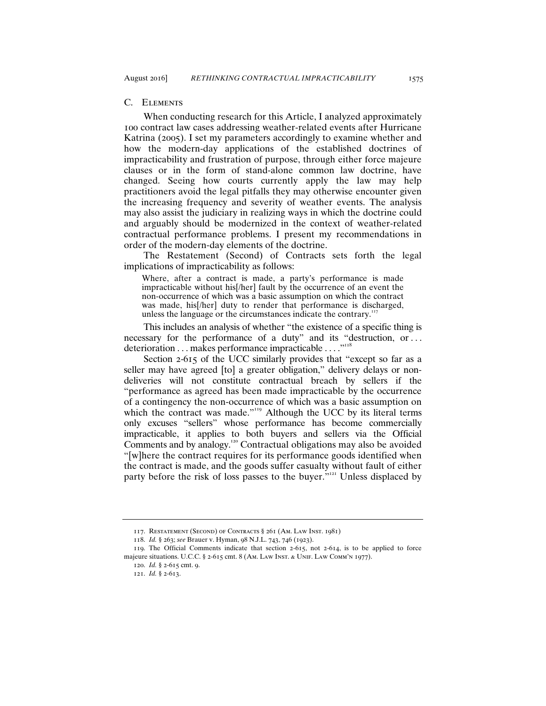## C. Elements

When conducting research for this Article, I analyzed approximately 100 contract law cases addressing weather-related events after Hurricane Katrina (2005). I set my parameters accordingly to examine whether and how the modern-day applications of the established doctrines of impracticability and frustration of purpose, through either force majeure clauses or in the form of stand-alone common law doctrine, have changed. Seeing how courts currently apply the law may help practitioners avoid the legal pitfalls they may otherwise encounter given the increasing frequency and severity of weather events. The analysis may also assist the judiciary in realizing ways in which the doctrine could and arguably should be modernized in the context of weather-related contractual performance problems. I present my recommendations in order of the modern-day elements of the doctrine.

The Restatement (Second) of Contracts sets forth the legal implications of impracticability as follows:

Where, after a contract is made, a party's performance is made impracticable without his[/her] fault by the occurrence of an event the non-occurrence of which was a basic assumption on which the contract was made, his[/her] duty to render that performance is discharged, unless the language or the circumstances indicate the contrary.<sup>117</sup>

This includes an analysis of whether "the existence of a specific thing is necessary for the performance of a duty" and its "destruction, or . . . deterioration . . . makes performance impracticable . . . ."<sup>118</sup>

Section 2-615 of the UCC similarly provides that "except so far as a seller may have agreed [to] a greater obligation," delivery delays or nondeliveries will not constitute contractual breach by sellers if the "performance as agreed has been made impracticable by the occurrence of a contingency the non-occurrence of which was a basic assumption on which the contract was made."<sup>119</sup> Although the UCC by its literal terms only excuses "sellers" whose performance has become commercially impracticable, it applies to both buyers and sellers via the Official Comments and by analogy.<sup>120</sup> Contractual obligations may also be avoided "[w]here the contract requires for its performance goods identified when the contract is made, and the goods suffer casualty without fault of either party before the risk of loss passes to the buyer.<sup>" $121$ </sup> Unless displaced by

<sup>117</sup>. Restatement (Second) of Contracts § 261 (Am. Law Inst. 1981)

<sup>118</sup>. *Id.* § 263; *see* Brauer v. Hyman, 98 N.J.L. 743, 746 (1923).

<sup>119</sup>. The Official Comments indicate that section 2-615, not 2-614, is to be applied to force majeure situations. U.C.C. § 2-615 cmt. 8 (AM. LAW INST. & UNIF. LAW COMM'N 1977).

<sup>120</sup>. *Id.* § 2-615 cmt. 9.

<sup>121</sup>. *Id.* § 2-613.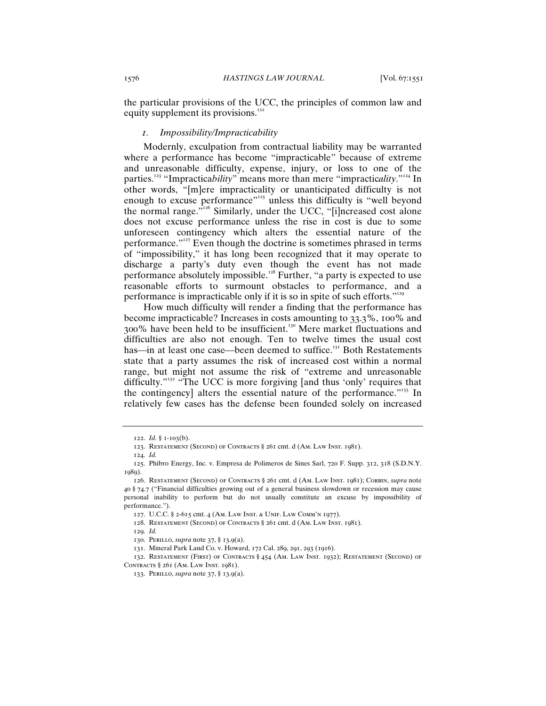the particular provisions of the UCC, the principles of common law and equity supplement its provisions.<sup>122</sup>

## *1. Impossibility/Impracticability*

Modernly, exculpation from contractual liability may be warranted where a performance has become "impracticable" because of extreme and unreasonable difficulty, expense, injury, or loss to one of the parties.<sup>123</sup> "Impractica*bility*" means more than mere "impracticality."<sup>124</sup> In other words, "[m]ere impracticality or unanticipated difficulty is not enough to excuse performance<sup>"125</sup> unless this difficulty is "well beyond" the normal range.<sup> $\dot{v}^{126}$ </sup> Similarly, under the UCC, "[i]ncreased cost alone does not excuse performance unless the rise in cost is due to some unforeseen contingency which alters the essential nature of the performance."<sup>127</sup> Even though the doctrine is sometimes phrased in terms of "impossibility," it has long been recognized that it may operate to discharge a party's duty even though the event has not made performance absolutely impossible.<sup>128</sup> Further, "a party is expected to use reasonable efforts to surmount obstacles to performance, and a performance is impracticable only if it is so in spite of such efforts."<sup>129</sup>

How much difficulty will render a finding that the performance has become impracticable? Increases in costs amounting to 33.3%, 100% and 300% have been held to be insufficient.<sup>130</sup> Mere market fluctuations and difficulties are also not enough. Ten to twelve times the usual cost has—in at least one case—been deemed to suffice.<sup>131</sup> Both Restatements state that a party assumes the risk of increased cost within a normal range, but might not assume the risk of "extreme and unreasonable difficulty."<sup>32</sup> "The UCC is more forgiving [and thus 'only' requires that the contingency] alters the essential nature of the performance.<sup>"133</sup> In relatively few cases has the defense been founded solely on increased

129. *Id.*

<sup>122</sup>. *Id.* § 1-103(b).

<sup>123</sup>. Restatement (Second) of Contracts § 261 cmt. d (Am. Law Inst. 1981).

<sup>124</sup>. *Id.*

<sup>125</sup>. Phibro Energy, Inc. v. Empresa de Polimeros de Sines Sarl, 720 F. Supp. 312, 318 (S.D.N.Y. 1989).

<sup>126</sup>. Restatement (Second) of Contracts § 261 cmt. d (Am. Law Inst. 1981); Corbin, *supra* note 40 § 74.7 ("Financial difficulties growing out of a general business slowdown or recession may cause personal inability to perform but do not usually constitute an excuse by impossibility of performance.").

<sup>127</sup>. U.C.C. § 2-615 cmt. 4 (Am. Law Inst. & Unif. Law Comm'n 1977).

<sup>128</sup>. Restatement (Second) of Contracts § 261 cmt. d (Am. Law Inst. 1981).

<sup>130</sup>. Perillo, *supra* note 37, § 13.9(a).

<sup>131</sup>. Mineral Park Land Co. v. Howard, 172 Cal. 289, 291, 293 (1916).

<sup>132</sup>. Restatement (First) of Contracts § 454 (Am. Law Inst. 1932); Restatement (Second) of Contracts § 261 (Am. Law Inst. 1981).

<sup>133</sup>. Perillo, *supra* note 37, § 13.9(a).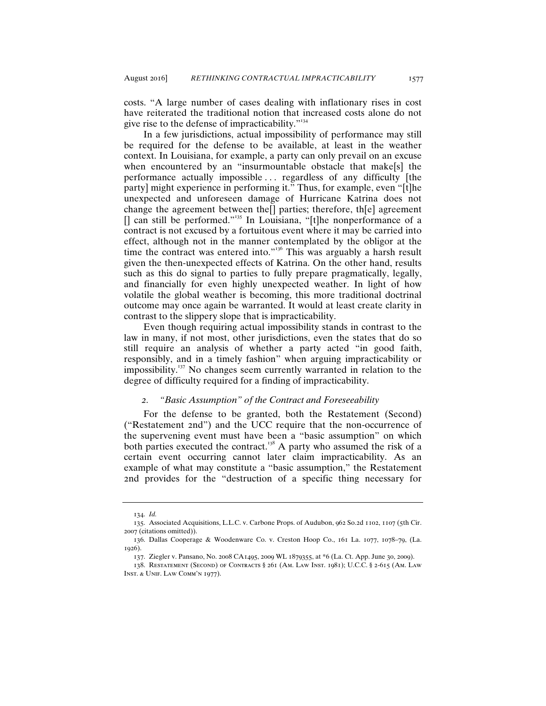costs. "A large number of cases dealing with inflationary rises in cost have reiterated the traditional notion that increased costs alone do not give rise to the defense of impracticability."<sup>134</sup>

In a few jurisdictions, actual impossibility of performance may still be required for the defense to be available, at least in the weather context. In Louisiana, for example, a party can only prevail on an excuse when encountered by an "insurmountable obstacle that make<sup>[s]</sup> the performance actually impossible . . . regardless of any difficulty [the party] might experience in performing it." Thus, for example, even "[t]he unexpected and unforeseen damage of Hurricane Katrina does not change the agreement between the[] parties; therefore, th[e] agreement  $[$ ] can still be performed."<sup>135</sup> In Louisiana, "[t]he nonperformance of a contract is not excused by a fortuitous event where it may be carried into effect, although not in the manner contemplated by the obligor at the time the contract was entered into."<sup>136</sup> This was arguably a harsh result given the then-unexpected effects of Katrina. On the other hand, results such as this do signal to parties to fully prepare pragmatically, legally, and financially for even highly unexpected weather. In light of how volatile the global weather is becoming, this more traditional doctrinal outcome may once again be warranted. It would at least create clarity in contrast to the slippery slope that is impracticability.

Even though requiring actual impossibility stands in contrast to the law in many, if not most, other jurisdictions, even the states that do so still require an analysis of whether a party acted "in good faith, responsibly, and in a timely fashion" when arguing impracticability or impossibility.<sup>137</sup> No changes seem currently warranted in relation to the degree of difficulty required for a finding of impracticability.

## *2. "Basic Assumption" of the Contract and Foreseeability*

For the defense to be granted, both the Restatement (Second) ("Restatement 2nd") and the UCC require that the non-occurrence of the supervening event must have been a "basic assumption" on which both parties executed the contract.<sup>138</sup> A party who assumed the risk of a certain event occurring cannot later claim impracticability. As an example of what may constitute a "basic assumption," the Restatement 2nd provides for the "destruction of a specific thing necessary for

<sup>134</sup>. *Id.*

<sup>135</sup>. Associated Acquisitions, L.L.C. v. Carbone Props. of Audubon, 962 So.2d 1102, 1107 (5th Cir. 2007 (citations omitted)).

<sup>136</sup>. Dallas Cooperage & Woodenware Co. v. Creston Hoop Co., 161 La. 1077, 1078–79, (La. 1926).

<sup>137</sup>. Ziegler v. Pansano, No. 2008 CA1495, 2009 WL 1879355, at \*6 (La. Ct. App. June 30, 2009).

<sup>138</sup>. Restatement (Second) of Contracts § 261 (Am. Law Inst. 1981); U.C.C. § 2-615 (Am. Law Inst. & Unif. Law Comm'n 1977).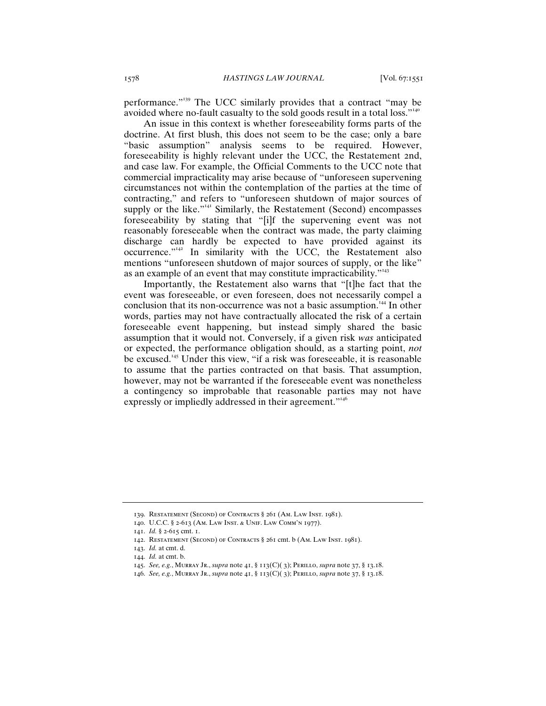performance."<sup>139</sup> The UCC similarly provides that a contract "may be avoided where no-fault casualty to the sold goods result in a total loss."<sup>140</sup>

An issue in this context is whether foreseeability forms parts of the doctrine. At first blush, this does not seem to be the case; only a bare "basic assumption" analysis seems to be required. However, foreseeability is highly relevant under the UCC, the Restatement 2nd, and case law. For example, the Official Comments to the UCC note that commercial impracticality may arise because of "unforeseen supervening circumstances not within the contemplation of the parties at the time of contracting," and refers to "unforeseen shutdown of major sources of supply or the like."<sup>141</sup> Similarly, the Restatement (Second) encompasses foreseeability by stating that "[i]f the supervening event was not reasonably foreseeable when the contract was made, the party claiming discharge can hardly be expected to have provided against its occurrence."<sup>142</sup> In similarity with the UCC, the Restatement also mentions "unforeseen shutdown of major sources of supply, or the like" as an example of an event that may constitute impracticability."<sup>143</sup>

Importantly, the Restatement also warns that "[t]he fact that the event was foreseeable, or even foreseen, does not necessarily compel a conclusion that its non-occurrence was not a basic assumption.<sup>144</sup> In other words, parties may not have contractually allocated the risk of a certain foreseeable event happening, but instead simply shared the basic assumption that it would not. Conversely, if a given risk *was* anticipated or expected, the performance obligation should, as a starting point, *not* be excused.<sup>145</sup> Under this view, "if a risk was foreseeable, it is reasonable to assume that the parties contracted on that basis. That assumption, however, may not be warranted if the foreseeable event was nonetheless a contingency so improbable that reasonable parties may not have expressly or impliedly addressed in their agreement."<sup>146</sup>

<sup>139</sup>. Restatement (Second) of Contracts § 261 (Am. Law Inst. 1981).

<sup>140</sup>. U.C.C. § 2-613 (Am. Law Inst. & Unif. Law Comm'n 1977).

<sup>141</sup>. *Id.* § 2-615 cmt. 1.

<sup>142</sup>. Restatement (Second) of Contracts § 261 cmt. b (Am. Law Inst. 1981).

<sup>143</sup>. *Id.* at cmt. d.

<sup>144</sup>. *Id.* at cmt. b.

<sup>145</sup>. *See, e.g.*, Murray Jr., *supra* note 41, § 113(C)( 3); Perillo, *supra* note 37, § 13.18.

<sup>146</sup>. *See, e.g.*, Murray Jr., *supra* note 41, § 113(C)( 3); Perillo, *supra* note 37, § 13.18.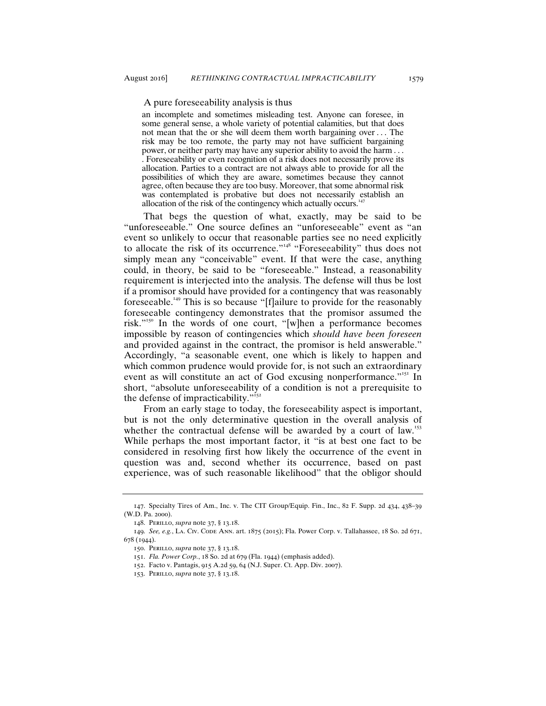an incomplete and sometimes misleading test. Anyone can foresee, in some general sense, a whole variety of potential calamities, but that does not mean that the or she will deem them worth bargaining over . . . The risk may be too remote, the party may not have sufficient bargaining power, or neither party may have any superior ability to avoid the harm . . . . Foreseeability or even recognition of a risk does not necessarily prove its allocation. Parties to a contract are not always able to provide for all the possibilities of which they are aware, sometimes because they cannot agree, often because they are too busy. Moreover, that some abnormal risk was contemplated is probative but does not necessarily establish an allocation of the risk of the contingency which actually occurs.

That begs the question of what, exactly, may be said to be "unforeseeable." One source defines an "unforeseeable" event as "an event so unlikely to occur that reasonable parties see no need explicitly to allocate the risk of its occurrence."<sup>148</sup> "Foreseeability" thus does not simply mean any "conceivable" event. If that were the case, anything could, in theory, be said to be "foreseeable." Instead, a reasonability requirement is interjected into the analysis. The defense will thus be lost if a promisor should have provided for a contingency that was reasonably foreseeable.<sup>149</sup> This is so because "[f]ailure to provide for the reasonably foreseeable contingency demonstrates that the promisor assumed the risk."<sup>150</sup> In the words of one court, "[w]hen a performance becomes impossible by reason of contingencies which *should have been foreseen* and provided against in the contract, the promisor is held answerable." Accordingly, "a seasonable event, one which is likely to happen and which common prudence would provide for, is not such an extraordinary event as will constitute an act of God excusing nonperformance."<sup>151</sup> In short, "absolute unforeseeability of a condition is not a prerequisite to the defense of impracticability. $"^{152}$ 

From an early stage to today, the foreseeability aspect is important, but is not the only determinative question in the overall analysis of whether the contractual defense will be awarded by a court of law.<sup>153</sup> While perhaps the most important factor, it "is at best one fact to be considered in resolving first how likely the occurrence of the event in question was and, second whether its occurrence, based on past experience, was of such reasonable likelihood" that the obligor should

<sup>147</sup>. Specialty Tires of Am., Inc. v. The CIT Group/Equip. Fin., Inc., 82 F. Supp. 2d 434, 438–39 (W.D. Pa. 2000).

<sup>148</sup>. Perillo, *supra* note 37, § 13.18.

<sup>149</sup>. *See, e.g.*, La. Civ. Code Ann. art. 1875 (2015); Fla. Power Corp. v. Tallahassee, 18 So. 2d 671, 678 (1944).

<sup>150</sup>. Perillo, *supra* note 37, § 13.18.

<sup>151</sup>. *Fla. Power Corp.*, 18 So. 2d at 679 (Fla. 1944) (emphasis added).

<sup>152</sup>. Facto v. Pantagis, 915 A.2d 59, 64 (N.J. Super. Ct. App. Div. 2007).

<sup>153</sup>. Perillo, *supra* note 37, § 13.18.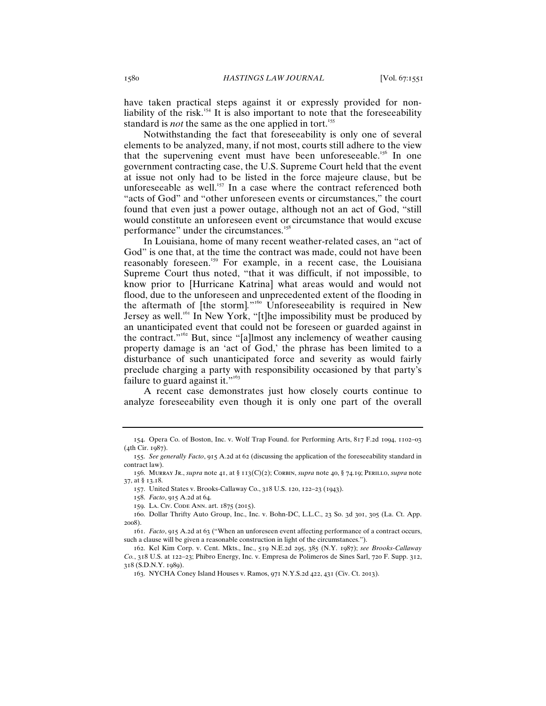have taken practical steps against it or expressly provided for nonliability of the risk.<sup>154</sup> It is also important to note that the foreseeability standard is *not* the same as the one applied in tort.<sup>155</sup>

Notwithstanding the fact that foreseeability is only one of several elements to be analyzed, many, if not most, courts still adhere to the view that the supervening event must have been unforeseeable.<sup>156</sup> In one government contracting case, the U.S. Supreme Court held that the event at issue not only had to be listed in the force majeure clause, but be unforeseeable as well. $157$  In a case where the contract referenced both "acts of God" and "other unforeseen events or circumstances," the court found that even just a power outage, although not an act of God, "still would constitute an unforeseen event or circumstance that would excuse performance" under the circumstances.<sup>158</sup>

In Louisiana, home of many recent weather-related cases, an "act of God" is one that, at the time the contract was made, could not have been reasonably foreseen.<sup>159</sup> For example, in a recent case, the Louisiana Supreme Court thus noted, "that it was difficult, if not impossible, to know prior to [Hurricane Katrina] what areas would and would not flood, due to the unforeseen and unprecedented extent of the flooding in the aftermath of [the storm].<sup>"66</sup> Unforeseeability is required in New Jersey as well.<sup>161</sup> In New York, "[t]he impossibility must be produced by an unanticipated event that could not be foreseen or guarded against in the contract."<sup>162</sup> But, since "[a]lmost any inclemency of weather causing property damage is an 'act of God,' the phrase has been limited to a disturbance of such unanticipated force and severity as would fairly preclude charging a party with responsibility occasioned by that party's failure to guard against it." $163$ 

A recent case demonstrates just how closely courts continue to analyze foreseeability even though it is only one part of the overall

<sup>154</sup>. Opera Co. of Boston, Inc. v. Wolf Trap Found. for Performing Arts, 817 F.2d 1094, 1102–03  $(4th$  Cir.  $1087)$ .

<sup>155</sup>. *See generally Facto*, 915 A.2d at 62 (discussing the application of the foreseeability standard in contract law).

<sup>156</sup>. Murray Jr., *supra* note 41, at § 113(C)(2); Corbin, *supra* note 40, § 74.19; Perillo, *supra* note 37, at § 13.18.

<sup>157</sup>. United States v. Brooks-Callaway Co., 318 U.S. 120, 122–23 (1943).

<sup>158</sup>. *Facto*, 915 A.2d at 64.

<sup>159</sup>. La. Civ. Code Ann. art. 1875 (2015).

<sup>160</sup>. Dollar Thrifty Auto Group, Inc., Inc. v. Bohn-DC, L.L.C., 23 So. 3d 301, 305 (La. Ct. App. 2008).

<sup>161</sup>. *Facto*, 915 A.2d at 63 ("When an unforeseen event affecting performance of a contract occurs, such a clause will be given a reasonable construction in light of the circumstances.").

<sup>162</sup>. Kel Kim Corp. v. Cent. Mkts., Inc., 519 N.E.2d 295, 385 (N.Y. 1987); *see Brooks-Callaway Co.*, 318 U.S. at 122–23; Phibro Energy, Inc. v. Empresa de Polimeros de Sines Sarl, 720 F. Supp. 312, 318 (S.D.N.Y. 1989).

<sup>163</sup>. NYCHA Coney Island Houses v. Ramos, 971 N.Y.S.2d 422, 431 (Civ. Ct. 2013).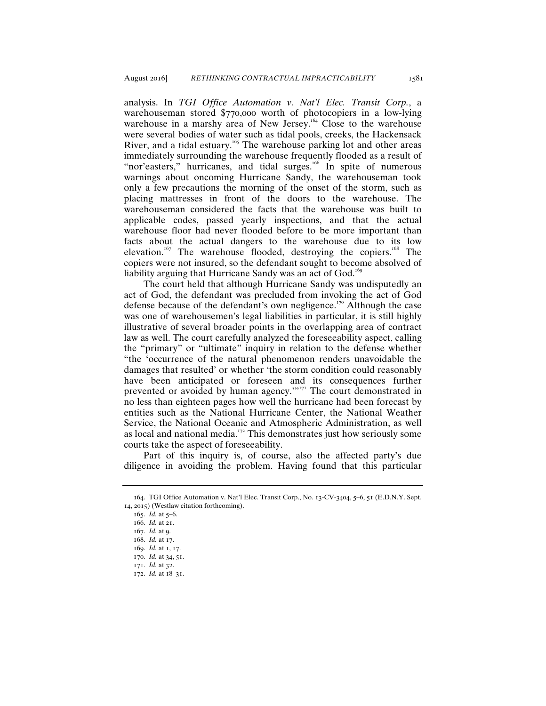analysis. In *TGI Office Automation v. Nat'l Elec. Transit Corp.*, a warehouseman stored \$770,000 worth of photocopiers in a low-lying warehouse in a marshy area of New Jersey.<sup>164</sup> Close to the warehouse were several bodies of water such as tidal pools, creeks, the Hackensack River, and a tidal estuary.<sup>165</sup> The warehouse parking lot and other areas immediately surrounding the warehouse frequently flooded as a result of "nor'easters," hurricanes, and tidal surges.<sup>166</sup> In spite of numerous warnings about oncoming Hurricane Sandy, the warehouseman took only a few precautions the morning of the onset of the storm, such as placing mattresses in front of the doors to the warehouse. The warehouseman considered the facts that the warehouse was built to applicable codes, passed yearly inspections, and that the actual warehouse floor had never flooded before to be more important than facts about the actual dangers to the warehouse due to its low elevation.<sup>167</sup> The warehouse flooded, destroying the copiers.<sup>168</sup> The copiers were not insured, so the defendant sought to become absolved of liability arguing that Hurricane Sandy was an act of God.<sup>169</sup>

The court held that although Hurricane Sandy was undisputedly an act of God, the defendant was precluded from invoking the act of God defense because of the defendant's own negligence.<sup>170</sup> Although the case was one of warehousemen's legal liabilities in particular, it is still highly illustrative of several broader points in the overlapping area of contract law as well. The court carefully analyzed the foreseeability aspect, calling the "primary" or "ultimate" inquiry in relation to the defense whether "the 'occurrence of the natural phenomenon renders unavoidable the damages that resulted' or whether 'the storm condition could reasonably have been anticipated or foreseen and its consequences further prevented or avoided by human agency."<sup>171</sup> The court demonstrated in no less than eighteen pages how well the hurricane had been forecast by entities such as the National Hurricane Center, the National Weather Service, the National Oceanic and Atmospheric Administration, as well as local and national media.<sup> $172$ </sup> This demonstrates just how seriously some courts take the aspect of foreseeability.

Part of this inquiry is, of course, also the affected party's due diligence in avoiding the problem. Having found that this particular

<sup>164</sup>. TGI Office Automation v. Nat'l Elec. Transit Corp., No. 13-CV-3404, 5–6, 51 (E.D.N.Y. Sept. 14, 2015) (Westlaw citation forthcoming).

<sup>165</sup>. *Id.* at 5–6.

<sup>166</sup>. *Id.* at 21.

<sup>167</sup>. *Id.* at 9.

<sup>168</sup>. *Id.* at 17.

<sup>169</sup>. *Id.* at 1, 17.

<sup>170</sup>. *Id.* at 34, 51.

<sup>171</sup>. *Id.* at 32.

<sup>172</sup>. *Id.* at 18–31.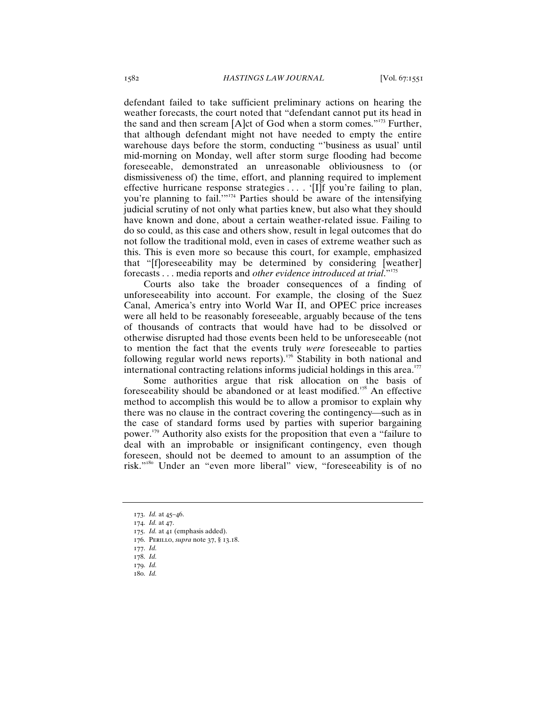defendant failed to take sufficient preliminary actions on hearing the weather forecasts, the court noted that "defendant cannot put its head in the sand and then scream [A]ct of God when a storm comes."<sup>173</sup> Further, that although defendant might not have needed to empty the entire warehouse days before the storm, conducting "'business as usual' until mid-morning on Monday, well after storm surge flooding had become foreseeable, demonstrated an unreasonable obliviousness to (or dismissiveness of) the time, effort, and planning required to implement effective hurricane response strategies ... . '[I]f you're failing to plan, you're planning to fail."<sup>174</sup> Parties should be aware of the intensifying judicial scrutiny of not only what parties knew, but also what they should have known and done, about a certain weather-related issue. Failing to do so could, as this case and others show, result in legal outcomes that do not follow the traditional mold, even in cases of extreme weather such as this. This is even more so because this court, for example, emphasized that "[f]oreseeability may be determined by considering [weather] forecasts . . . media reports and *other evidence introduced at trial*."<sup>175</sup>

Courts also take the broader consequences of a finding of unforeseeability into account. For example, the closing of the Suez Canal, America's entry into World War II, and OPEC price increases were all held to be reasonably foreseeable, arguably because of the tens of thousands of contracts that would have had to be dissolved or otherwise disrupted had those events been held to be unforeseeable (not to mention the fact that the events truly *were* foreseeable to parties following regular world news reports).<sup>176</sup> Stability in both national and international contracting relations informs judicial holdings in this area.<sup>177</sup>

Some authorities argue that risk allocation on the basis of foreseeability should be abandoned or at least modified.<sup>178</sup> An effective method to accomplish this would be to allow a promisor to explain why there was no clause in the contract covering the contingency—such as in the case of standard forms used by parties with superior bargaining power.<sup>179</sup> Authority also exists for the proposition that even a "failure to deal with an improbable or insignificant contingency, even though foreseen, should not be deemed to amount to an assumption of the risk."<sup>180</sup> Under an "even more liberal" view, "foreseeability is of no

<sup>173</sup>. *Id.* at 45–46.

<sup>174</sup>. *Id.* at 47.

<sup>175</sup>. *Id.* at 41 (emphasis added).

<sup>176</sup>. Perillo, *supra* note 37, § 13.18.

<sup>177</sup>. *Id.*

<sup>178</sup>. *Id.*

<sup>179</sup>. *Id.*

<sup>180</sup>. *Id.*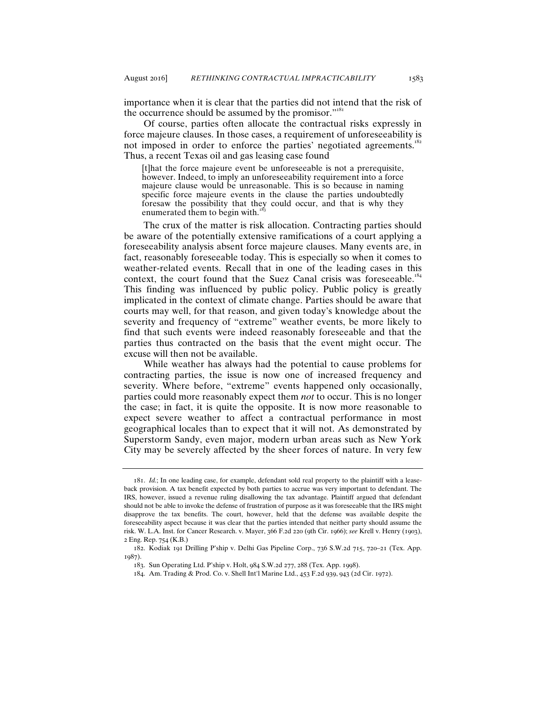importance when it is clear that the parties did not intend that the risk of the occurrence should be assumed by the promisor."<sup>181</sup>

Of course, parties often allocate the contractual risks expressly in force majeure clauses. In those cases, a requirement of unforeseeability is not imposed in order to enforce the parties' negotiated agreements.<sup>182</sup> Thus, a recent Texas oil and gas leasing case found

[t]hat the force majeure event be unforeseeable is not a prerequisite, however. Indeed, to imply an unforeseeability requirement into a force majeure clause would be unreasonable. This is so because in naming specific force majeure events in the clause the parties undoubtedly foresaw the possibility that they could occur, and that is why they enumerated them to begin with. $<sup>n</sup>$ </sup>

The crux of the matter is risk allocation. Contracting parties should be aware of the potentially extensive ramifications of a court applying a foreseeability analysis absent force majeure clauses. Many events are, in fact, reasonably foreseeable today. This is especially so when it comes to weather-related events. Recall that in one of the leading cases in this context, the court found that the Suez Canal crisis was foreseeable.<sup>184</sup> This finding was influenced by public policy. Public policy is greatly implicated in the context of climate change. Parties should be aware that courts may well, for that reason, and given today's knowledge about the severity and frequency of "extreme" weather events, be more likely to find that such events were indeed reasonably foreseeable and that the parties thus contracted on the basis that the event might occur. The excuse will then not be available.

While weather has always had the potential to cause problems for contracting parties, the issue is now one of increased frequency and severity. Where before, "extreme" events happened only occasionally, parties could more reasonably expect them *not* to occur. This is no longer the case; in fact, it is quite the opposite. It is now more reasonable to expect severe weather to affect a contractual performance in most geographical locales than to expect that it will not. As demonstrated by Superstorm Sandy, even major, modern urban areas such as New York City may be severely affected by the sheer forces of nature. In very few

<sup>181</sup>. *Id.*; In one leading case, for example, defendant sold real property to the plaintiff with a leaseback provision. A tax benefit expected by both parties to accrue was very important to defendant. The IRS, however, issued a revenue ruling disallowing the tax advantage. Plaintiff argued that defendant should not be able to invoke the defense of frustration of purpose as it was foreseeable that the IRS might disapprove the tax benefits. The court, however, held that the defense was available despite the foreseeability aspect because it was clear that the parties intended that neither party should assume the risk. W. L.A. Inst. for Cancer Research. v. Mayer, 366 F.2d 220 (9th Cir. 1966); *see* Krell v. Henry (1903), 2 Eng. Rep. 754 (K.B.)

<sup>182</sup>. Kodiak 191 Drilling P'ship v. Delhi Gas Pipeline Corp., 736 S.W.2d 715, 720–21 (Tex. App. 1987).

<sup>183</sup>. Sun Operating Ltd. P'ship v. Holt, 984 S.W.2d 277, 288 (Tex. App. 1998).

<sup>184</sup>. Am. Trading & Prod. Co. v. Shell Int'l Marine Ltd., 453 F.2d 939, 943 (2d Cir. 1972).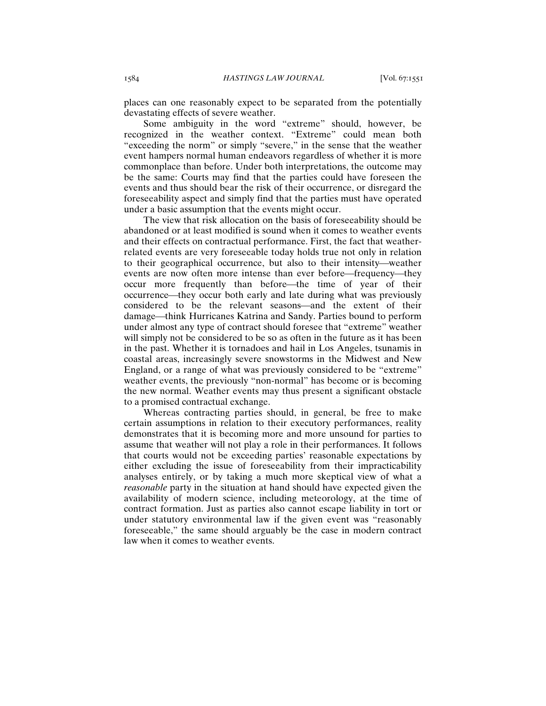places can one reasonably expect to be separated from the potentially devastating effects of severe weather.

Some ambiguity in the word "extreme" should, however, be recognized in the weather context. "Extreme" could mean both "exceeding the norm" or simply "severe," in the sense that the weather event hampers normal human endeavors regardless of whether it is more commonplace than before. Under both interpretations, the outcome may be the same: Courts may find that the parties could have foreseen the events and thus should bear the risk of their occurrence, or disregard the foreseeability aspect and simply find that the parties must have operated under a basic assumption that the events might occur.

The view that risk allocation on the basis of foreseeability should be abandoned or at least modified is sound when it comes to weather events and their effects on contractual performance. First, the fact that weatherrelated events are very foreseeable today holds true not only in relation to their geographical occurrence, but also to their intensity—weather events are now often more intense than ever before—frequency—they occur more frequently than before—the time of year of their occurrence—they occur both early and late during what was previously considered to be the relevant seasons—and the extent of their damage—think Hurricanes Katrina and Sandy. Parties bound to perform under almost any type of contract should foresee that "extreme" weather will simply not be considered to be so as often in the future as it has been in the past. Whether it is tornadoes and hail in Los Angeles, tsunamis in coastal areas, increasingly severe snowstorms in the Midwest and New England, or a range of what was previously considered to be "extreme" weather events, the previously "non-normal" has become or is becoming the new normal. Weather events may thus present a significant obstacle to a promised contractual exchange.

Whereas contracting parties should, in general, be free to make certain assumptions in relation to their executory performances, reality demonstrates that it is becoming more and more unsound for parties to assume that weather will not play a role in their performances. It follows that courts would not be exceeding parties' reasonable expectations by either excluding the issue of foreseeability from their impracticability analyses entirely, or by taking a much more skeptical view of what a *reasonable* party in the situation at hand should have expected given the availability of modern science, including meteorology, at the time of contract formation. Just as parties also cannot escape liability in tort or under statutory environmental law if the given event was "reasonably foreseeable," the same should arguably be the case in modern contract law when it comes to weather events.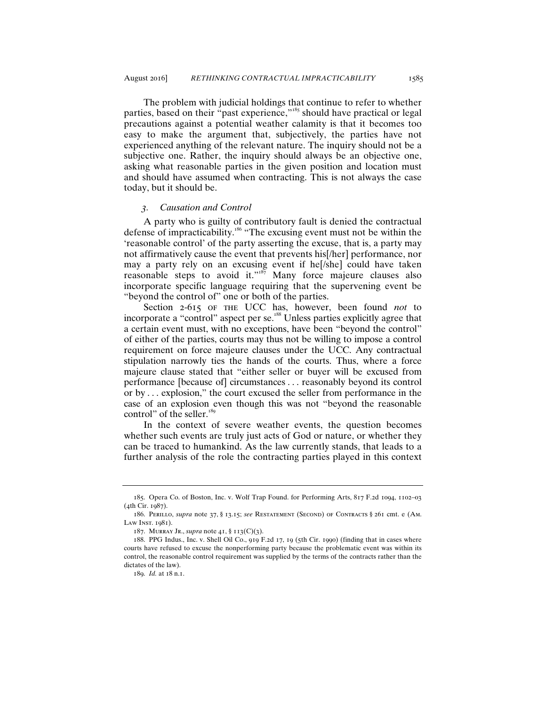The problem with judicial holdings that continue to refer to whether parties, based on their "past experience,"<sup>185</sup> should have practical or legal precautions against a potential weather calamity is that it becomes too easy to make the argument that, subjectively, the parties have not experienced anything of the relevant nature. The inquiry should not be a subjective one. Rather, the inquiry should always be an objective one, asking what reasonable parties in the given position and location must and should have assumed when contracting. This is not always the case today, but it should be.

#### *3. Causation and Control*

A party who is guilty of contributory fault is denied the contractual defense of impracticability.<sup>186</sup> "The excusing event must not be within the 'reasonable control' of the party asserting the excuse, that is, a party may not affirmatively cause the event that prevents his[/her] performance, nor may a party rely on an excusing event if he[/she] could have taken reasonable steps to avoid it."<sup>187</sup> Many force majeure clauses also incorporate specific language requiring that the supervening event be "beyond the control of" one or both of the parties.

Section 2-615 of the UCC has, however, been found *not* to incorporate a "control" aspect per se.<sup>188</sup> Unless parties explicitly agree that a certain event must, with no exceptions, have been "beyond the control" of either of the parties, courts may thus not be willing to impose a control requirement on force majeure clauses under the UCC. Any contractual stipulation narrowly ties the hands of the courts. Thus, where a force majeure clause stated that "either seller or buyer will be excused from performance [because of] circumstances . . . reasonably beyond its control or by . . . explosion," the court excused the seller from performance in the case of an explosion even though this was not "beyond the reasonable control" of the seller.<sup>189</sup>

In the context of severe weather events, the question becomes whether such events are truly just acts of God or nature, or whether they can be traced to humankind. As the law currently stands, that leads to a further analysis of the role the contracting parties played in this context

<sup>185</sup>. Opera Co. of Boston, Inc. v. Wolf Trap Found. for Performing Arts, 817 F.2d 1094, 1102–03 (4th Cir. 1987).

<sup>186</sup>. Perillo, *supra* note 37, § 13.15; *see* Restatement (Second) of Contracts § 261 cmt. e (Am. LAW INST.  $1081$ ).

<sup>187</sup>. Murray Jr., *supra* note 41, § 113(C)(3).

<sup>188</sup>. PPG Indus., Inc. v. Shell Oil Co., 919 F.2d 17, 19 (5th Cir. 1990) (finding that in cases where courts have refused to excuse the nonperforming party because the problematic event was within its control, the reasonable control requirement was supplied by the terms of the contracts rather than the dictates of the law).

<sup>189</sup>. *Id.* at 18 n.1.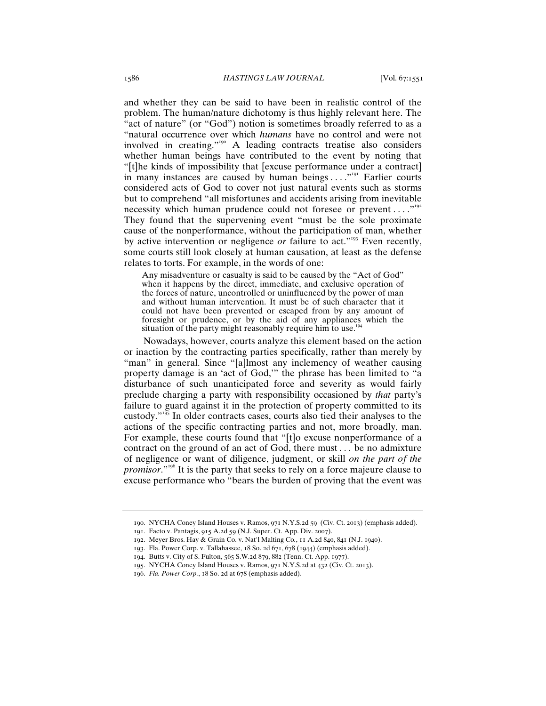and whether they can be said to have been in realistic control of the problem. The human/nature dichotomy is thus highly relevant here. The "act of nature" (or "God") notion is sometimes broadly referred to as a "natural occurrence over which *humans* have no control and were not involved in creating."<sup>190</sup> A leading contracts treatise also considers whether human beings have contributed to the event by noting that "[t]he kinds of impossibility that [excuse performance under a contract] in many instances are caused by human beings . . . . "<sup>191</sup> Earlier courts considered acts of God to cover not just natural events such as storms but to comprehend "all misfortunes and accidents arising from inevitable necessity which human prudence could not foresee or prevent  $\dots$ ."<sup>192</sup> They found that the supervening event "must be the sole proximate cause of the nonperformance, without the participation of man, whether by active intervention or negligence *or* failure to act."<sup>193</sup> Even recently, some courts still look closely at human causation, at least as the defense relates to torts. For example, in the words of one:

Any misadventure or casualty is said to be caused by the "Act of God" when it happens by the direct, immediate, and exclusive operation of the forces of nature, uncontrolled or uninfluenced by the power of man and without human intervention. It must be of such character that it could not have been prevented or escaped from by any amount of foresight or prudence, or by the aid of any appliances which the situation of the party might reasonably require him to use.<sup>19</sup>

Nowadays, however, courts analyze this element based on the action or inaction by the contracting parties specifically, rather than merely by "man" in general. Since "[a]lmost any inclemency of weather causing property damage is an 'act of God,'" the phrase has been limited to "a disturbance of such unanticipated force and severity as would fairly preclude charging a party with responsibility occasioned by *that* party's failure to guard against it in the protection of property committed to its custody."<sup>195</sup> In older contracts cases, courts also tied their analyses to the actions of the specific contracting parties and not, more broadly, man. For example, these courts found that "[t]o excuse nonperformance of a contract on the ground of an act of God, there must *. . .* be no admixture of negligence or want of diligence, judgment, or skill *on the part of the promisor.*"<sup>196</sup> It is the party that seeks to rely on a force majeure clause to excuse performance who "bears the burden of proving that the event was

<sup>190</sup>. NYCHA Coney Island Houses v. Ramos, 971 N.Y.S.2d 59 (Civ. Ct. 2013) (emphasis added).

<sup>191</sup>. Facto v. Pantagis, 915 A.2d 59 (N.J. Super. Ct. App. Div. 2007).

<sup>192</sup>. Meyer Bros. Hay & Grain Co. v. Nat'l Malting Co*.*, 11 A.2d 840, 841 (N.J. 1940).

<sup>193</sup>. Fla. Power Corp. v. Tallahassee, 18 So. 2d 671, 678 (1944) (emphasis added).

<sup>194</sup>. Butts v. City of S. Fulton, 565 S.W.2d 879, 882 (Tenn. Ct. App. 1977).

<sup>195</sup>. NYCHA Coney Island Houses v. Ramos, 971 N.Y.S.2d at 432 (Civ. Ct. 2013).

<sup>196</sup>. *Fla. Power Corp.*, 18 So. 2d at 678 (emphasis added).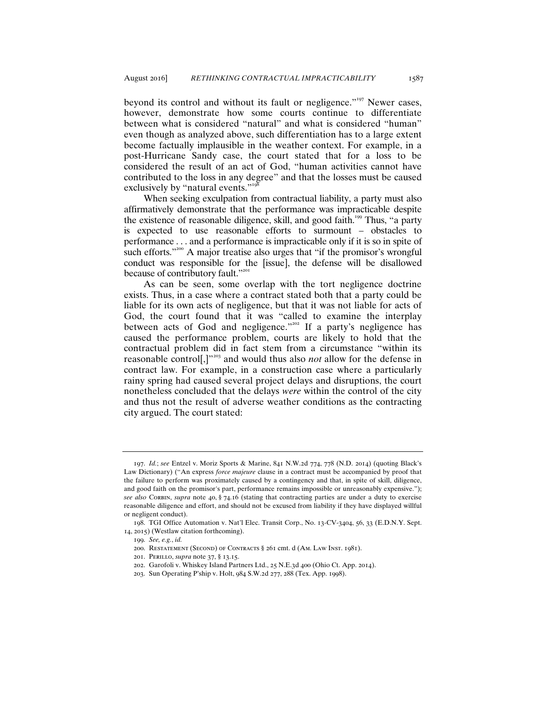beyond its control and without its fault or negligence."<sup>197</sup> Newer cases, however, demonstrate how some courts continue to differentiate between what is considered "natural" and what is considered "human" even though as analyzed above, such differentiation has to a large extent become factually implausible in the weather context. For example, in a post-Hurricane Sandy case, the court stated that for a loss to be considered the result of an act of God, "human activities cannot have contributed to the loss in any degree" and that the losses must be caused exclusively by "natural events."<sup>19</sup>

When seeking exculpation from contractual liability, a party must also affirmatively demonstrate that the performance was impracticable despite the existence of reasonable diligence, skill, and good faith.<sup>199</sup> Thus, "a party is expected to use reasonable efforts to surmount – obstacles to performance . . . and a performance is impracticable only if it is so in spite of such efforts."<sup>200</sup> A major treatise also urges that "if the promisor's wrongful conduct was responsible for the [issue], the defense will be disallowed because of contributory fault."<sup>201</sup>

As can be seen, some overlap with the tort negligence doctrine exists. Thus, in a case where a contract stated both that a party could be liable for its own acts of negligence, but that it was not liable for acts of God, the court found that it was "called to examine the interplay between acts of God and negligence."<sup>202</sup> If a party's negligence has caused the performance problem, courts are likely to hold that the contractual problem did in fact stem from a circumstance "within its reasonable control[,]"<sup>203</sup> and would thus also *not* allow for the defense in contract law. For example, in a construction case where a particularly rainy spring had caused several project delays and disruptions, the court nonetheless concluded that the delays *were* within the control of the city and thus not the result of adverse weather conditions as the contracting city argued. The court stated:

<sup>197</sup>. *Id.*; *see* Entzel v. Moriz Sports & Marine, 841 N.W.2d 774, 778 (N.D. 2014) (quoting Black's Law Dictionary) ("An express *force majeure* clause in a contract must be accompanied by proof that the failure to perform was proximately caused by a contingency and that, in spite of skill, diligence, and good faith on the promisor's part, performance remains impossible or unreasonably expensive."); *see also* Corbin, *supra* note 40, § 74.16 (stating that contracting parties are under a duty to exercise reasonable diligence and effort, and should not be excused from liability if they have displayed willful or negligent conduct).

<sup>198</sup>. TGI Office Automation v. Nat'l Elec. Transit Corp., No. 13-CV-3404, 56, 33 (E.D.N.Y. Sept. 14, 2015) (Westlaw citation forthcoming).

<sup>199</sup>. *See, e.g.*, *id.*

<sup>200</sup>. Restatement (Second) of Contracts § 261 cmt. d (Am. Law Inst. 1981).

<sup>201</sup>. Perillo, *supra* note 37, § 13.15.

<sup>202</sup>. Garofoli v. Whiskey Island Partners Ltd., 25 N.E.3d 400 (Ohio Ct. App. 2014).

<sup>203</sup>. Sun Operating P'ship v. Holt, 984 S.W.2d 277, 288 (Tex. App. 1998).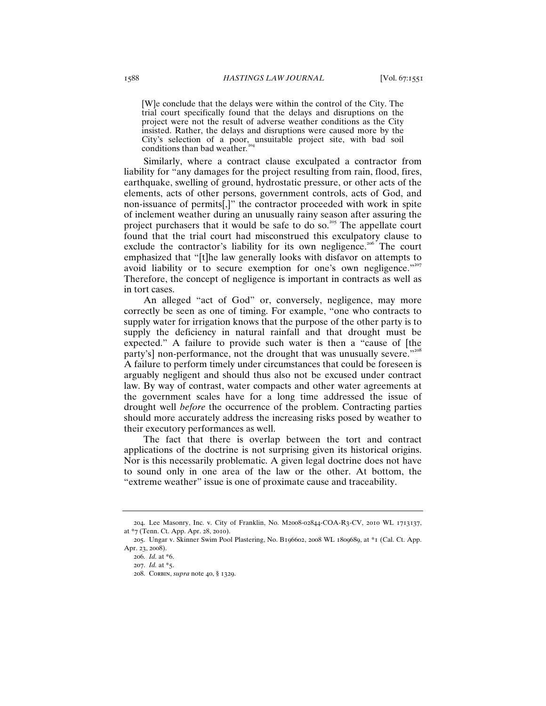[W]e conclude that the delays were within the control of the City. The trial court specifically found that the delays and disruptions on the project were not the result of adverse weather conditions as the City insisted. Rather, the delays and disruptions were caused more by the City's selection of a poor, unsuitable project site, with bad soil conditions than bad weather*.* 204

Similarly, where a contract clause exculpated a contractor from liability for "any damages for the project resulting from rain, flood, fires, earthquake, swelling of ground, hydrostatic pressure, or other acts of the elements, acts of other persons, government controls, acts of God, and non-issuance of permits[,]" the contractor proceeded with work in spite of inclement weather during an unusually rainy season after assuring the project purchasers that it would be safe to do so.<sup>205</sup> The appellate court found that the trial court had misconstrued this exculpatory clause to exclude the contractor's liability for its own negligence.<sup>206</sup> The court emphasized that "[t]he law generally looks with disfavor on attempts to avoid liability or to secure exemption for one's own negligence."<sup>207</sup> Therefore, the concept of negligence is important in contracts as well as in tort cases.

An alleged "act of God" or, conversely, negligence, may more correctly be seen as one of timing. For example, "one who contracts to supply water for irrigation knows that the purpose of the other party is to supply the deficiency in natural rainfall and that drought must be expected." A failure to provide such water is then a "cause of [the party's] non-performance, not the drought that was unusually severe."208 A failure to perform timely under circumstances that could be foreseen is arguably negligent and should thus also not be excused under contract law. By way of contrast, water compacts and other water agreements at the government scales have for a long time addressed the issue of drought well *before* the occurrence of the problem. Contracting parties should more accurately address the increasing risks posed by weather to their executory performances as well.

The fact that there is overlap between the tort and contract applications of the doctrine is not surprising given its historical origins. Nor is this necessarily problematic. A given legal doctrine does not have to sound only in one area of the law or the other. At bottom, the "extreme weather" issue is one of proximate cause and traceability.

<sup>204</sup>. Lee Masonry, Inc. v. City of Franklin, No. M2008-02844-COA-R3-CV, 2010 WL 1713137, at \*7 (Tenn. Ct. App. Apr. 28, 2010).

<sup>205</sup>. Ungar v. Skinner Swim Pool Plastering, No. B196602, 2008 WL 1809689, at \*1 (Cal. Ct. App. Apr. 23, 2008).

<sup>206</sup>. *Id.* at \*6.

<sup>207</sup>. *Id.* at \*5.

<sup>208</sup>. Corbin, *supra* note 40, § 1329.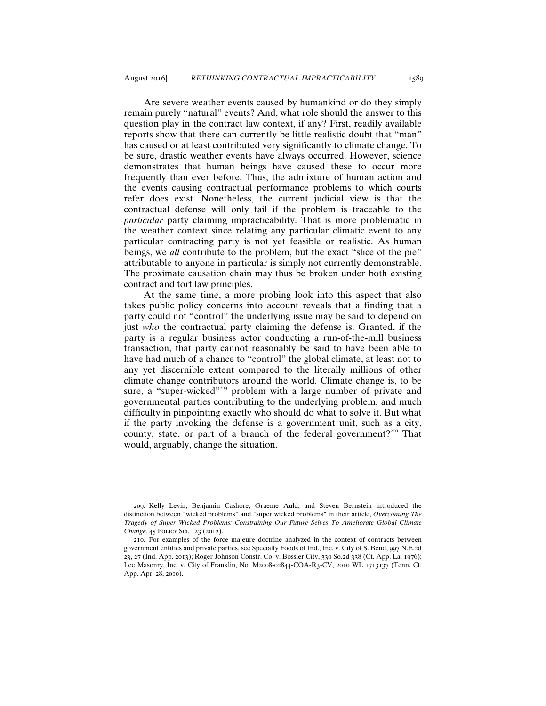Are severe weather events caused by humankind or do they simply remain purely "natural" events? And, what role should the answer to this question play in the contract law context, if any? First, readily available reports show that there can currently be little realistic doubt that "man" has caused or at least contributed very significantly to climate change. To be sure, drastic weather events have always occurred. However, science demonstrates that human beings have caused these to occur more frequently than ever before. Thus, the admixture of human action and the events causing contractual performance problems to which courts refer does exist. Nonetheless, the current judicial view is that the contractual defense will only fail if the problem is traceable to the *particular* party claiming impracticability. That is more problematic in the weather context since relating any particular climatic event to any particular contracting party is not yet feasible or realistic. As human beings, we *all* contribute to the problem, but the exact "slice of the pie" attributable to anyone in particular is simply not currently demonstrable. The proximate causation chain may thus be broken under both existing contract and tort law principles.

At the same time, a more probing look into this aspect that also takes public policy concerns into account reveals that a finding that a party could not "control" the underlying issue may be said to depend on just *who* the contractual party claiming the defense is. Granted, if the party is a regular business actor conducting a run-of-the-mill business transaction, that party cannot reasonably be said to have been able to have had much of a chance to "control" the global climate, at least not to any yet discernible extent compared to the literally millions of other climate change contributors around the world. Climate change is, to be sure, a "super-wicked"<sup>209</sup> problem with a large number of private and governmental parties contributing to the underlying problem, and much difficulty in pinpointing exactly who should do what to solve it. But what if the party invoking the defense is a government unit, such as a city, county, state, or part of a branch of the federal government?<sup>210</sup> That would, arguably, change the situation.

<sup>209</sup>. Kelly Levin, Benjamin Cashore, Graeme Auld, and Steven Bernstein introduced the distinction between "wicked problems" and "super wicked problems" in their article, *Overcoming The Tragedy of Super Wicked Problems: Constraining Our Future Selves To Ameliorate Global Climate Change*, 45 Policy Sci. 123 (2012).

<sup>210</sup>. For examples of the force majeure doctrine analyzed in the context of contracts between government entities and private parties, see Specialty Foods of Ind., Inc. v. City of S. Bend, 997 N.E.2d 23, 27 (Ind. App. 2013); Roger Johnson Constr. Co. v. Bossier City, 330 So.2d 338 (Ct. App. La. 1976); Lee Masonry, Inc. v. City of Franklin, No. M2008-02844-COA-R3-CV, 2010 WL 1713137 (Tenn. Ct. App. Apr. 28, 2010).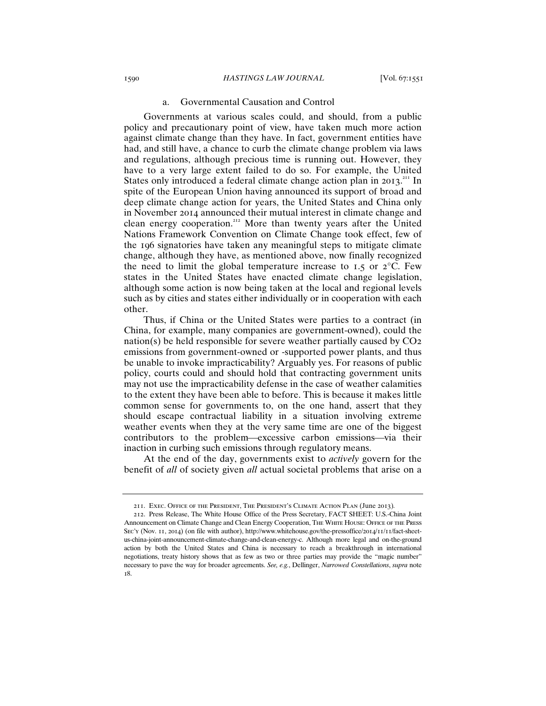# a. Governmental Causation and Control

Governments at various scales could, and should, from a public policy and precautionary point of view, have taken much more action against climate change than they have. In fact, government entities have had, and still have, a chance to curb the climate change problem via laws and regulations, although precious time is running out. However, they have to a very large extent failed to do so. For example, the United States only introduced a federal climate change action plan in 2013.<sup>211</sup> In spite of the European Union having announced its support of broad and deep climate change action for years, the United States and China only in November 2014 announced their mutual interest in climate change and clean energy cooperation.<sup>212</sup> More than twenty years after the United Nations Framework Convention on Climate Change took effect, few of the 196 signatories have taken any meaningful steps to mitigate climate change, although they have, as mentioned above, now finally recognized the need to limit the global temperature increase to 1.5 or  $2^{\circ}$ C. Few states in the United States have enacted climate change legislation, although some action is now being taken at the local and regional levels such as by cities and states either individually or in cooperation with each other.

Thus, if China or the United States were parties to a contract (in China, for example, many companies are government-owned), could the nation(s) be held responsible for severe weather partially caused by  $CO<sub>2</sub>$ emissions from government-owned or -supported power plants, and thus be unable to invoke impracticability? Arguably yes. For reasons of public policy, courts could and should hold that contracting government units may not use the impracticability defense in the case of weather calamities to the extent they have been able to before. This is because it makes little common sense for governments to, on the one hand, assert that they should escape contractual liability in a situation involving extreme weather events when they at the very same time are one of the biggest contributors to the problem—excessive carbon emissions—via their inaction in curbing such emissions through regulatory means.

At the end of the day, governments exist to *actively* govern for the benefit of *all* of society given *all* actual societal problems that arise on a

<sup>211</sup>. Exec. Office of the President, The President's Climate Action Plan (June 2013)*.*

<sup>212</sup>. Press Release, The White House Office of the Press Secretary, FACT SHEET: U.S.-China Joint Announcement on Climate Change and Clean Energy Cooperation, THE WHITE HOUSE: OFFICE OF THE PRESS Sec'y (Nov. 11, 2014) (on file with author), http://www.whitehouse.gov/the-pressoffice/2014/11/11/fact-sheetus-china-joint-announcement-climate-change-and-clean-energy-c. Although more legal and on-the-ground action by both the United States and China is necessary to reach a breakthrough in international negotiations, treaty history shows that as few as two or three parties may provide the "magic number" necessary to pave the way for broader agreements. *See, e.g.*, Dellinger, *Narrowed Constellations*, *supra* note 18.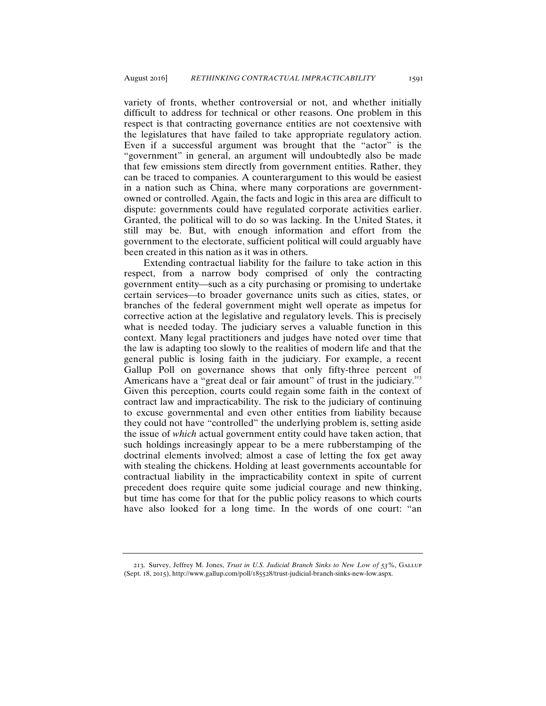variety of fronts, whether controversial or not, and whether initially difficult to address for technical or other reasons. One problem in this respect is that contracting governance entities are not coextensive with the legislatures that have failed to take appropriate regulatory action. Even if a successful argument was brought that the "actor" is the "government" in general, an argument will undoubtedly also be made that few emissions stem directly from government entities. Rather, they can be traced to companies. A counterargument to this would be easiest in a nation such as China, where many corporations are governmentowned or controlled. Again, the facts and logic in this area are difficult to dispute: governments could have regulated corporate activities earlier. Granted, the political will to do so was lacking. In the United States, it still may be. But, with enough information and effort from the government to the electorate, sufficient political will could arguably have been created in this nation as it was in others.

Extending contractual liability for the failure to take action in this respect, from a narrow body comprised of only the contracting government entity—such as a city purchasing or promising to undertake certain services—to broader governance units such as cities, states, or branches of the federal government might well operate as impetus for corrective action at the legislative and regulatory levels. This is precisely what is needed today. The judiciary serves a valuable function in this context. Many legal practitioners and judges have noted over time that the law is adapting too slowly to the realities of modern life and that the general public is losing faith in the judiciary. For example, a recent Gallup Poll on governance shows that only fifty-three percent of Americans have a "great deal or fair amount" of trust in the judiciary. $^{213}$ Given this perception, courts could regain some faith in the context of contract law and impracticability. The risk to the judiciary of continuing to excuse governmental and even other entities from liability because they could not have "controlled" the underlying problem is, setting aside the issue of *which* actual government entity could have taken action, that such holdings increasingly appear to be a mere rubberstamping of the doctrinal elements involved; almost a case of letting the fox get away with stealing the chickens. Holding at least governments accountable for contractual liability in the impracticability context in spite of current precedent does require quite some judicial courage and new thinking, but time has come for that for the public policy reasons to which courts have also looked for a long time. In the words of one court: "an

<sup>213</sup>. Survey, Jeffrey M. Jones, *Trust in U.S. Judicial Branch Sinks to New Low of 53%*, Gallup (Sept. 18, 2015), http://www.gallup.com/poll/185528/trust-judicial-branch-sinks-new-low.aspx.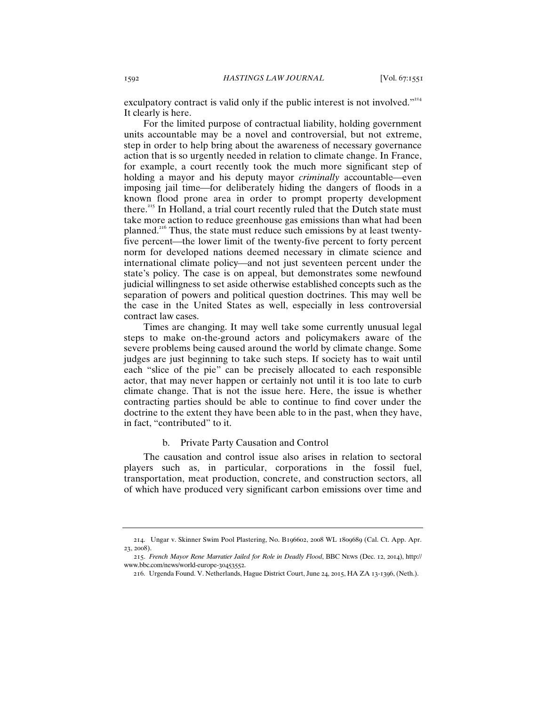exculpatory contract is valid only if the public interest is not involved." $214$ It clearly is here.

For the limited purpose of contractual liability, holding government units accountable may be a novel and controversial, but not extreme, step in order to help bring about the awareness of necessary governance action that is so urgently needed in relation to climate change. In France, for example, a court recently took the much more significant step of holding a mayor and his deputy mayor *criminally* accountable—even imposing jail time—for deliberately hiding the dangers of floods in a known flood prone area in order to prompt property development there.<sup>215</sup> In Holland, a trial court recently ruled that the Dutch state must take more action to reduce greenhouse gas emissions than what had been planned.<sup>216</sup> Thus, the state must reduce such emissions by at least twentyfive percent—the lower limit of the twenty-five percent to forty percent norm for developed nations deemed necessary in climate science and international climate policy—and not just seventeen percent under the state's policy. The case is on appeal, but demonstrates some newfound judicial willingness to set aside otherwise established concepts such as the separation of powers and political question doctrines. This may well be the case in the United States as well, especially in less controversial contract law cases.

Times are changing. It may well take some currently unusual legal steps to make on-the-ground actors and policymakers aware of the severe problems being caused around the world by climate change. Some judges are just beginning to take such steps. If society has to wait until each "slice of the pie" can be precisely allocated to each responsible actor, that may never happen or certainly not until it is too late to curb climate change. That is not the issue here. Here, the issue is whether contracting parties should be able to continue to find cover under the doctrine to the extent they have been able to in the past, when they have, in fact, "contributed" to it.

## b. Private Party Causation and Control

The causation and control issue also arises in relation to sectoral players such as, in particular, corporations in the fossil fuel, transportation, meat production, concrete, and construction sectors, all of which have produced very significant carbon emissions over time and

<sup>214</sup>. Ungar v. Skinner Swim Pool Plastering, No. B196602, 2008 WL 1809689 (Cal. Ct. App. Apr. 23, 2008).

<sup>215</sup>. *French Mayor Rene Marratier Jailed for Role in Deadly Flood*, BBC News (Dec. 12, 2014), http:// www.bbc.com/news/world-europe-30453552.

<sup>216</sup>. Urgenda Found. V. Netherlands, Hague District Court, June 24, 2015, HA ZA 13-1396, (Neth.).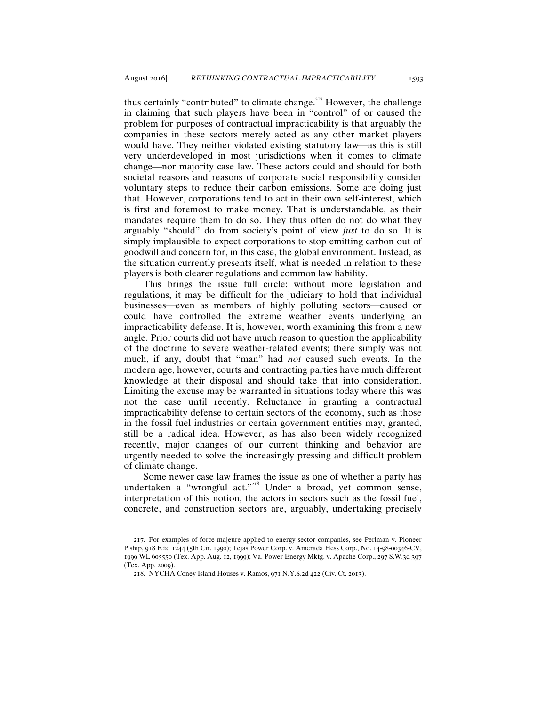thus certainly "contributed" to climate change.<sup> $217$ </sup> However, the challenge in claiming that such players have been in "control" of or caused the problem for purposes of contractual impracticability is that arguably the companies in these sectors merely acted as any other market players would have. They neither violated existing statutory law—as this is still very underdeveloped in most jurisdictions when it comes to climate change—nor majority case law. These actors could and should for both societal reasons and reasons of corporate social responsibility consider voluntary steps to reduce their carbon emissions. Some are doing just that. However, corporations tend to act in their own self-interest, which is first and foremost to make money. That is understandable, as their mandates require them to do so. They thus often do not do what they arguably "should" do from society's point of view *just* to do so. It is simply implausible to expect corporations to stop emitting carbon out of goodwill and concern for, in this case, the global environment. Instead, as the situation currently presents itself, what is needed in relation to these players is both clearer regulations and common law liability.

This brings the issue full circle: without more legislation and regulations, it may be difficult for the judiciary to hold that individual businesses—even as members of highly polluting sectors—caused or could have controlled the extreme weather events underlying an impracticability defense. It is, however, worth examining this from a new angle. Prior courts did not have much reason to question the applicability of the doctrine to severe weather-related events; there simply was not much, if any, doubt that "man" had *not* caused such events. In the modern age, however, courts and contracting parties have much different knowledge at their disposal and should take that into consideration. Limiting the excuse may be warranted in situations today where this was not the case until recently. Reluctance in granting a contractual impracticability defense to certain sectors of the economy, such as those in the fossil fuel industries or certain government entities may, granted, still be a radical idea. However, as has also been widely recognized recently, major changes of our current thinking and behavior are urgently needed to solve the increasingly pressing and difficult problem of climate change.

Some newer case law frames the issue as one of whether a party has undertaken a "wrongful act."<sup>218</sup> Under a broad, yet common sense, interpretation of this notion, the actors in sectors such as the fossil fuel, concrete, and construction sectors are, arguably, undertaking precisely

<sup>217</sup>. For examples of force majeure applied to energy sector companies, see Perlman v. Pioneer P'ship, 918 F.2d 1244 (5th Cir. 1990); Tejas Power Corp. v. Amerada Hess Corp., No. 14-98-00346-CV, 1999 WL 605550 (Tex. App. Aug. 12, 1999); Va. Power Energy Mktg. v. Apache Corp., 297 S.W.3d 397 (Tex. App. 2009).

<sup>218</sup>. NYCHA Coney Island Houses v. Ramos, 971 N.Y.S.2d 422 (Civ. Ct. 2013).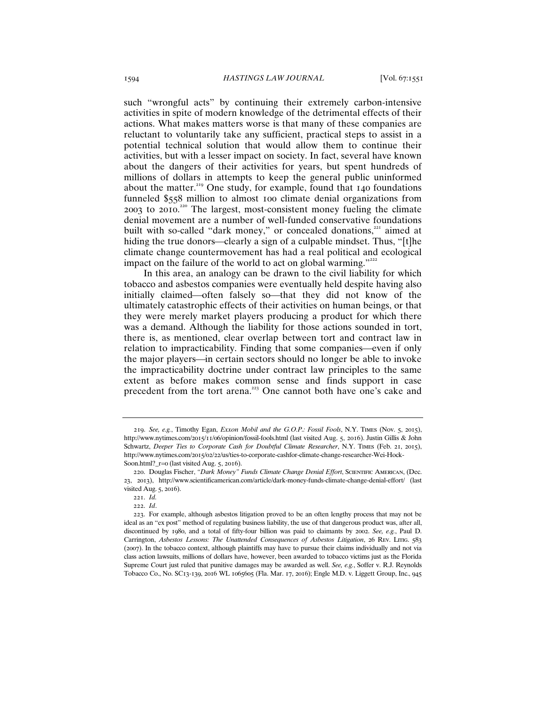such "wrongful acts" by continuing their extremely carbon-intensive activities in spite of modern knowledge of the detrimental effects of their actions. What makes matters worse is that many of these companies are reluctant to voluntarily take any sufficient, practical steps to assist in a potential technical solution that would allow them to continue their activities, but with a lesser impact on society. In fact, several have known about the dangers of their activities for years, but spent hundreds of millions of dollars in attempts to keep the general public uninformed about the matter.<sup>219</sup> One study, for example, found that 140 foundations funneled \$558 million to almost 100 climate denial organizations from 2003 to 2010. <sup>220</sup> The largest, most-consistent money fueling the climate denial movement are a number of well-funded conservative foundations built with so-called "dark money," or concealed donations,<sup>221</sup> aimed at hiding the true donors—clearly a sign of a culpable mindset. Thus, "[t]he climate change countermovement has had a real political and ecological impact on the failure of the world to act on global warming."

In this area, an analogy can be drawn to the civil liability for which tobacco and asbestos companies were eventually held despite having also initially claimed—often falsely so—that they did not know of the ultimately catastrophic effects of their activities on human beings, or that they were merely market players producing a product for which there was a demand. Although the liability for those actions sounded in tort, there is, as mentioned, clear overlap between tort and contract law in relation to impracticability. Finding that some companies—even if only the major players—in certain sectors should no longer be able to invoke the impracticability doctrine under contract law principles to the same extent as before makes common sense and finds support in case precedent from the tort arena.<sup>223</sup> One cannot both have one's cake and

<sup>219</sup>. *See, e.g.*, Timothy Egan, *Exxon Mobil and the G.O.P.: Fossil Fools*, N.Y. Times (Nov. 5, 2015), http://www.nytimes.com/2015/11/06/opinion/fossil-fools.html (last visited Aug. 5, 2016). Justin Gillis & John Schwartz, *Deeper Ties to Corporate Cash for Doubtful Climate Researcher*, N.Y. Times (Feb. 21, 2015), http://www.nytimes.com/2015/02/22/us/ties-to-corporate-cashfor-climate-change-researcher-Wei-Hock-Soon.html?\_r=0 (last visited Aug. 5, 2016).

<sup>220</sup>. Douglas Fischer, *"Dark Money" Funds Climate Change Denial Effort*, Scientific American, (Dec. 23, 2013), http://www.scientificamerican.com/article/dark-money-funds-climate-change-denial-effort/ (last visited Aug. 5, 2016).

<sup>221</sup>. *Id.*

<sup>222</sup>. *Id*.

<sup>223</sup>. For example, although asbestos litigation proved to be an often lengthy process that may not be ideal as an "ex post" method of regulating business liability, the use of that dangerous product was, after all, discontinued by 1980, and a total of fifty-four billion was paid to claimants by 2002. *See, e.g.*, Paul D. Carrington, *Asbestos Lessons: The Unattended Consequences of Asbestos Litigation*, 26 Rev. LITIG. 583 (2007). In the tobacco context, although plaintiffs may have to pursue their claims individually and not via class action lawsuits, millions of dollars have, however, been awarded to tobacco victims just as the Florida Supreme Court just ruled that punitive damages may be awarded as well. *See, e.g.*, Soffer v. R.J. Reynolds Tobacco Co., No. SC13-139, 2016 WL 1065605 (Fla. Mar. 17, 2016); Engle M.D. v. Liggett Group, Inc., 945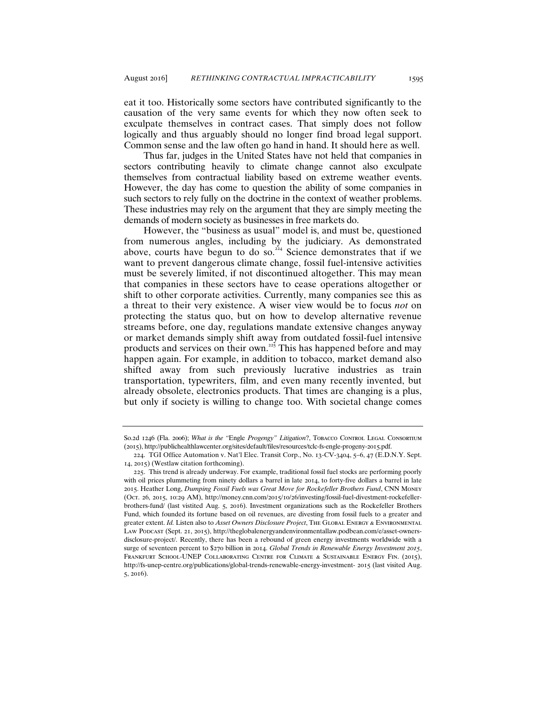eat it too. Historically some sectors have contributed significantly to the causation of the very same events for which they now often seek to exculpate themselves in contract cases. That simply does not follow logically and thus arguably should no longer find broad legal support. Common sense and the law often go hand in hand. It should here as well.

Thus far, judges in the United States have not held that companies in sectors contributing heavily to climate change cannot also exculpate themselves from contractual liability based on extreme weather events. However, the day has come to question the ability of some companies in such sectors to rely fully on the doctrine in the context of weather problems. These industries may rely on the argument that they are simply meeting the demands of modern society as businesses in free markets do.

However, the "business as usual" model is, and must be, questioned from numerous angles, including by the judiciary. As demonstrated above, courts have begun to do so.<sup>224</sup> Science demonstrates that if we want to prevent dangerous climate change, fossil fuel-intensive activities must be severely limited, if not discontinued altogether. This may mean that companies in these sectors have to cease operations altogether or shift to other corporate activities. Currently, many companies see this as a threat to their very existence. A wiser view would be to focus *not* on protecting the status quo, but on how to develop alternative revenue streams before, one day, regulations mandate extensive changes anyway or market demands simply shift away from outdated fossil-fuel intensive products and services on their own. $\frac{225}{2}$  This has happened before and may happen again. For example, in addition to tobacco, market demand also shifted away from such previously lucrative industries as train transportation, typewriters, film, and even many recently invented, but already obsolete, electronics products. That times are changing is a plus, but only if society is willing to change too. With societal change comes

So.2d 1246 (Fla. 2006); *What is the "Engle Progengy" Litigation*?, TOBACCO CONTROL LEGAL CONSORTIUM (2015), http://publichealthlawcenter.org/sites/default/files/resources/tclc-fs-engle-progeny-2015.pdf.

<sup>224</sup>. TGI Office Automation v. Nat'l Elec. Transit Corp., No. 13-CV-3404, 5–6, 47 (E.D.N.Y. Sept. 14, 2015) (Westlaw citation forthcoming).

<sup>225</sup>. This trend is already underway. For example, traditional fossil fuel stocks are performing poorly with oil prices plummeting from ninety dollars a barrel in late 2014, to forty-five dollars a barrel in late 2015. Heather Long, *Dumping Fossil Fuels was Great Move for Rockefeller Brothers Fund*, CNN Money (Oct. 26, 2015, 10:29 AM), http://money.cnn.com/2015/10/26/investing/fossil-fuel-divestment-rockefellerbrothers-fund/ (last vistited Aug. 5, 2016). Investment organizations such as the Rockefeller Brothers Fund, which founded its fortune based on oil revenues, are divesting from fossil fuels to a greater and greater extent. *Id.* Listen also to *Asset Owners Disclosure Project*, The Global Energy & Environmental Law Podcast (Sept. 21, 2015), http://theglobalenergyandenvironmentallaw.podbean.com/e/asset-ownersdisclosure-project/. Recently, there has been a rebound of green energy investments worldwide with a surge of seventeen percent to \$270 billion in 2014. *Global Trends in Renewable Energy Investment 2015*, FRANKFURT SCHOOL-UNEP COLLABORATING CENTRE FOR CLIMATE & SUSTAINABLE ENERGY FIN. (2015), http://fs-unep-centre.org/publications/global-trends-renewable-energy-investment- 2015 (last visited Aug. 5, 2016).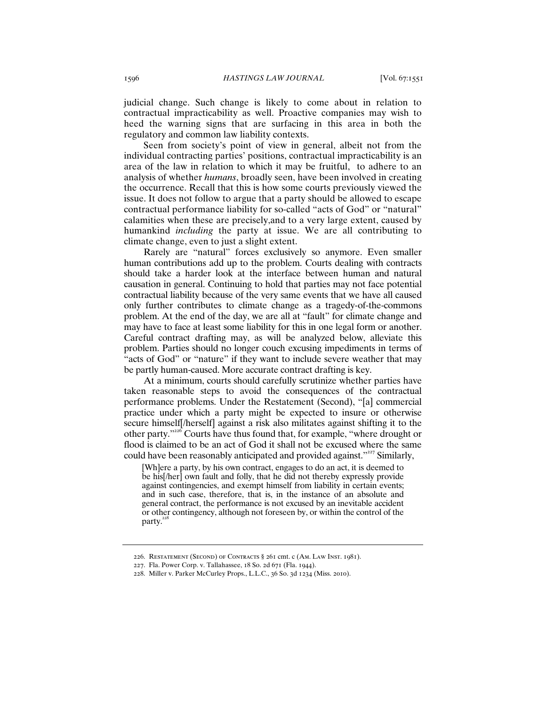judicial change. Such change is likely to come about in relation to contractual impracticability as well. Proactive companies may wish to heed the warning signs that are surfacing in this area in both the regulatory and common law liability contexts.

Seen from society's point of view in general, albeit not from the individual contracting parties' positions, contractual impracticability is an area of the law in relation to which it may be fruitful, to adhere to an analysis of whether *humans*, broadly seen, have been involved in creating the occurrence. Recall that this is how some courts previously viewed the issue. It does not follow to argue that a party should be allowed to escape contractual performance liability for so-called "acts of God" or "natural" calamities when these are precisely,and to a very large extent, caused by humankind *including* the party at issue. We are all contributing to climate change, even to just a slight extent.

Rarely are "natural" forces exclusively so anymore. Even smaller human contributions add up to the problem. Courts dealing with contracts should take a harder look at the interface between human and natural causation in general. Continuing to hold that parties may not face potential contractual liability because of the very same events that we have all caused only further contributes to climate change as a tragedy-of-the-commons problem. At the end of the day, we are all at "fault" for climate change and may have to face at least some liability for this in one legal form or another. Careful contract drafting may, as will be analyzed below, alleviate this problem. Parties should no longer couch excusing impediments in terms of "acts of God" or "nature" if they want to include severe weather that may be partly human-caused. More accurate contract drafting is key.

At a minimum, courts should carefully scrutinize whether parties have taken reasonable steps to avoid the consequences of the contractual performance problems. Under the Restatement (Second), "[a] commercial practice under which a party might be expected to insure or otherwise secure himself[/herself] against a risk also militates against shifting it to the other party."<sup>226</sup> Courts have thus found that, for example, "where drought or flood is claimed to be an act of God it shall not be excused where the same could have been reasonably anticipated and provided against."<sup>227</sup> Similarly,

[Wh]ere a party, by his own contract, engages to do an act, it is deemed to be his[/her] own fault and folly, that he did not thereby expressly provide against contingencies, and exempt himself from liability in certain events; and in such case, therefore, that is, in the instance of an absolute and general contract, the performance is not excused by an inevitable accident or other contingency, although not foreseen by, or within the control of the party.<sup>228</sup>

<sup>226</sup>. Restatement (Second) of Contracts § 261 cmt. c (Am. Law Inst. 1981).

<sup>227</sup>. Fla. Power Corp. v. Tallahassee, 18 So. 2d 671 (Fla. 1944).

<sup>228</sup>. Miller v. Parker McCurley Props., L.L.C., 36 So. 3d 1234 (Miss. 2010).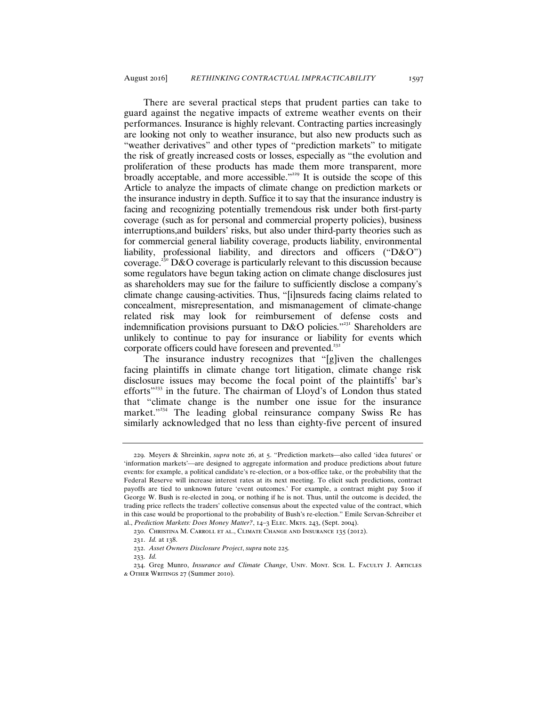There are several practical steps that prudent parties can take to guard against the negative impacts of extreme weather events on their performances. Insurance is highly relevant. Contracting parties increasingly are looking not only to weather insurance, but also new products such as "weather derivatives" and other types of "prediction markets" to mitigate the risk of greatly increased costs or losses, especially as "the evolution and proliferation of these products has made them more transparent, more broadly acceptable, and more accessible."<sup>229</sup> It is outside the scope of this Article to analyze the impacts of climate change on prediction markets or the insurance industry in depth. Suffice it to say that the insurance industry is facing and recognizing potentially tremendous risk under both first-party coverage (such as for personal and commercial property policies), business interruptions,and builders' risks, but also under third-party theories such as for commercial general liability coverage, products liability, environmental liability, professional liability, and directors and officers ("D&O") coverage.<sup>230</sup> D&O coverage is particularly relevant to this discussion because some regulators have begun taking action on climate change disclosures just as shareholders may sue for the failure to sufficiently disclose a company's climate change causing-activities. Thus, "[i]nsureds facing claims related to concealment, misrepresentation, and mismanagement of climate-change related risk may look for reimbursement of defense costs and indemnification provisions pursuant to D&O policies."<sup>231</sup> Shareholders are unlikely to continue to pay for insurance or liability for events which corporate officers could have foreseen and prevented.<sup>232</sup>

The insurance industry recognizes that "[g]iven the challenges facing plaintiffs in climate change tort litigation, climate change risk disclosure issues may become the focal point of the plaintiffs' bar's efforts"<sup>233</sup> in the future. The chairman of Lloyd's of London thus stated that "climate change is the number one issue for the insurance market."<sup>234</sup> The leading global reinsurance company Swiss Re has similarly acknowledged that no less than eighty-five percent of insured

<sup>229.</sup> Meyers & Shreinkin, *supra* note 26, at 5. "Prediction markets—also called 'idea futures' or 'information markets'—are designed to aggregate information and produce predictions about future events: for example, a political candidate's re-election, or a box-office take, or the probability that the Federal Reserve will increase interest rates at its next meeting. To elicit such predictions, contract payoffs are tied to unknown future 'event outcomes.' For example, a contract might pay \$100 if George W. Bush is re-elected in 2004, or nothing if he is not. Thus, until the outcome is decided, the trading price reflects the traders' collective consensus about the expected value of the contract, which in this case would be proportional to the probability of Bush's re-election." Emile Servan-Schreiber et al., *Prediction Markets: Does Money Matter?*, 14–3 Elec. Mkts. 243, (Sept. 2004).

<sup>230</sup>. Christina M. Carroll et al., Climate Change and Insurance 135 (2012).

<sup>231</sup>. *Id.* at 138.

<sup>232</sup>. *Asset Owners Disclosure Project*, *supra* note 225*.*

<sup>233</sup>. *Id.*

<sup>234</sup>. Greg Munro, *Insurance and Climate Change*, Univ. Mont. Sch. L. Faculty J. Articles & Other Writings 27 (Summer 2010).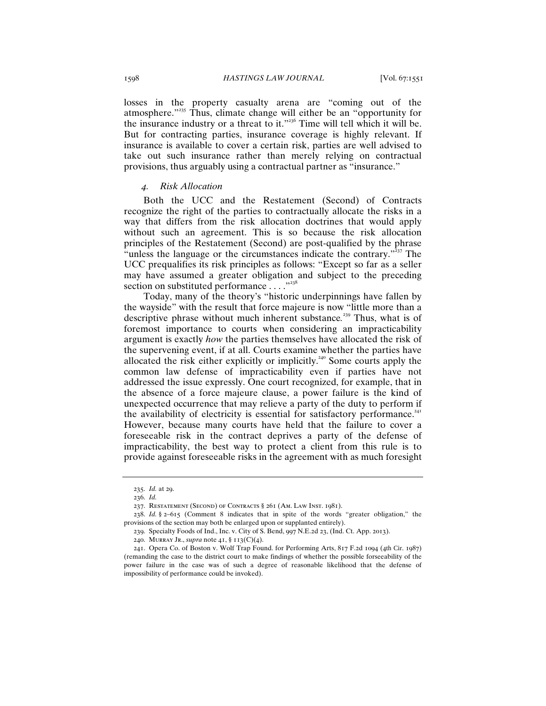losses in the property casualty arena are "coming out of the atmosphere."<sup>235</sup> Thus, climate change will either be an "opportunity for the insurance industry or a threat to it."<sup>236</sup> Time will tell which it will be. But for contracting parties, insurance coverage is highly relevant. If insurance is available to cover a certain risk, parties are well advised to take out such insurance rather than merely relying on contractual provisions, thus arguably using a contractual partner as "insurance."

## *4. Risk Allocation*

Both the UCC and the Restatement (Second) of Contracts recognize the right of the parties to contractually allocate the risks in a way that differs from the risk allocation doctrines that would apply without such an agreement. This is so because the risk allocation principles of the Restatement (Second) are post-qualified by the phrase "unless the language or the circumstances indicate the contrary."<sup> $337$ </sup> The UCC prequalifies its risk principles as follows: "Except so far as a seller may have assumed a greater obligation and subject to the preceding section on substituted performance . . . . "238

Today, many of the theory's "historic underpinnings have fallen by the wayside" with the result that force majeure is now "little more than a descriptive phrase without much inherent substance*.* <sup>239</sup> Thus, what is of foremost importance to courts when considering an impracticability argument is exactly *how* the parties themselves have allocated the risk of the supervening event, if at all. Courts examine whether the parties have allocated the risk either explicitly or implicitly.<sup>240</sup> Some courts apply the common law defense of impracticability even if parties have not addressed the issue expressly. One court recognized, for example, that in the absence of a force majeure clause, a power failure is the kind of unexpected occurrence that may relieve a party of the duty to perform if the availability of electricity is essential for satisfactory performance.<sup>241</sup> However, because many courts have held that the failure to cover a foreseeable risk in the contract deprives a party of the defense of impracticability, the best way to protect a client from this rule is to provide against foreseeable risks in the agreement with as much foresight

<sup>235</sup>. *Id.* at 29.

<sup>236</sup>. *Id.*

<sup>237</sup>. Restatement (Second) of Contracts § 261 (Am. Law Inst. 1981).

<sup>238</sup>. *Id.* § 2–615 (Comment 8 indicates that in spite of the words "greater obligation," the provisions of the section may both be enlarged upon or supplanted entirely).

<sup>239</sup>. Specialty Foods of Ind., Inc. v. City of S. Bend, 997 N.E.2d 23, (Ind. Ct. App. 2013).

<sup>240</sup>. Murray Jr., *supra* note 41, § 113(C)(4).

<sup>241</sup>. Opera Co. of Boston v. Wolf Trap Found. for Performing Arts, 817 F.2d 1094 (4th Cir. 1987) (remanding the case to the district court to make findings of whether the possible forseeability of the power failure in the case was of such a degree of reasonable likelihood that the defense of impossibility of performance could be invoked).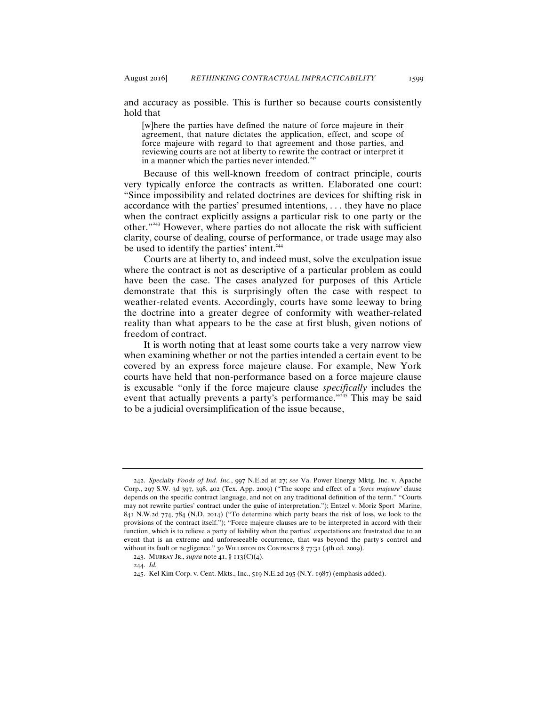and accuracy as possible. This is further so because courts consistently

[w]here the parties have defined the nature of force majeure in their agreement, that nature dictates the application, effect, and scope of force majeure with regard to that agreement and those parties, and reviewing courts are not at liberty to rewrite the contract or interpret it in a manner which the parties never intended. $24$ 

Because of this well-known freedom of contract principle, courts very typically enforce the contracts as written. Elaborated one court: "Since impossibility and related doctrines are devices for shifting risk in accordance with the parties' presumed intentions, . . . they have no place when the contract explicitly assigns a particular risk to one party or the other."<sup>243</sup> However, where parties do not allocate the risk with sufficient clarity, course of dealing, course of performance, or trade usage may also be used to identify the parties' intent.<sup>244</sup>

Courts are at liberty to, and indeed must, solve the exculpation issue where the contract is not as descriptive of a particular problem as could have been the case. The cases analyzed for purposes of this Article demonstrate that this is surprisingly often the case with respect to weather-related events. Accordingly, courts have some leeway to bring the doctrine into a greater degree of conformity with weather-related reality than what appears to be the case at first blush, given notions of freedom of contract.

It is worth noting that at least some courts take a very narrow view when examining whether or not the parties intended a certain event to be covered by an express force majeure clause. For example, New York courts have held that non-performance based on a force majeure clause is excusable "only if the force majeure clause *specifically* includes the event that actually prevents a party's performance."<sup>245</sup> This may be said to be a judicial oversimplification of the issue because,

hold that

<sup>242</sup>. *Specialty Foods of Ind. Inc.*, 997 N.E.2d at 27; *see* Va. Power Energy Mktg. Inc. v. Apache Corp., 297 S.W. 3d 397, 398, 402 (Tex. App. 2009) ("The scope and effect of a '*force majeure'* clause depends on the specific contract language, and not on any traditional definition of the term." "Courts may not rewrite parties' contract under the guise of interpretation."); Entzel v. Moriz Sport Marine, 841 N.W.2d 774, 784 (N.D. 2014) ("To determine which party bears the risk of loss, we look to the provisions of the contract itself."); "Force majeure clauses are to be interpreted in accord with their function, which is to relieve a party of liability when the parties' expectations are frustrated due to an event that is an extreme and unforeseeable occurrence, that was beyond the party's control and without its fault or negligence." 30 WILLISTON ON CONTRACTS § 77:31 (4th ed. 2009).

<sup>243</sup>. Murray Jr., *supra* note 41, § 113(C)(4).

<sup>244</sup>. *Id.*

<sup>245</sup>. Kel Kim Corp. v. Cent. Mkts., Inc., 519 N.E.2d 295 (N.Y. 1987) (emphasis added).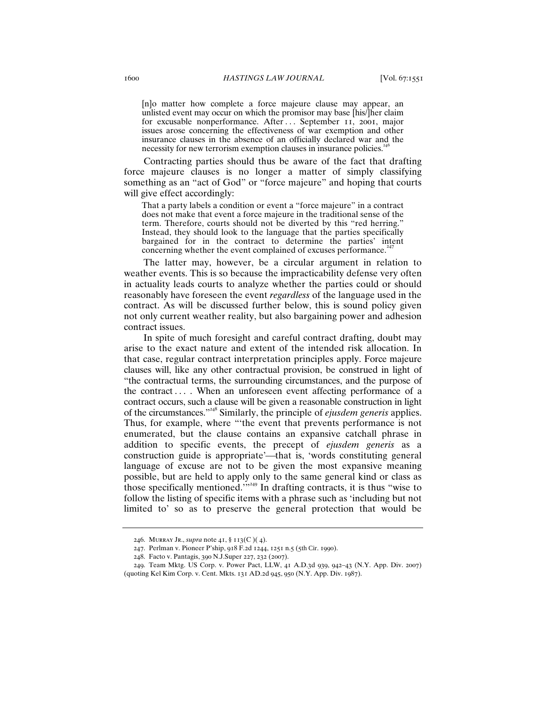[n]o matter how complete a force majeure clause may appear, an unlisted event may occur on which the promisor may base [his/]her claim for excusable nonperformance. After . . . September 11, 2001, major issues arose concerning the effectiveness of war exemption and other insurance clauses in the absence of an officially declared war and the necessity for new terrorism exemption clauses in insurance policies.<sup>246</sup>

Contracting parties should thus be aware of the fact that drafting force majeure clauses is no longer a matter of simply classifying something as an "act of God" or "force majeure" and hoping that courts will give effect accordingly:

That a party labels a condition or event a "force majeure" in a contract does not make that event a force majeure in the traditional sense of the term. Therefore, courts should not be diverted by this "red herring." Instead, they should look to the language that the parties specifically bargained for in the contract to determine the parties' intent concerning whether the event complained of excuses performance.<sup>24</sup>

The latter may, however, be a circular argument in relation to weather events. This is so because the impracticability defense very often in actuality leads courts to analyze whether the parties could or should reasonably have foreseen the event *regardless* of the language used in the contract. As will be discussed further below, this is sound policy given not only current weather reality, but also bargaining power and adhesion contract issues.

In spite of much foresight and careful contract drafting, doubt may arise to the exact nature and extent of the intended risk allocation. In that case, regular contract interpretation principles apply. Force majeure clauses will, like any other contractual provision, be construed in light of "the contractual terms, the surrounding circumstances, and the purpose of the contract  $\dots$ . When an unforeseen event affecting performance of a contract occurs, such a clause will be given a reasonable construction in light of the circumstances."<sup>248</sup> Similarly, the principle of *ejusdem generis* applies. Thus, for example, where "'the event that prevents performance is not enumerated, but the clause contains an expansive catchall phrase in addition to specific events, the precept of *ejusdem generis* as a construction guide is appropriate'—that is, 'words constituting general language of excuse are not to be given the most expansive meaning possible, but are held to apply only to the same general kind or class as those specifically mentioned.<sup>'">249</sup> In drafting contracts, it is thus "wise to follow the listing of specific items with a phrase such as 'including but not limited to' so as to preserve the general protection that would be

<sup>246</sup>. Murray Jr., *supra* note 41, § 113(C )( 4).

<sup>247</sup>. Perlman v. Pioneer P'ship, 918 F.2d 1244, 1251 n.5 (5th Cir. 1990).

<sup>248</sup>. Facto v. Pantagis, 390 N.J.Super 227, 232 (2007).

<sup>249</sup>. Team Mktg. US Corp. v. Power Pact, LLW, 41 A.D.3d 939, 942–43 (N.Y. App. Div. 2007) (quoting Kel Kim Corp. v. Cent. Mkts. 131 AD.2d 945, 950 (N.Y. App. Div. 1987).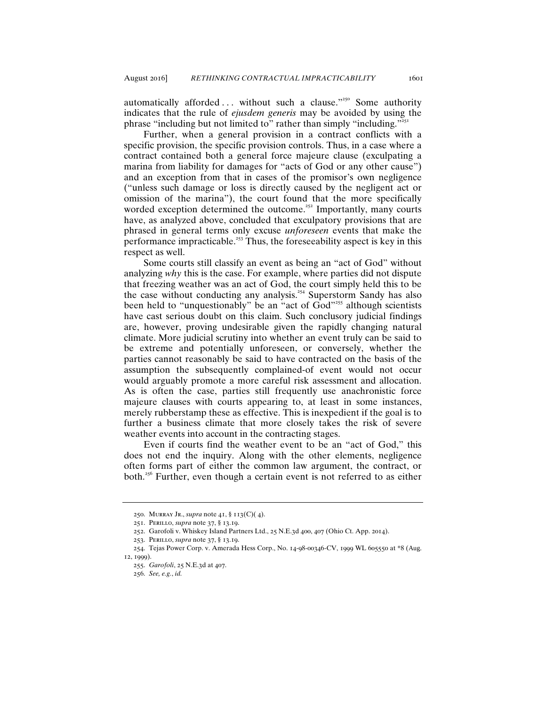automatically afforded ... without such a clause."<sup>250</sup> Some authority indicates that the rule of *ejusdem generis* may be avoided by using the phrase "including but not limited to" rather than simply "including."<sup>25</sup>

Further, when a general provision in a contract conflicts with a specific provision, the specific provision controls. Thus, in a case where a contract contained both a general force majeure clause (exculpating a marina from liability for damages for "acts of God or any other cause") and an exception from that in cases of the promisor's own negligence ("unless such damage or loss is directly caused by the negligent act or omission of the marina"), the court found that the more specifically worded exception determined the outcome.<sup>252</sup> Importantly, many courts have, as analyzed above, concluded that exculpatory provisions that are phrased in general terms only excuse *unforeseen* events that make the performance impracticable.<sup>253</sup> Thus, the foreseeability aspect is key in this respect as well.

Some courts still classify an event as being an "act of God" without analyzing *why* this is the case. For example, where parties did not dispute that freezing weather was an act of God, the court simply held this to be the case without conducting any analysis.<sup>254</sup> Superstorm Sandy has also been held to "unquestionably" be an "act of God"<sup>255</sup> although scientists have cast serious doubt on this claim. Such conclusory judicial findings are, however, proving undesirable given the rapidly changing natural climate. More judicial scrutiny into whether an event truly can be said to be extreme and potentially unforeseen, or conversely, whether the parties cannot reasonably be said to have contracted on the basis of the assumption the subsequently complained-of event would not occur would arguably promote a more careful risk assessment and allocation. As is often the case, parties still frequently use anachronistic force majeure clauses with courts appearing to, at least in some instances, merely rubberstamp these as effective. This is inexpedient if the goal is to further a business climate that more closely takes the risk of severe weather events into account in the contracting stages.

Even if courts find the weather event to be an "act of God," this does not end the inquiry. Along with the other elements, negligence often forms part of either the common law argument, the contract, or both.<sup>256</sup> Further, even though a certain event is not referred to as either

<sup>250</sup>. Murray Jr., *supra* note 41, § 113(C)( 4).

<sup>251</sup>. Perillo, *supra* note 37, § 13.19.

<sup>252</sup>. Garofoli v. Whiskey Island Partners Ltd., 25 N.E.3d 400, 407 (Ohio Ct. App. 2014).

<sup>253</sup>. Perillo, *supra* note 37, § 13.19.

<sup>254</sup>. Tejas Power Corp. v. Amerada Hess Corp., No. 14-98-00346-CV, 1999 WL 605550 at \*8 (Aug. 12, 1999).

<sup>255</sup>. *Garofoli*, 25 N.E.3d at 407.

<sup>256</sup>. *See, e.g.*, *id.*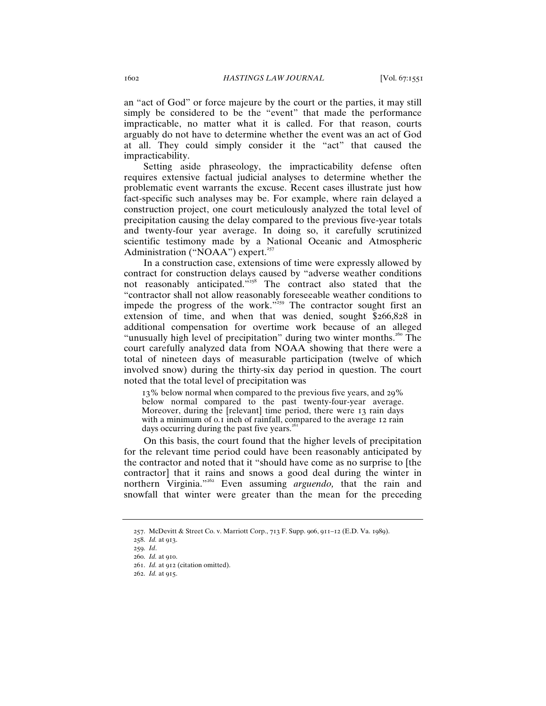an "act of God" or force majeure by the court or the parties, it may still simply be considered to be the "event" that made the performance impracticable, no matter what it is called. For that reason, courts arguably do not have to determine whether the event was an act of God at all. They could simply consider it the "act" that caused the impracticability.

Setting aside phraseology, the impracticability defense often requires extensive factual judicial analyses to determine whether the problematic event warrants the excuse. Recent cases illustrate just how fact-specific such analyses may be. For example, where rain delayed a construction project, one court meticulously analyzed the total level of precipitation causing the delay compared to the previous five-year totals and twenty-four year average. In doing so, it carefully scrutinized scientific testimony made by a National Oceanic and Atmospheric Administration ("NOAA") expert. $257$ 

In a construction case, extensions of time were expressly allowed by contract for construction delays caused by "adverse weather conditions not reasonably anticipated. $\frac{1}{258}$  The contract also stated that the "contractor shall not allow reasonably foreseeable weather conditions to impede the progress of the work."<sup>259</sup> The contractor sought first an extension of time, and when that was denied, sought \$266,828 in additional compensation for overtime work because of an alleged "unusually high level of precipitation" during two winter months.<sup>260</sup> The court carefully analyzed data from NOAA showing that there were a total of nineteen days of measurable participation (twelve of which involved snow) during the thirty-six day period in question. The court noted that the total level of precipitation was

13% below normal when compared to the previous five years, and 29% below normal compared to the past twenty-four-year average. Moreover, during the [relevant] time period, there were 13 rain days with a minimum of 0.1 inch of rainfall, compared to the average 12 rain days occurring during the past five years.<sup>2</sup>

On this basis, the court found that the higher levels of precipitation for the relevant time period could have been reasonably anticipated by the contractor and noted that it "should have come as no surprise to [the contractor] that it rains and snows a good deal during the winter in northern Virginia."<sup>262</sup> Even assuming *arguendo,* that the rain and snowfall that winter were greater than the mean for the preceding

<sup>257</sup>. McDevitt & Street Co. v. Marriott Corp., 713 F. Supp. 906, 911–12 (E.D. Va. 1989).

<sup>258</sup>. *Id.* at 913.

<sup>259</sup>. *Id*.

<sup>260</sup>. *Id.* at 910.

<sup>261</sup>. *Id.* at 912 (citation omitted).

<sup>262</sup>. *Id.* at 915.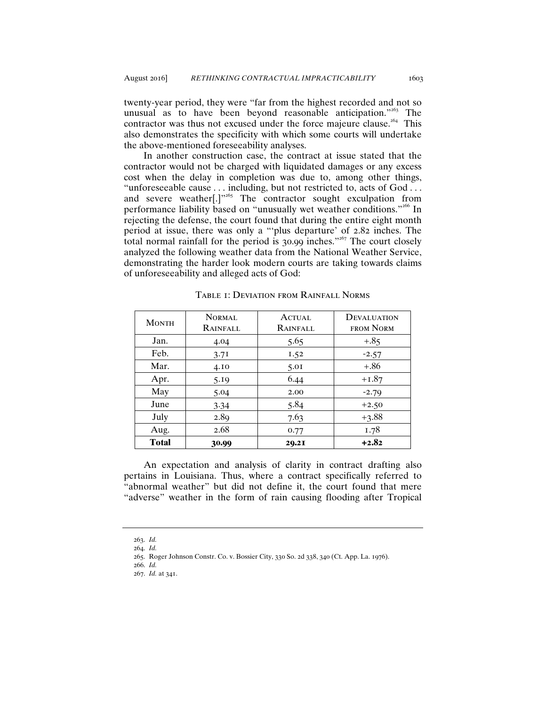twenty-year period, they were "far from the highest recorded and not so unusual as to have been beyond reasonable anticipation." $263$  The contractor was thus not excused under the force majeure clause.<sup>264</sup> This also demonstrates the specificity with which some courts will undertake the above-mentioned foreseeability analyses.

In another construction case, the contract at issue stated that the contractor would not be charged with liquidated damages or any excess cost when the delay in completion was due to, among other things, "unforeseeable cause . . . including, but not restricted to, acts of God . . . and severe weather[.]"<sup>265</sup> The contractor sought exculpation from performance liability based on "unusually wet weather conditions."<sup>266</sup> In rejecting the defense, the court found that during the entire eight month period at issue, there was only a "'plus departure' of 2.82 inches. The total normal rainfall for the period is 30.99 inches."<sup>267</sup> The court closely analyzed the following weather data from the National Weather Service, demonstrating the harder look modern courts are taking towards claims of unforeseeability and alleged acts of God:

| <b>MONTH</b> | NORMAL<br>RAINFALL | ACTUAL<br><b>RAINFALL</b> | <b>DEVALUATION</b><br>FROM NORM |
|--------------|--------------------|---------------------------|---------------------------------|
| Jan.         | 4.04               | 5.65                      | $+.85$                          |
| Feb.         | 3.71               | I.52                      | $-2.57$                         |
| Mar.         | 4.10               | 5.01                      | $+.86$                          |
| Apr.         | 5.19               | 6.44                      | $+1.87$                         |
| May          | 5.04               | 2.00                      | $-2.79$                         |
| June         | 3.34               | 5.84                      | $+2.50$                         |
| July         | 2.89               | 7.63                      | $+3.88$                         |
| Aug.         | 2.68               | 0.77                      | 1.78                            |
| <b>Total</b> | 30.99              | 20.2I                     | $+2.82$                         |

Table 1: Deviation from Rainfall Norms

An expectation and analysis of clarity in contract drafting also pertains in Louisiana. Thus, where a contract specifically referred to "abnormal weather" but did not define it, the court found that mere "adverse" weather in the form of rain causing flooding after Tropical

<sup>263</sup>. *Id.*

<sup>264</sup>. *Id.*

<sup>265</sup>. Roger Johnson Constr. Co. v. Bossier City, 330 So. 2d 338, 340 (Ct. App. La. 1976).

<sup>266</sup>. *Id.*

<sup>267</sup>. *Id.* at 341.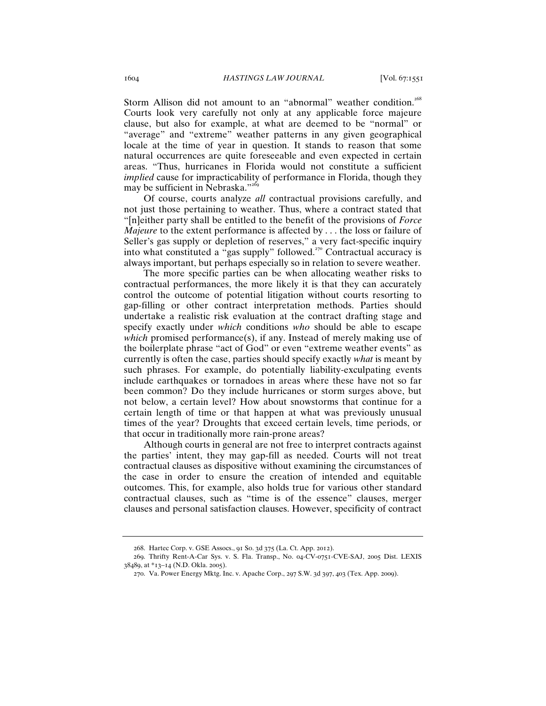Storm Allison did not amount to an "abnormal" weather condition.<sup>268</sup> Courts look very carefully not only at any applicable force majeure clause, but also for example, at what are deemed to be "normal" or "average" and "extreme" weather patterns in any given geographical locale at the time of year in question. It stands to reason that some natural occurrences are quite foreseeable and even expected in certain areas. "Thus, hurricanes in Florida would not constitute a sufficient *implied* cause for impracticability of performance in Florida, though they may be sufficient in Nebraska."<sup>269</sup>

Of course, courts analyze *all* contractual provisions carefully, and not just those pertaining to weather. Thus, where a contract stated that "[n]either party shall be entitled to the benefit of the provisions of *Force Majeure* to the extent performance is affected by . . . the loss or failure of Seller's gas supply or depletion of reserves," a very fact-specific inquiry into what constituted a "gas supply" followed.<sup> $270$ </sup> Contractual accuracy is always important, but perhaps especially so in relation to severe weather.

The more specific parties can be when allocating weather risks to contractual performances, the more likely it is that they can accurately control the outcome of potential litigation without courts resorting to gap-filling or other contract interpretation methods. Parties should undertake a realistic risk evaluation at the contract drafting stage and specify exactly under *which* conditions *who* should be able to escape which promised performance(s), if any. Instead of merely making use of the boilerplate phrase "act of God" or even "extreme weather events" as currently is often the case, parties should specify exactly *what* is meant by such phrases. For example, do potentially liability-exculpating events include earthquakes or tornadoes in areas where these have not so far been common? Do they include hurricanes or storm surges above, but not below, a certain level? How about snowstorms that continue for a certain length of time or that happen at what was previously unusual times of the year? Droughts that exceed certain levels, time periods, or that occur in traditionally more rain-prone areas?

Although courts in general are not free to interpret contracts against the parties' intent, they may gap-fill as needed. Courts will not treat contractual clauses as dispositive without examining the circumstances of the case in order to ensure the creation of intended and equitable outcomes. This, for example, also holds true for various other standard contractual clauses, such as "time is of the essence" clauses, merger clauses and personal satisfaction clauses. However, specificity of contract

<sup>268</sup>. Hartec Corp. v. GSE Assocs., 91 So. 3d 375 (La. Ct. App. 2012).

<sup>269</sup>. Thrifty Rent-A-Car Sys. v. S. Fla. Transp., No. 04-CV-0751-CVE-SAJ, 2005 Dist. LEXIS 38489, at \*13–14 (N.D. Okla. 2005).

<sup>270</sup>. Va. Power Energy Mktg. Inc. v. Apache Corp., 297 S.W. 3d 397, 403 (Tex. App. 2009).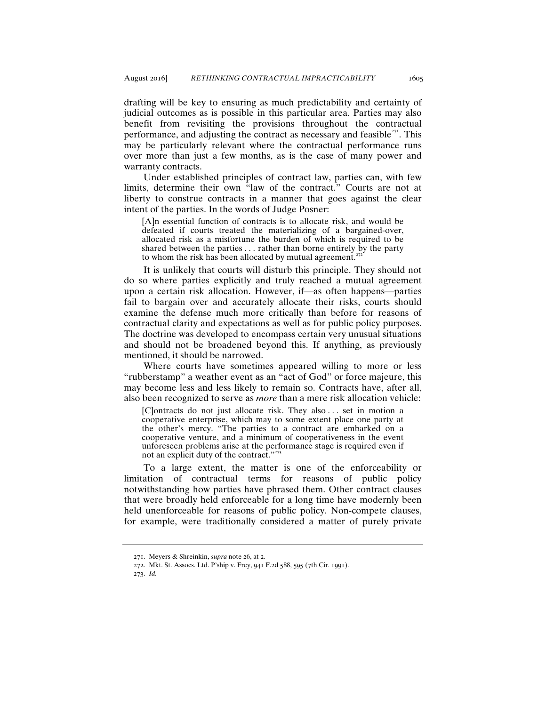drafting will be key to ensuring as much predictability and certainty of judicial outcomes as is possible in this particular area. Parties may also benefit from revisiting the provisions throughout the contractual performance, and adjusting the contract as necessary and feasible $271$ . This may be particularly relevant where the contractual performance runs over more than just a few months, as is the case of many power and warranty contracts.

Under established principles of contract law, parties can, with few limits, determine their own "law of the contract." Courts are not at liberty to construe contracts in a manner that goes against the clear intent of the parties. In the words of Judge Posner:

[A]n essential function of contracts is to allocate risk, and would be defeated if courts treated the materializing of a bargained-over, allocated risk as a misfortune the burden of which is required to be shared between the parties . . . rather than borne entirely by the party to whom the risk has been allocated by mutual agreement.<sup> $272$ </sup>

 It is unlikely that courts will disturb this principle. They should not do so where parties explicitly and truly reached a mutual agreement upon a certain risk allocation. However, if-as often happens-parties fail to bargain over and accurately allocate their risks, courts should examine the defense much more critically than before for reasons of contractual clarity and expectations as well as for public policy purposes. The doctrine was developed to encompass certain very unusual situations and should not be broadened beyond this. If anything, as previously mentioned, it should be narrowed.

Where courts have sometimes appeared willing to more or less "rubberstamp" a weather event as an "act of God" or force majeure, this may become less and less likely to remain so. Contracts have, after all, also been recognized to serve as *more* than a mere risk allocation vehicle:

[C]ontracts do not just allocate risk. They also ... set in motion a cooperative enterprise, which may to some extent place one party at the other's mercy. "The parties to a contract are embarked on a cooperative venture, and a minimum of cooperativeness in the event unforeseen problems arise at the performance stage is required even if not an explicit duty of the contract."<sup>273</sup>

To a large extent, the matter is one of the enforceability or limitation of contractual terms for reasons of public policy notwithstanding how parties have phrased them. Other contract clauses that were broadly held enforceable for a long time have modernly been held unenforceable for reasons of public policy. Non-compete clauses, for example, were traditionally considered a matter of purely private

<sup>271</sup>. Meyers & Shreinkin, *supra* note 26, at 2.

<sup>272</sup>. Mkt. St. Assocs. Ltd. P'ship v. Frey, 941 F.2d 588, 595 (7th Cir. 1991).

<sup>273</sup>. *Id.*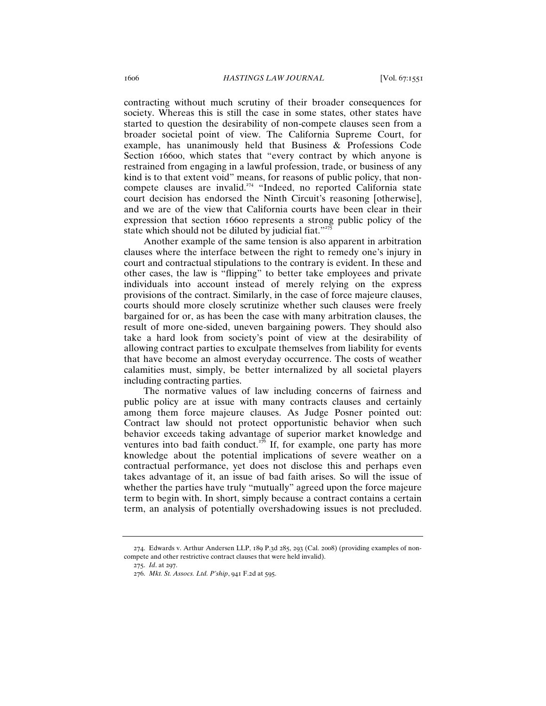contracting without much scrutiny of their broader consequences for society. Whereas this is still the case in some states, other states have started to question the desirability of non-compete clauses seen from a broader societal point of view. The California Supreme Court, for example, has unanimously held that Business & Professions Code Section 16600, which states that "every contract by which anyone is restrained from engaging in a lawful profession, trade, or business of any kind is to that extent void" means, for reasons of public policy, that noncompete clauses are invalid.<sup> $274$ </sup> "Indeed, no reported California state court decision has endorsed the Ninth Circuit's reasoning [otherwise], and we are of the view that California courts have been clear in their expression that section 16600 represents a strong public policy of the state which should not be diluted by judicial fiat." $275$ 

Another example of the same tension is also apparent in arbitration clauses where the interface between the right to remedy one's injury in court and contractual stipulations to the contrary is evident. In these and other cases, the law is "flipping" to better take employees and private individuals into account instead of merely relying on the express provisions of the contract. Similarly, in the case of force majeure clauses, courts should more closely scrutinize whether such clauses were freely bargained for or, as has been the case with many arbitration clauses, the result of more one-sided, uneven bargaining powers. They should also take a hard look from society's point of view at the desirability of allowing contract parties to exculpate themselves from liability for events that have become an almost everyday occurrence. The costs of weather calamities must, simply, be better internalized by all societal players including contracting parties.

The normative values of law including concerns of fairness and public policy are at issue with many contracts clauses and certainly among them force majeure clauses. As Judge Posner pointed out: Contract law should not protect opportunistic behavior when such behavior exceeds taking advantage of superior market knowledge and ventures into bad faith conduct.<sup>276</sup> If, for example, one party has more knowledge about the potential implications of severe weather on a contractual performance, yet does not disclose this and perhaps even takes advantage of it, an issue of bad faith arises. So will the issue of whether the parties have truly "mutually" agreed upon the force majeure term to begin with. In short, simply because a contract contains a certain term, an analysis of potentially overshadowing issues is not precluded.

<sup>274</sup>. Edwards v. Arthur Andersen LLP, 189 P.3d 285, 293 (Cal. 2008) (providing examples of noncompete and other restrictive contract clauses that were held invalid).

<sup>275</sup>. *Id*. at 297.

<sup>276</sup>. *Mkt. St. Assocs. Ltd. P'ship*, 941 F.2d at 595.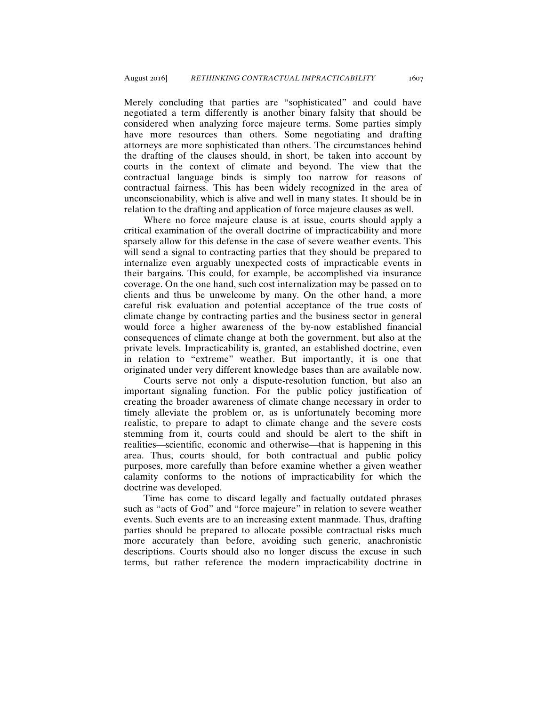Merely concluding that parties are "sophisticated" and could have negotiated a term differently is another binary falsity that should be considered when analyzing force majeure terms. Some parties simply have more resources than others. Some negotiating and drafting attorneys are more sophisticated than others. The circumstances behind the drafting of the clauses should, in short, be taken into account by courts in the context of climate and beyond. The view that the contractual language binds is simply too narrow for reasons of contractual fairness. This has been widely recognized in the area of unconscionability, which is alive and well in many states. It should be in relation to the drafting and application of force majeure clauses as well.

Where no force majeure clause is at issue, courts should apply a critical examination of the overall doctrine of impracticability and more sparsely allow for this defense in the case of severe weather events. This will send a signal to contracting parties that they should be prepared to internalize even arguably unexpected costs of impracticable events in their bargains. This could, for example, be accomplished via insurance coverage. On the one hand, such cost internalization may be passed on to clients and thus be unwelcome by many. On the other hand, a more careful risk evaluation and potential acceptance of the true costs of climate change by contracting parties and the business sector in general would force a higher awareness of the by-now established financial consequences of climate change at both the government, but also at the private levels. Impracticability is, granted, an established doctrine, even in relation to "extreme" weather. But importantly, it is one that originated under very different knowledge bases than are available now.

 Courts serve not only a dispute-resolution function, but also an important signaling function. For the public policy justification of creating the broader awareness of climate change necessary in order to timely alleviate the problem or, as is unfortunately becoming more realistic, to prepare to adapt to climate change and the severe costs stemming from it, courts could and should be alert to the shift in realities—scientific, economic and otherwise—that is happening in this area. Thus, courts should, for both contractual and public policy purposes, more carefully than before examine whether a given weather calamity conforms to the notions of impracticability for which the doctrine was developed.

Time has come to discard legally and factually outdated phrases such as "acts of God" and "force majeure" in relation to severe weather events. Such events are to an increasing extent manmade. Thus, drafting parties should be prepared to allocate possible contractual risks much more accurately than before, avoiding such generic, anachronistic descriptions. Courts should also no longer discuss the excuse in such terms, but rather reference the modern impracticability doctrine in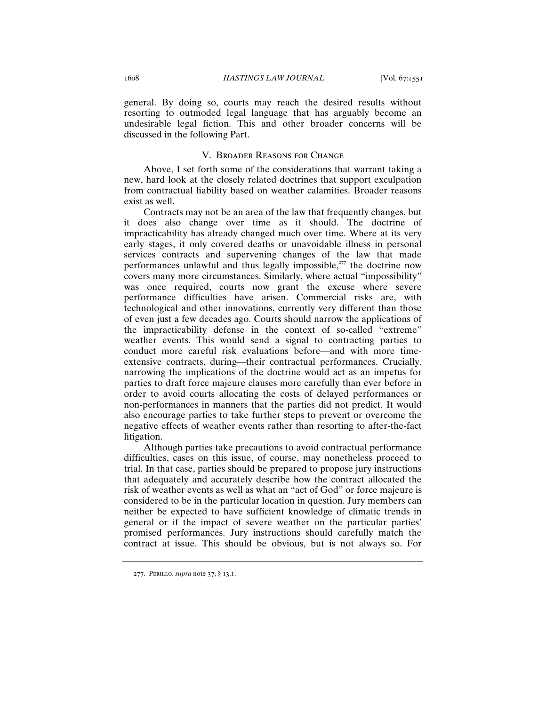general. By doing so, courts may reach the desired results without resorting to outmoded legal language that has arguably become an undesirable legal fiction. This and other broader concerns will be discussed in the following Part.

#### V. Broader Reasons for Change

Above, I set forth some of the considerations that warrant taking a new, hard look at the closely related doctrines that support exculpation from contractual liability based on weather calamities. Broader reasons exist as well.

Contracts may not be an area of the law that frequently changes, but it does also change over time as it should. The doctrine of impracticability has already changed much over time. Where at its very early stages, it only covered deaths or unavoidable illness in personal services contracts and supervening changes of the law that made performances unlawful and thus legally impossible,<sup> $277$ </sup> the doctrine now covers many more circumstances. Similarly, where actual "impossibility" was once required, courts now grant the excuse where severe performance difficulties have arisen. Commercial risks are, with technological and other innovations, currently very different than those of even just a few decades ago. Courts should narrow the applications of the impracticability defense in the context of so-called "extreme" weather events. This would send a signal to contracting parties to conduct more careful risk evaluations before—and with more timeextensive contracts, during—their contractual performances. Crucially, narrowing the implications of the doctrine would act as an impetus for parties to draft force majeure clauses more carefully than ever before in order to avoid courts allocating the costs of delayed performances or non-performances in manners that the parties did not predict. It would also encourage parties to take further steps to prevent or overcome the negative effects of weather events rather than resorting to after-the-fact litigation.

Although parties take precautions to avoid contractual performance difficulties, cases on this issue, of course, may nonetheless proceed to trial. In that case, parties should be prepared to propose jury instructions that adequately and accurately describe how the contract allocated the risk of weather events as well as what an "act of God" or force majeure is considered to be in the particular location in question. Jury members can neither be expected to have sufficient knowledge of climatic trends in general or if the impact of severe weather on the particular parties' promised performances. Jury instructions should carefully match the contract at issue. This should be obvious, but is not always so. For

<sup>277</sup>. Perillo, *supra* note 37, § 13.1.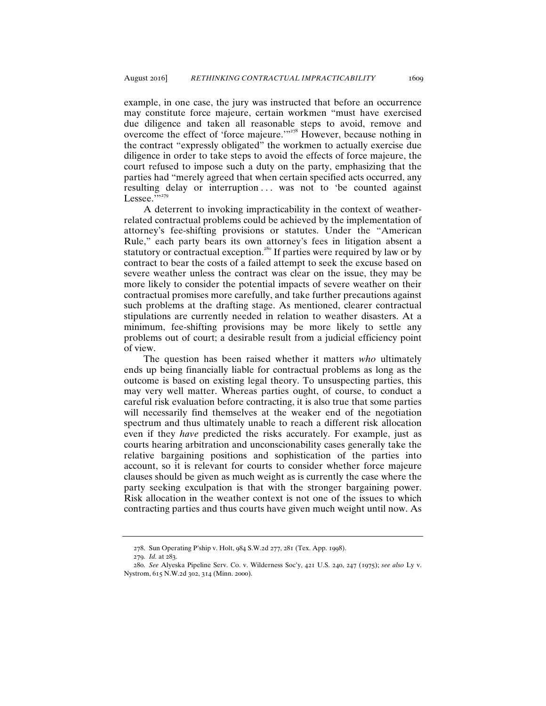example, in one case, the jury was instructed that before an occurrence may constitute force majeure, certain workmen "must have exercised due diligence and taken all reasonable steps to avoid, remove and overcome the effect of 'force majeure.'"<sup>278</sup> However, because nothing in the contract "expressly obligated" the workmen to actually exercise due diligence in order to take steps to avoid the effects of force majeure, the court refused to impose such a duty on the party, emphasizing that the parties had "merely agreed that when certain specified acts occurred, any resulting delay or interruption ... was not to 'be counted against Lessee. $\cdots$ <sup>279</sup>

A deterrent to invoking impracticability in the context of weatherrelated contractual problems could be achieved by the implementation of attorney's fee-shifting provisions or statutes. Under the "American Rule," each party bears its own attorney's fees in litigation absent a statutory or contractual exception.<sup>280</sup> If parties were required by law or by contract to bear the costs of a failed attempt to seek the excuse based on severe weather unless the contract was clear on the issue, they may be more likely to consider the potential impacts of severe weather on their contractual promises more carefully, and take further precautions against such problems at the drafting stage. As mentioned, clearer contractual stipulations are currently needed in relation to weather disasters. At a minimum, fee-shifting provisions may be more likely to settle any problems out of court; a desirable result from a judicial efficiency point of view.

The question has been raised whether it matters *who* ultimately ends up being financially liable for contractual problems as long as the outcome is based on existing legal theory. To unsuspecting parties, this may very well matter. Whereas parties ought, of course, to conduct a careful risk evaluation before contracting, it is also true that some parties will necessarily find themselves at the weaker end of the negotiation spectrum and thus ultimately unable to reach a different risk allocation even if they *have* predicted the risks accurately. For example, just as courts hearing arbitration and unconscionability cases generally take the relative bargaining positions and sophistication of the parties into account, so it is relevant for courts to consider whether force majeure clauses should be given as much weight as is currently the case where the party seeking exculpation is that with the stronger bargaining power. Risk allocation in the weather context is not one of the issues to which contracting parties and thus courts have given much weight until now. As

<sup>278</sup>. Sun Operating P'ship v. Holt, 984 S.W.2d 277, 281 (Tex. App. 1998).

<sup>279</sup>. *Id.* at 283.

<sup>280</sup>. *See* Alyeska Pipeline Serv. Co. v. Wilderness Soc'y, 421 U.S. 240, 247 (1975); *see also* Ly v. Nystrom, 615 N.W.2d 302, 314 (Minn. 2000).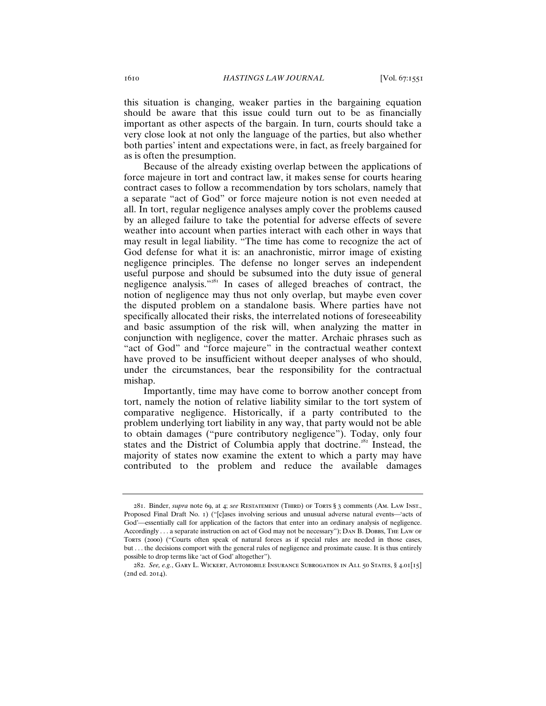this situation is changing, weaker parties in the bargaining equation should be aware that this issue could turn out to be as financially important as other aspects of the bargain. In turn, courts should take a very close look at not only the language of the parties, but also whether both parties' intent and expectations were, in fact, as freely bargained for as is often the presumption.

Because of the already existing overlap between the applications of force majeure in tort and contract law, it makes sense for courts hearing contract cases to follow a recommendation by tors scholars, namely that a separate "act of God" or force majeure notion is not even needed at all. In tort, regular negligence analyses amply cover the problems caused by an alleged failure to take the potential for adverse effects of severe weather into account when parties interact with each other in ways that may result in legal liability. "The time has come to recognize the act of God defense for what it is: an anachronistic, mirror image of existing negligence principles. The defense no longer serves an independent useful purpose and should be subsumed into the duty issue of general negligence analysis."<sup>281</sup> In cases of alleged breaches of contract, the notion of negligence may thus not only overlap, but maybe even cover the disputed problem on a standalone basis. Where parties have not specifically allocated their risks, the interrelated notions of foreseeability and basic assumption of the risk will, when analyzing the matter in conjunction with negligence, cover the matter. Archaic phrases such as "act of God" and "force majeure" in the contractual weather context have proved to be insufficient without deeper analyses of who should, under the circumstances, bear the responsibility for the contractual mishap.

Importantly, time may have come to borrow another concept from tort, namely the notion of relative liability similar to the tort system of comparative negligence. Historically, if a party contributed to the problem underlying tort liability in any way, that party would not be able to obtain damages ("pure contributory negligence"). Today, only four states and the District of Columbia apply that doctrine.<sup>282</sup> Instead, the majority of states now examine the extent to which a party may have contributed to the problem and reduce the available damages

<sup>281</sup>. Binder, *supra* note 69, at 4; *see* Restatement (Third) of Torts § 3 comments (Am. Law Inst., Proposed Final Draft No. 1) ("[c]ases involving serious and unusual adverse natural events—'acts of God'-essentially call for application of the factors that enter into an ordinary analysis of negligence. Accordingly . . . a separate instruction on act of God may not be necessary"); DAN B. DOBBS, THE LAW OF Torts (2000) ("Courts often speak of natural forces as if special rules are needed in those cases, but . . . the decisions comport with the general rules of negligence and proximate cause. It is thus entirely possible to drop terms like 'act of God' altogether").

<sup>282</sup>. *See, e.g.*, Gary L. Wickert, Automobile Insurance Subrogation in All 50 States, § 4.01[15] (2nd ed. 2014).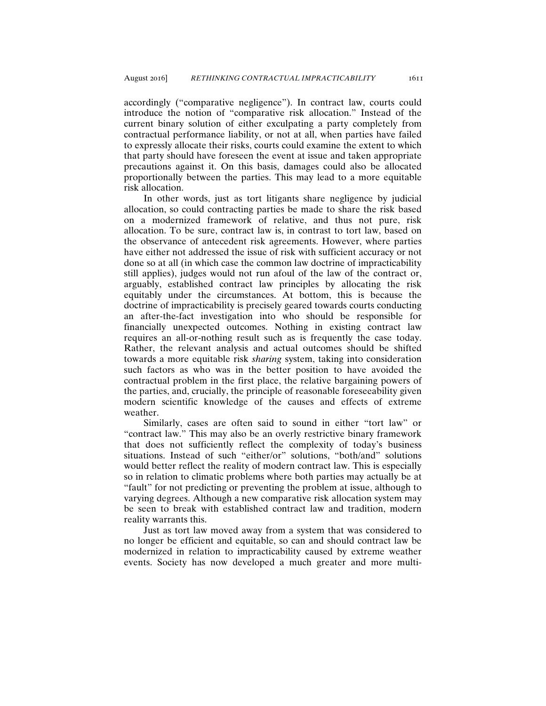accordingly ("comparative negligence"). In contract law, courts could introduce the notion of "comparative risk allocation." Instead of the current binary solution of either exculpating a party completely from contractual performance liability, or not at all, when parties have failed to expressly allocate their risks, courts could examine the extent to which that party should have foreseen the event at issue and taken appropriate precautions against it. On this basis, damages could also be allocated proportionally between the parties. This may lead to a more equitable risk allocation.

In other words, just as tort litigants share negligence by judicial allocation, so could contracting parties be made to share the risk based on a modernized framework of relative, and thus not pure, risk allocation. To be sure, contract law is, in contrast to tort law, based on the observance of antecedent risk agreements. However, where parties have either not addressed the issue of risk with sufficient accuracy or not done so at all (in which case the common law doctrine of impracticability still applies), judges would not run afoul of the law of the contract or, arguably, established contract law principles by allocating the risk equitably under the circumstances. At bottom, this is because the doctrine of impracticability is precisely geared towards courts conducting an after-the-fact investigation into who should be responsible for financially unexpected outcomes. Nothing in existing contract law requires an all-or-nothing result such as is frequently the case today. Rather, the relevant analysis and actual outcomes should be shifted towards a more equitable risk *sharing* system, taking into consideration such factors as who was in the better position to have avoided the contractual problem in the first place, the relative bargaining powers of the parties, and, crucially, the principle of reasonable foreseeability given modern scientific knowledge of the causes and effects of extreme weather.

Similarly, cases are often said to sound in either "tort law" or "contract law." This may also be an overly restrictive binary framework that does not sufficiently reflect the complexity of today's business situations. Instead of such "either/or" solutions, "both/and" solutions would better reflect the reality of modern contract law. This is especially so in relation to climatic problems where both parties may actually be at "fault" for not predicting or preventing the problem at issue, although to varying degrees. Although a new comparative risk allocation system may be seen to break with established contract law and tradition, modern reality warrants this.

Just as tort law moved away from a system that was considered to no longer be efficient and equitable, so can and should contract law be modernized in relation to impracticability caused by extreme weather events. Society has now developed a much greater and more multi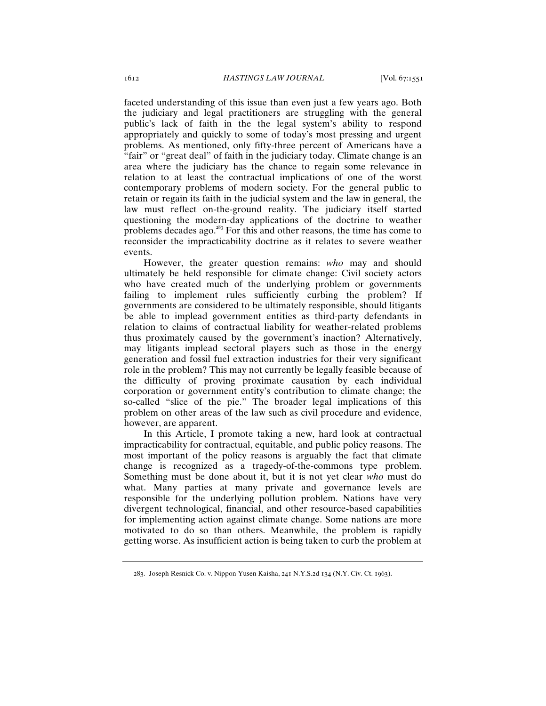faceted understanding of this issue than even just a few years ago. Both the judiciary and legal practitioners are struggling with the general public's lack of faith in the the legal system's ability to respond appropriately and quickly to some of today's most pressing and urgent problems. As mentioned, only fifty-three percent of Americans have a "fair" or "great deal" of faith in the judiciary today. Climate change is an area where the judiciary has the chance to regain some relevance in relation to at least the contractual implications of one of the worst contemporary problems of modern society. For the general public to retain or regain its faith in the judicial system and the law in general, the law must reflect on-the-ground reality. The judiciary itself started questioning the modern-day applications of the doctrine to weather problems decades ago. $283$  For this and other reasons, the time has come to reconsider the impracticability doctrine as it relates to severe weather events.

However, the greater question remains: *who* may and should ultimately be held responsible for climate change: Civil society actors who have created much of the underlying problem or governments failing to implement rules sufficiently curbing the problem? If governments are considered to be ultimately responsible, should litigants be able to implead government entities as third-party defendants in relation to claims of contractual liability for weather-related problems thus proximately caused by the government's inaction? Alternatively, may litigants implead sectoral players such as those in the energy generation and fossil fuel extraction industries for their very significant role in the problem? This may not currently be legally feasible because of the difficulty of proving proximate causation by each individual corporation or government entity's contribution to climate change; the so-called "slice of the pie." The broader legal implications of this problem on other areas of the law such as civil procedure and evidence, however, are apparent.

In this Article, I promote taking a new, hard look at contractual impracticability for contractual, equitable, and public policy reasons. The most important of the policy reasons is arguably the fact that climate change is recognized as a tragedy-of-the-commons type problem. Something must be done about it, but it is not yet clear *who* must do what. Many parties at many private and governance levels are responsible for the underlying pollution problem. Nations have very divergent technological, financial, and other resource-based capabilities for implementing action against climate change. Some nations are more motivated to do so than others. Meanwhile, the problem is rapidly getting worse. As insufficient action is being taken to curb the problem at

<sup>283</sup>. Joseph Resnick Co. v. Nippon Yusen Kaisha, 241 N.Y.S.2d 134 (N.Y. Civ. Ct. 1963).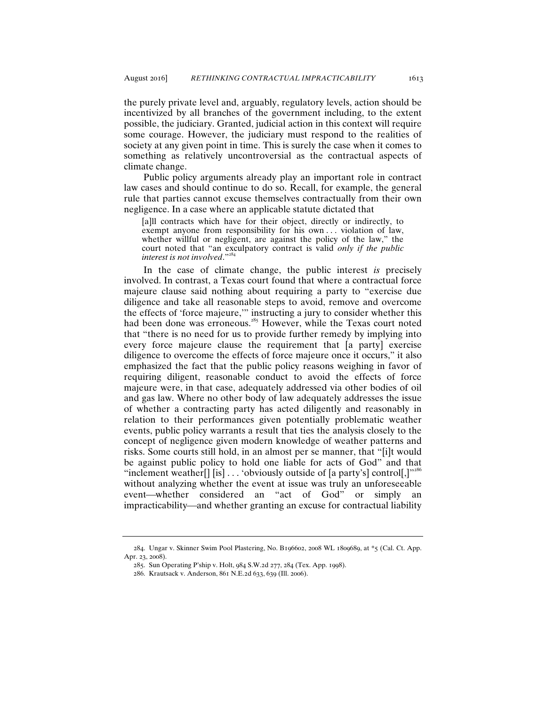the purely private level and, arguably, regulatory levels, action should be incentivized by all branches of the government including, to the extent possible, the judiciary. Granted, judicial action in this context will require some courage. However, the judiciary must respond to the realities of society at any given point in time. This is surely the case when it comes to something as relatively uncontroversial as the contractual aspects of climate change.

Public policy arguments already play an important role in contract law cases and should continue to do so. Recall, for example, the general rule that parties cannot excuse themselves contractually from their own negligence. In a case where an applicable statute dictated that

[a]ll contracts which have for their object, directly or indirectly, to exempt anyone from responsibility for his own . . . violation of law, whether willful or negligent, are against the policy of the law," the court noted that "an exculpatory contract is valid *only if the public interest is not involved.*"

 In the case of climate change, the public interest *is* precisely involved. In contrast, a Texas court found that where a contractual force majeure clause said nothing about requiring a party to "exercise due diligence and take all reasonable steps to avoid, remove and overcome the effects of 'force majeure,'" instructing a jury to consider whether this had been done was erroneous.<sup>285</sup> However, while the Texas court noted that "there is no need for us to provide further remedy by implying into every force majeure clause the requirement that [a party] exercise diligence to overcome the effects of force majeure once it occurs," it also emphasized the fact that the public policy reasons weighing in favor of requiring diligent, reasonable conduct to avoid the effects of force majeure were, in that case, adequately addressed via other bodies of oil and gas law. Where no other body of law adequately addresses the issue of whether a contracting party has acted diligently and reasonably in relation to their performances given potentially problematic weather events, public policy warrants a result that ties the analysis closely to the concept of negligence given modern knowledge of weather patterns and risks. Some courts still hold, in an almost per se manner, that "[i]t would be against public policy to hold one liable for acts of God" and that "inclement weather[] [is]  $\ldots$  'obviously outside of [a party's] control[,]"<sup>286</sup> without analyzing whether the event at issue was truly an unforeseeable event—whether considered an "act of God" or simply an impracticability—and whether granting an excuse for contractual liability

<sup>284</sup>. Ungar v. Skinner Swim Pool Plastering, No. B196602, 2008 WL 1809689, at \*5 (Cal. Ct. App. Apr. 23, 2008).

<sup>285</sup>. Sun Operating P'ship v. Holt, 984 S.W.2d 277, 284 (Tex. App. 1998).

<sup>286</sup>. Krautsack v. Anderson, 861 N.E.2d 633, 639 (Ill. 2006).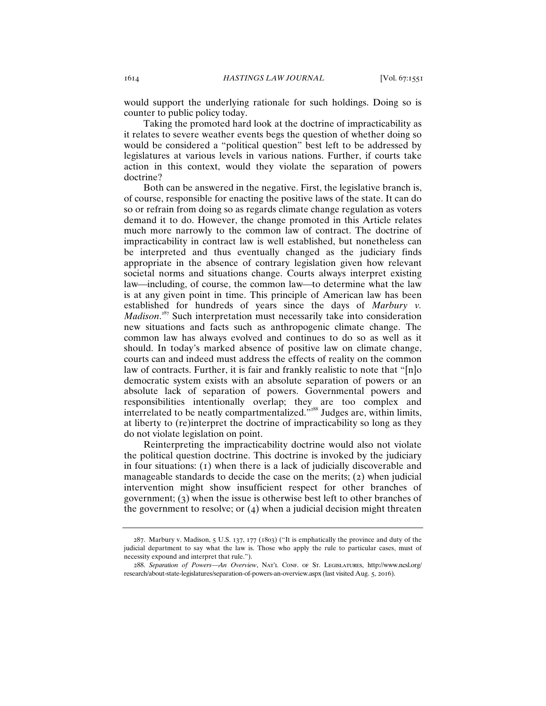would support the underlying rationale for such holdings. Doing so is counter to public policy today.

Taking the promoted hard look at the doctrine of impracticability as it relates to severe weather events begs the question of whether doing so would be considered a "political question" best left to be addressed by legislatures at various levels in various nations. Further, if courts take action in this context, would they violate the separation of powers doctrine?

Both can be answered in the negative. First, the legislative branch is, of course, responsible for enacting the positive laws of the state. It can do so or refrain from doing so as regards climate change regulation as voters demand it to do. However, the change promoted in this Article relates much more narrowly to the common law of contract. The doctrine of impracticability in contract law is well established, but nonetheless can be interpreted and thus eventually changed as the judiciary finds appropriate in the absence of contrary legislation given how relevant societal norms and situations change. Courts always interpret existing law—including, of course, the common law—to determine what the law is at any given point in time. This principle of American law has been established for hundreds of years since the days of *Marbury v. Madison*. <sup>287</sup> Such interpretation must necessarily take into consideration new situations and facts such as anthropogenic climate change. The common law has always evolved and continues to do so as well as it should. In today's marked absence of positive law on climate change, courts can and indeed must address the effects of reality on the common law of contracts. Further, it is fair and frankly realistic to note that "[n]o democratic system exists with an absolute separation of powers or an absolute lack of separation of powers. Governmental powers and responsibilities intentionally overlap; they are too complex and interrelated to be neatly compartmentalized."<sup>288</sup> Judges are, within limits, at liberty to (re)interpret the doctrine of impracticability so long as they do not violate legislation on point.

Reinterpreting the impracticability doctrine would also not violate the political question doctrine. This doctrine is invoked by the judiciary in four situations: (1) when there is a lack of judicially discoverable and manageable standards to decide the case on the merits; (2) when judicial intervention might show insufficient respect for other branches of government; (3) when the issue is otherwise best left to other branches of the government to resolve; or (4) when a judicial decision might threaten

<sup>287</sup>. Marbury v. Madison, 5 U.S. 137, 177 (1803) ("It is emphatically the province and duty of the judicial department to say what the law is. Those who apply the rule to particular cases, must of necessity expound and interpret that rule.").

<sup>288</sup>. *Separation of PowersAn Overview*, Nat'l Conf. of St. Legislatures, http://www.ncsl.org/ research/about-state-legislatures/separation-of-powers-an-overview.aspx (last visited Aug. 5, 2016).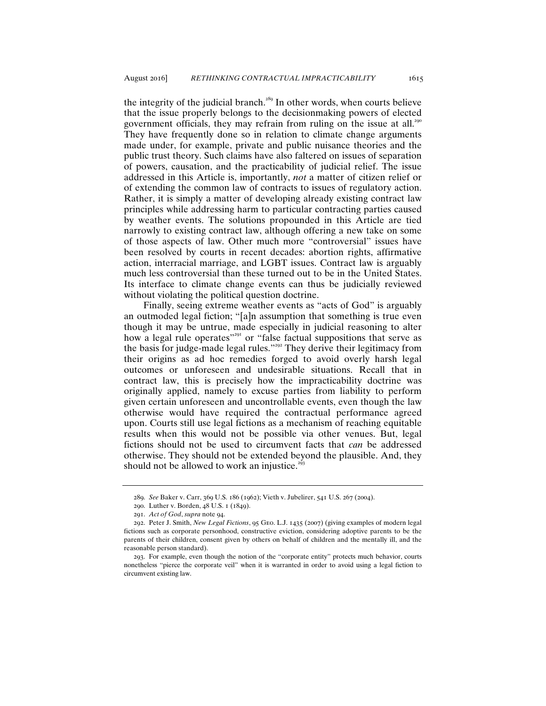the integrity of the judicial branch.<sup>289</sup> In other words, when courts believe that the issue properly belongs to the decisionmaking powers of elected government officials, they may refrain from ruling on the issue at all.<sup>290</sup> They have frequently done so in relation to climate change arguments made under, for example, private and public nuisance theories and the public trust theory. Such claims have also faltered on issues of separation of powers, causation, and the practicability of judicial relief. The issue addressed in this Article is, importantly, *not* a matter of citizen relief or of extending the common law of contracts to issues of regulatory action. Rather, it is simply a matter of developing already existing contract law principles while addressing harm to particular contracting parties caused by weather events. The solutions propounded in this Article are tied narrowly to existing contract law, although offering a new take on some of those aspects of law. Other much more "controversial" issues have been resolved by courts in recent decades: abortion rights, affirmative action, interracial marriage, and LGBT issues. Contract law is arguably much less controversial than these turned out to be in the United States. Its interface to climate change events can thus be judicially reviewed without violating the political question doctrine.

Finally, seeing extreme weather events as "acts of God" is arguably an outmoded legal fiction; "[a]n assumption that something is true even though it may be untrue, made especially in judicial reasoning to alter how a legal rule operates"<sup>291</sup> or "false factual suppositions that serve as the basis for judge-made legal rules."<sup>292</sup> They derive their legitimacy from their origins as ad hoc remedies forged to avoid overly harsh legal outcomes or unforeseen and undesirable situations. Recall that in contract law, this is precisely how the impracticability doctrine was originally applied, namely to excuse parties from liability to perform given certain unforeseen and uncontrollable events, even though the law otherwise would have required the contractual performance agreed upon. Courts still use legal fictions as a mechanism of reaching equitable results when this would not be possible via other venues. But, legal fictions should not be used to circumvent facts that *can* be addressed otherwise. They should not be extended beyond the plausible. And, they should not be allowed to work an injustice. $293$ 

<sup>289</sup>. *See* Baker v. Carr, 369 U.S. 186 (1962); Vieth v. Jubelirer, 541 U.S. 267 (2004).

<sup>290</sup>. Luther v. Borden, 48 U.S. 1 (1849).

<sup>291</sup>. *Act of God*, *supra* note 94.

<sup>292</sup>. Peter J. Smith, *New Legal Fictions*, 95 Geo. L.J. 1435 (2007) (giving examples of modern legal fictions such as corporate personhood, constructive eviction, considering adoptive parents to be the parents of their children, consent given by others on behalf of children and the mentally ill, and the reasonable person standard).

<sup>293</sup>. For example, even though the notion of the "corporate entity" protects much behavior, courts nonetheless "pierce the corporate veil" when it is warranted in order to avoid using a legal fiction to circumvent existing law.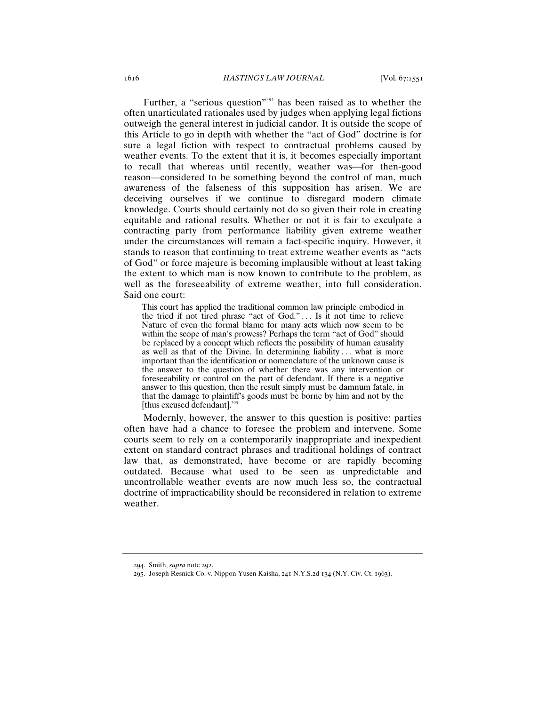Further, a "serious question"<sup>294</sup> has been raised as to whether the often unarticulated rationales used by judges when applying legal fictions outweigh the general interest in judicial candor. It is outside the scope of this Article to go in depth with whether the "act of God" doctrine is for sure a legal fiction with respect to contractual problems caused by weather events. To the extent that it is, it becomes especially important to recall that whereas until recently, weather was for then-good reason—considered to be something beyond the control of man, much awareness of the falseness of this supposition has arisen. We are deceiving ourselves if we continue to disregard modern climate knowledge. Courts should certainly not do so given their role in creating equitable and rational results. Whether or not it is fair to exculpate a contracting party from performance liability given extreme weather under the circumstances will remain a fact-specific inquiry. However, it stands to reason that continuing to treat extreme weather events as "acts of God" or force majeure is becoming implausible without at least taking the extent to which man is now known to contribute to the problem, as well as the foreseeability of extreme weather, into full consideration. Said one court:

This court has applied the traditional common law principle embodied in the tried if not tired phrase "act of God." . . . Is it not time to relieve Nature of even the formal blame for many acts which now seem to be within the scope of man's prowess? Perhaps the term "act of God" should be replaced by a concept which reflects the possibility of human causality as well as that of the Divine. In determining liability ... what is more important than the identification or nomenclature of the unknown cause is the answer to the question of whether there was any intervention or foreseeability or control on the part of defendant. If there is a negative answer to this question, then the result simply must be damnum fatale, in that the damage to plaintiff's goods must be borne by him and not by the [thus excused defendant].<sup>295</sup>

Modernly, however, the answer to this question is positive: parties often have had a chance to foresee the problem and intervene. Some courts seem to rely on a contemporarily inappropriate and inexpedient extent on standard contract phrases and traditional holdings of contract law that, as demonstrated, have become or are rapidly becoming outdated. Because what used to be seen as unpredictable and uncontrollable weather events are now much less so, the contractual doctrine of impracticability should be reconsidered in relation to extreme weather.

<sup>294</sup>. Smith, *supra* note 292.

<sup>295</sup>. Joseph Resnick Co. v. Nippon Yusen Kaisha, 241 N.Y.S.2d 134 (N.Y. Civ. Ct. 1963).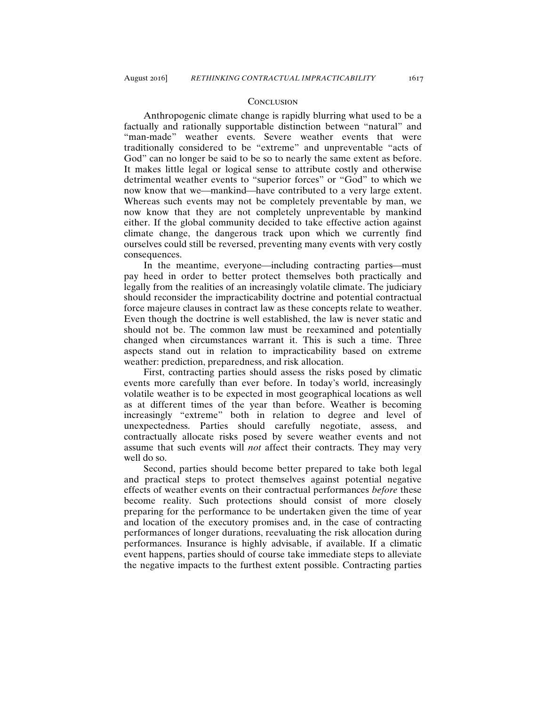#### **CONCLUSION**

Anthropogenic climate change is rapidly blurring what used to be a factually and rationally supportable distinction between "natural" and "man-made" weather events. Severe weather events that were traditionally considered to be "extreme" and unpreventable "acts of God" can no longer be said to be so to nearly the same extent as before. It makes little legal or logical sense to attribute costly and otherwise detrimental weather events to "superior forces" or "God" to which we now know that we—mankind—have contributed to a very large extent. Whereas such events may not be completely preventable by man, we now know that they are not completely unpreventable by mankind either. If the global community decided to take effective action against climate change, the dangerous track upon which we currently find ourselves could still be reversed, preventing many events with very costly consequences.

In the meantime, everyone—including contracting parties—must pay heed in order to better protect themselves both practically and legally from the realities of an increasingly volatile climate. The judiciary should reconsider the impracticability doctrine and potential contractual force majeure clauses in contract law as these concepts relate to weather. Even though the doctrine is well established, the law is never static and should not be. The common law must be reexamined and potentially changed when circumstances warrant it. This is such a time. Three aspects stand out in relation to impracticability based on extreme weather: prediction, preparedness, and risk allocation.

First, contracting parties should assess the risks posed by climatic events more carefully than ever before. In today's world, increasingly volatile weather is to be expected in most geographical locations as well as at different times of the year than before. Weather is becoming increasingly "extreme" both in relation to degree and level of unexpectedness. Parties should carefully negotiate, assess, and contractually allocate risks posed by severe weather events and not assume that such events will *not* affect their contracts. They may very well do so.

Second, parties should become better prepared to take both legal and practical steps to protect themselves against potential negative effects of weather events on their contractual performances *before* these become reality. Such protections should consist of more closely preparing for the performance to be undertaken given the time of year and location of the executory promises and, in the case of contracting performances of longer durations, reevaluating the risk allocation during performances. Insurance is highly advisable, if available. If a climatic event happens, parties should of course take immediate steps to alleviate the negative impacts to the furthest extent possible. Contracting parties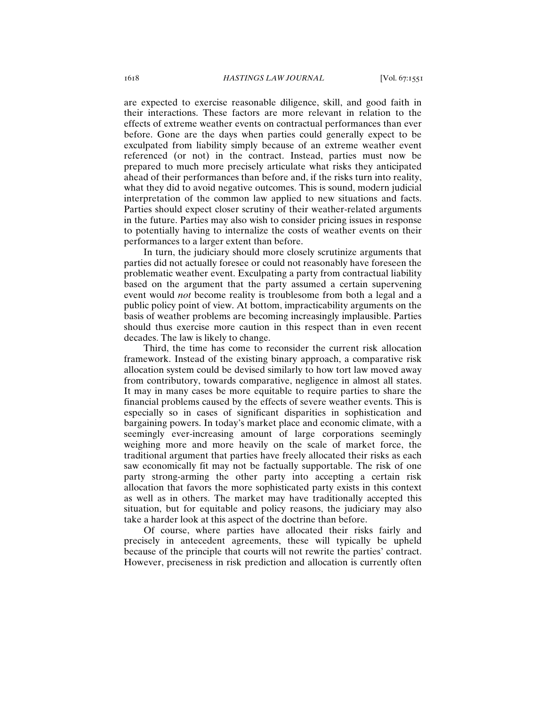are expected to exercise reasonable diligence, skill, and good faith in their interactions. These factors are more relevant in relation to the effects of extreme weather events on contractual performances than ever before. Gone are the days when parties could generally expect to be exculpated from liability simply because of an extreme weather event referenced (or not) in the contract. Instead, parties must now be prepared to much more precisely articulate what risks they anticipated ahead of their performances than before and, if the risks turn into reality, what they did to avoid negative outcomes. This is sound, modern judicial interpretation of the common law applied to new situations and facts. Parties should expect closer scrutiny of their weather-related arguments in the future. Parties may also wish to consider pricing issues in response to potentially having to internalize the costs of weather events on their performances to a larger extent than before.

In turn, the judiciary should more closely scrutinize arguments that parties did not actually foresee or could not reasonably have foreseen the problematic weather event. Exculpating a party from contractual liability based on the argument that the party assumed a certain supervening event would *not* become reality is troublesome from both a legal and a public policy point of view. At bottom, impracticability arguments on the basis of weather problems are becoming increasingly implausible. Parties should thus exercise more caution in this respect than in even recent decades. The law is likely to change.

Third, the time has come to reconsider the current risk allocation framework. Instead of the existing binary approach, a comparative risk allocation system could be devised similarly to how tort law moved away from contributory, towards comparative, negligence in almost all states. It may in many cases be more equitable to require parties to share the financial problems caused by the effects of severe weather events. This is especially so in cases of significant disparities in sophistication and bargaining powers. In today's market place and economic climate, with a seemingly ever-increasing amount of large corporations seemingly weighing more and more heavily on the scale of market force, the traditional argument that parties have freely allocated their risks as each saw economically fit may not be factually supportable. The risk of one party strong-arming the other party into accepting a certain risk allocation that favors the more sophisticated party exists in this context as well as in others. The market may have traditionally accepted this situation, but for equitable and policy reasons, the judiciary may also take a harder look at this aspect of the doctrine than before.

Of course, where parties have allocated their risks fairly and precisely in antecedent agreements, these will typically be upheld because of the principle that courts will not rewrite the parties' contract. However, preciseness in risk prediction and allocation is currently often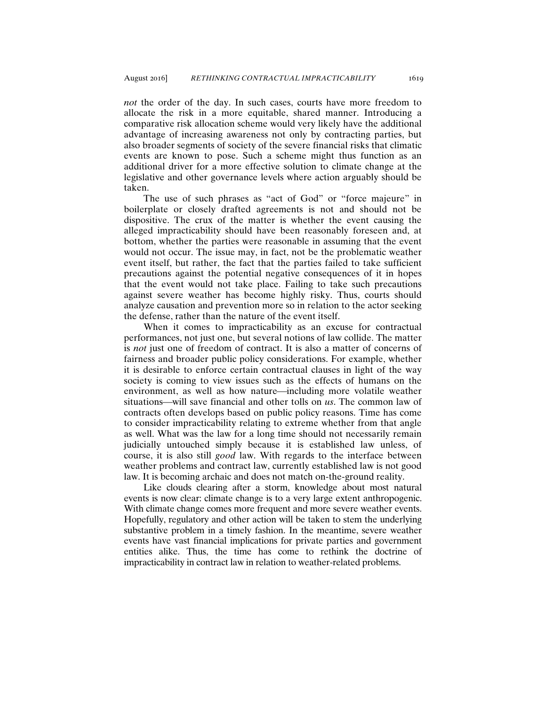*not* the order of the day. In such cases, courts have more freedom to allocate the risk in a more equitable, shared manner. Introducing a comparative risk allocation scheme would very likely have the additional advantage of increasing awareness not only by contracting parties, but also broader segments of society of the severe financial risks that climatic events are known to pose. Such a scheme might thus function as an additional driver for a more effective solution to climate change at the legislative and other governance levels where action arguably should be taken.

The use of such phrases as "act of God" or "force majeure" in boilerplate or closely drafted agreements is not and should not be dispositive. The crux of the matter is whether the event causing the alleged impracticability should have been reasonably foreseen and, at bottom, whether the parties were reasonable in assuming that the event would not occur. The issue may, in fact, not be the problematic weather event itself, but rather, the fact that the parties failed to take sufficient precautions against the potential negative consequences of it in hopes that the event would not take place. Failing to take such precautions against severe weather has become highly risky. Thus, courts should analyze causation and prevention more so in relation to the actor seeking the defense, rather than the nature of the event itself.

When it comes to impracticability as an excuse for contractual performances, not just one, but several notions of law collide. The matter is *not* just one of freedom of contract. It is also a matter of concerns of fairness and broader public policy considerations. For example, whether it is desirable to enforce certain contractual clauses in light of the way society is coming to view issues such as the effects of humans on the environment, as well as how nature—including more volatile weather situations—will save financial and other tolls on *us*. The common law of contracts often develops based on public policy reasons. Time has come to consider impracticability relating to extreme whether from that angle as well. What was the law for a long time should not necessarily remain judicially untouched simply because it is established law unless, of course, it is also still *good* law. With regards to the interface between weather problems and contract law, currently established law is not good law. It is becoming archaic and does not match on-the-ground reality.

Like clouds clearing after a storm, knowledge about most natural events is now clear: climate change is to a very large extent anthropogenic. With climate change comes more frequent and more severe weather events. Hopefully, regulatory and other action will be taken to stem the underlying substantive problem in a timely fashion. In the meantime, severe weather events have vast financial implications for private parties and government entities alike. Thus, the time has come to rethink the doctrine of impracticability in contract law in relation to weather-related problems.